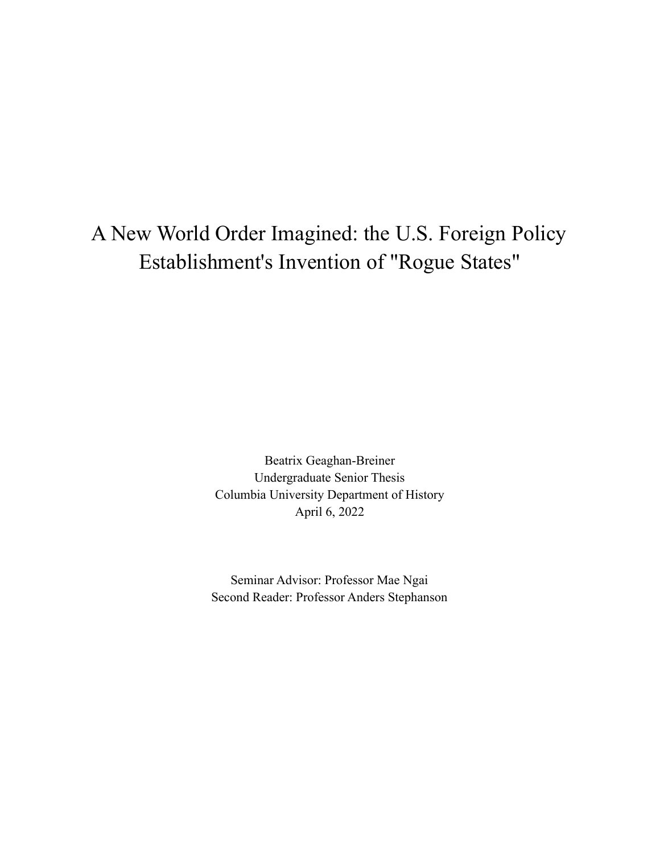## A New World Order Imagined: the U.S. Foreign Policy Establishment's Invention of "Rogue States"

Beatrix Geaghan-Breiner Undergraduate Senior Thesis Columbia University Department of History April 6, 2022

Seminar Advisor: Professor Mae Ngai Second Reader: Professor Anders Stephanson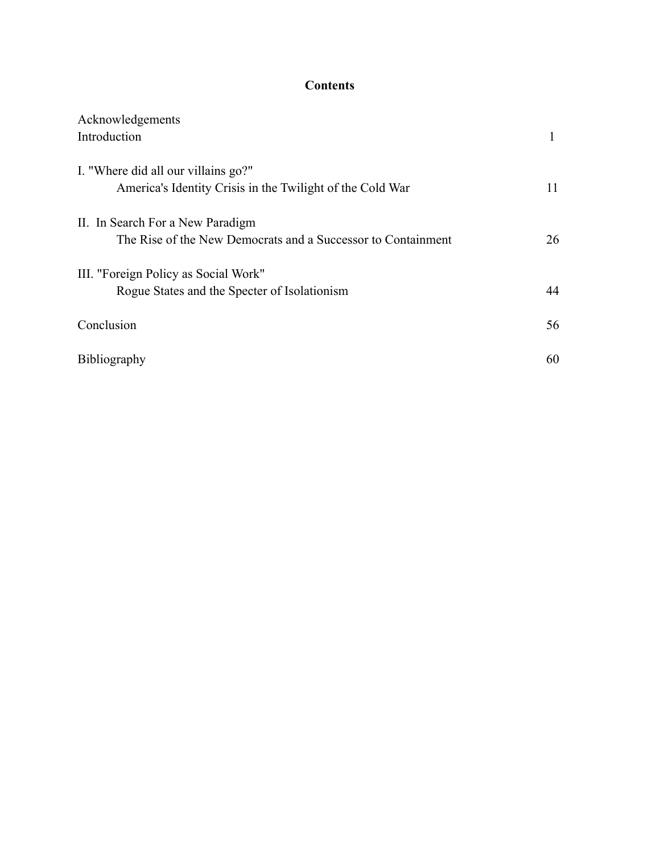#### **Contents**

| Acknowledgements                                             |    |
|--------------------------------------------------------------|----|
| Introduction                                                 |    |
|                                                              |    |
| I. "Where did all our villains go?"                          |    |
| America's Identity Crisis in the Twilight of the Cold War    | 11 |
|                                                              |    |
| II. In Search For a New Paradigm                             |    |
| The Rise of the New Democrats and a Successor to Containment | 26 |
|                                                              |    |
| III. "Foreign Policy as Social Work"                         |    |
| Rogue States and the Specter of Isolationism                 | 44 |
|                                                              |    |
| Conclusion                                                   | 56 |
|                                                              |    |
| Bibliography                                                 | 60 |
|                                                              |    |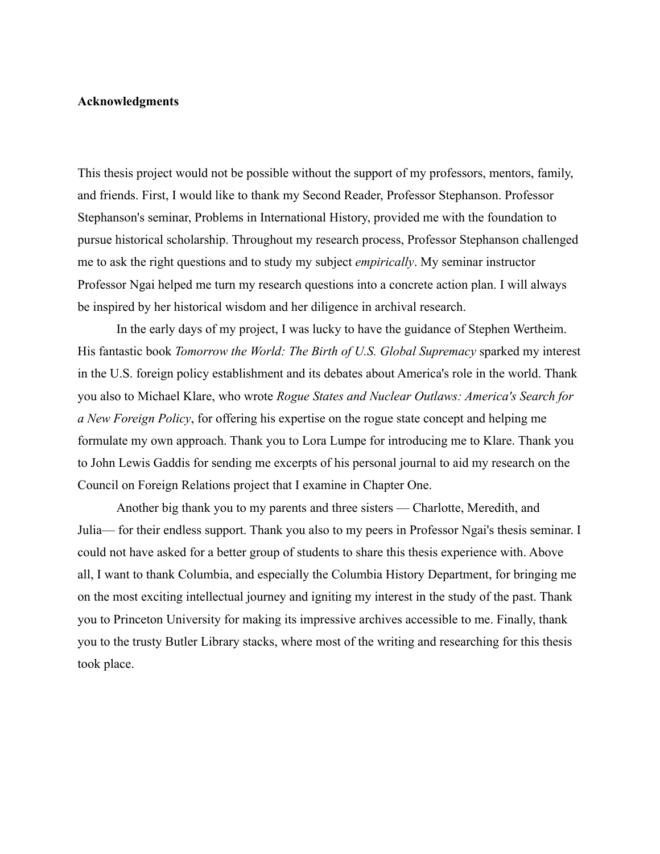#### **Acknowledgments**

This thesis project would not be possible without the support of my professors, mentors, family, and friends. First, I would like to thank my Second Reader, Professor Stephanson. Professor Stephanson's seminar, Problems in International History, provided me with the foundation to pursue historical scholarship. Throughout my research process, Professor Stephanson challenged me to ask the right questions and to study my subject *empirically*. My seminar instructor Professor Ngai helped me turn my research questions into a concrete action plan. I will always be inspired by her historical wisdom and her diligence in archival research.

In the early days of my project, I was lucky to have the guidance of Stephen Wertheim. His fantastic book *Tomorrow the World: The Birth of U.S. Global Supremacy* sparked my interest in the U.S. foreign policy establishment and its debates about America's role in the world. Thank you also to Michael Klare, who wrote *Rogue States and Nuclear Outlaws: America's Search for a New Foreign Policy*, for offering his expertise on the rogue state concept and helping me formulate my own approach. Thank you to Lora Lumpe for introducing me to Klare. Thank you to John Lewis Gaddis for sending me excerpts of his personal journal to aid my research on the Council on Foreign Relations project that I examine in Chapter One.

Another big thank you to my parents and three sisters — Charlotte, Meredith, and Julia— for their endless support. Thank you also to my peers in Professor Ngai's thesis seminar. I could not have asked for a better group of students to share this thesis experience with. Above all, I want to thank Columbia, and especially the Columbia History Department, for bringing me on the most exciting intellectual journey and igniting my interest in the study of the past. Thank you to Princeton University for making its impressive archives accessible to me. Finally, thank you to the trusty Butler Library stacks, where most of the writing and researching for this thesis took place.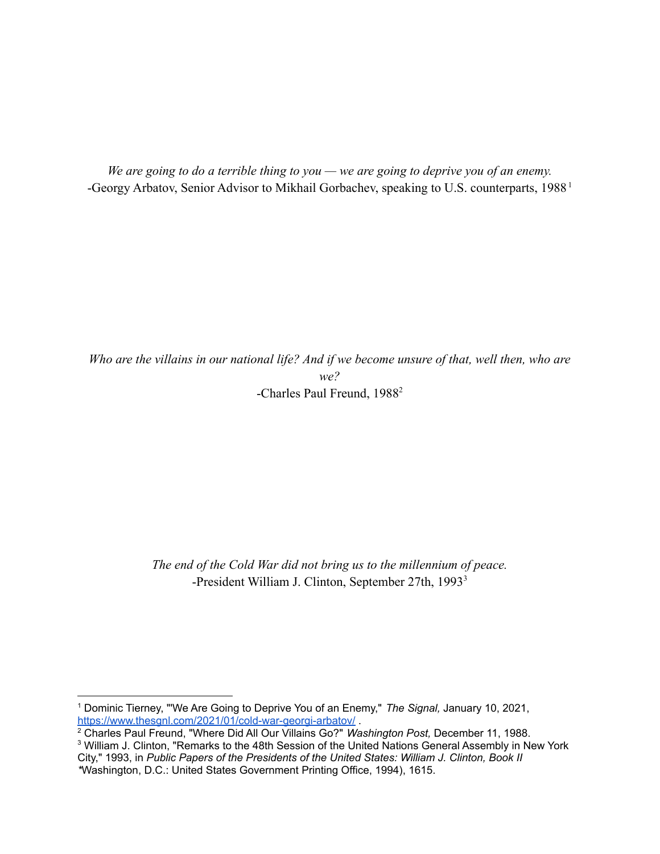*We are going to do a terrible thing to you — we are going to deprive you of an enemy.* -Georgy Arbatov, Senior Advisor to Mikhail Gorbachev, speaking to U.S. counterparts, 1988<sup>1</sup>

*Who are the villains in our national life? And if we become unsure of that, well then, who are we?* -Charles Paul Freund, 1988<sup>2</sup>

> *The end of the Cold War did not bring us to the millennium of peace.* -President William J. Clinton, September 27th, 1993<sup>3</sup>

<sup>1</sup> Dominic Tierney, "'We Are Going to Deprive You of an Enemy," *The Signal,* January 10, 2021, <https://www.thesgnl.com/2021/01/cold-war-georgi-arbatov/>.

<sup>2</sup> Charles Paul Freund, "Where Did All Our Villains Go?" *Washington Post,* December 11, 1988.

<sup>&</sup>lt;sup>3</sup> William J. Clinton, "Remarks to the 48th Session of the United Nations General Assembly in New York City," 1993, in *Public Papers of the Presidents of the United States: William J. Clinton, Book II \**Washington, D.C.: United States Government Printing Office, 1994), 1615.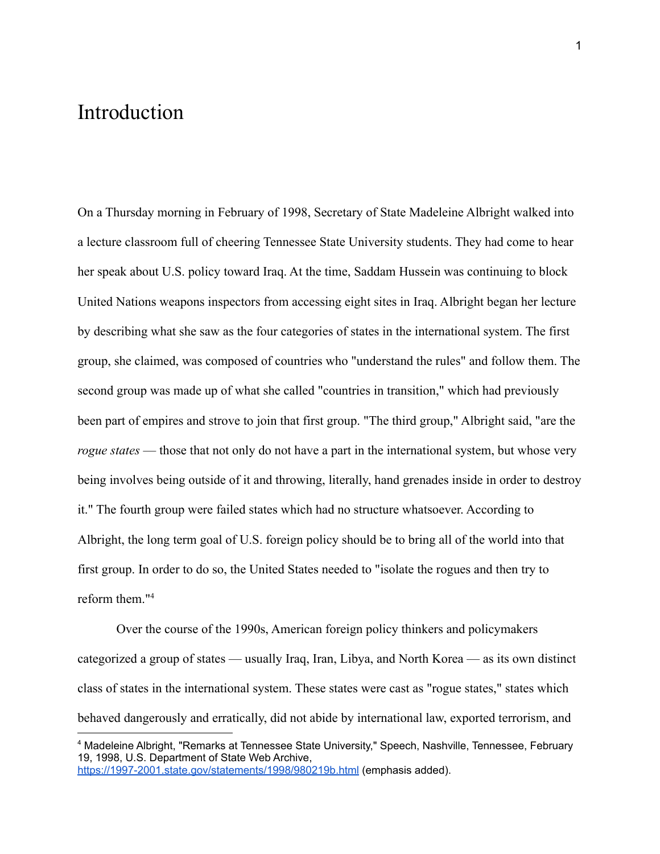### Introduction

On a Thursday morning in February of 1998, Secretary of State Madeleine Albright walked into a lecture classroom full of cheering Tennessee State University students. They had come to hear her speak about U.S. policy toward Iraq. At the time, Saddam Hussein was continuing to block United Nations weapons inspectors from accessing eight sites in Iraq. Albright began her lecture by describing what she saw as the four categories of states in the international system. The first group, she claimed, was composed of countries who "understand the rules" and follow them. The second group was made up of what she called "countries in transition," which had previously been part of empires and strove to join that first group. "The third group," Albright said, "are the *rogue states* — those that not only do not have a part in the international system, but whose very being involves being outside of it and throwing, literally, hand grenades inside in order to destroy it." The fourth group were failed states which had no structure whatsoever. According to Albright, the long term goal of U.S. foreign policy should be to bring all of the world into that first group. In order to do so, the United States needed to "isolate the rogues and then try to reform them."<sup>4</sup>

Over the course of the 1990s, American foreign policy thinkers and policymakers categorized a group of states — usually Iraq, Iran, Libya, and North Korea — as its own distinct class of states in the international system. These states were cast as "rogue states," states which behaved dangerously and erratically, did not abide by international law, exported terrorism, and

<sup>4</sup> Madeleine Albright, "Remarks at Tennessee State University," Speech, Nashville, Tennessee, February 19, 1998, U.S. Department of State Web Archive, <https://1997-2001.state.gov/statements/1998/980219b.html> (emphasis added).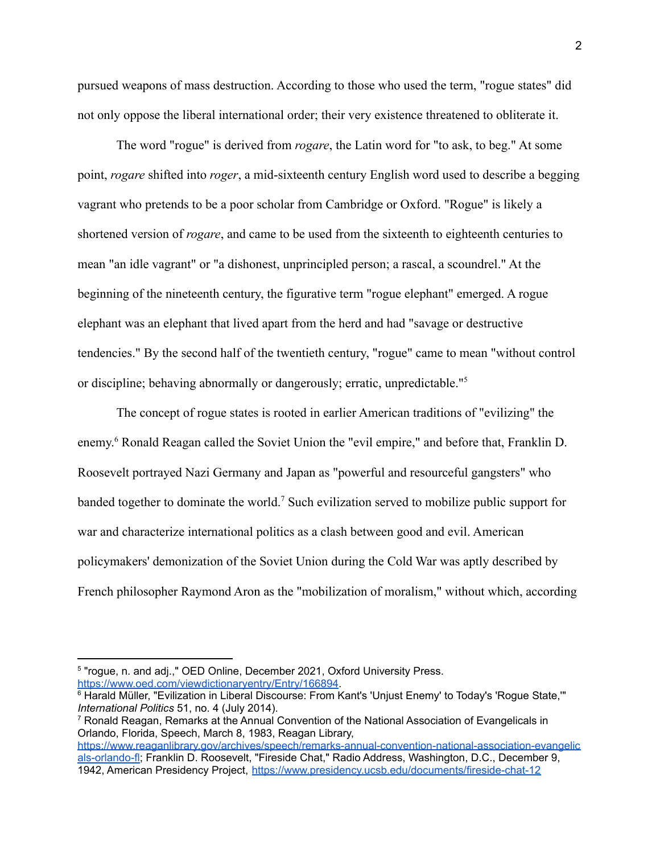pursued weapons of mass destruction. According to those who used the term, "rogue states" did not only oppose the liberal international order; their very existence threatened to obliterate it.

The word "rogue" is derived from *rogare*, the Latin word for "to ask, to beg." At some point, *rogare* shifted into *roger*, a mid-sixteenth century English word used to describe a begging vagrant who pretends to be a poor scholar from Cambridge or Oxford. "Rogue" is likely a shortened version of *rogare*, and came to be used from the sixteenth to eighteenth centuries to mean "an idle vagrant" or "a dishonest, unprincipled person; a rascal, a scoundrel." At the beginning of the nineteenth century, the figurative term "rogue elephant" emerged. A rogue elephant was an elephant that lived apart from the herd and had "savage or destructive tendencies." By the second half of the twentieth century, "rogue" came to mean "without control or discipline; behaving abnormally or dangerously; erratic, unpredictable."<sup>5</sup>

The concept of rogue states is rooted in earlier American traditions of "evilizing" the enemy.<sup>6</sup> Ronald Reagan called the Soviet Union the "evil empire," and before that, Franklin D. Roosevelt portrayed Nazi Germany and Japan as "powerful and resourceful gangsters" who banded together to dominate the world.<sup>7</sup> Such evilization served to mobilize public support for war and characterize international politics as a clash between good and evil. American policymakers' demonization of the Soviet Union during the Cold War was aptly described by French philosopher Raymond Aron as the "mobilization of moralism," without which, according

<sup>&</sup>lt;sup>5</sup> "rogue, n. and adj.," OED Online, December 2021, Oxford University Press. <https://www.oed.com/viewdictionaryentry/Entry/166894>.

<sup>6</sup> Harald Müller, "Evilization in Liberal Discourse: From Kant's 'Unjust Enemy' to Today's 'Rogue State,'" *International Politics* 51, no. 4 (July 2014).

<sup>7</sup> Ronald Reagan, Remarks at the Annual Convention of the National Association of Evangelicals in Orlando, Florida, Speech, March 8, 1983, Reagan Library,

[https://www.reaganlibrary.gov/archives/speech/remarks-annual-convention-national-association-evangelic](https://www.reaganlibrary.gov/archives/speech/remarks-annual-convention-national-association-evangelicals-orlando-fl) [als-orlando-fl;](https://www.reaganlibrary.gov/archives/speech/remarks-annual-convention-national-association-evangelicals-orlando-fl) Franklin D. Roosevelt, "Fireside Chat," Radio Address, Washington, D.C., December 9, 1942, American Presidency Project, <https://www.presidency.ucsb.edu/documents/fireside-chat-12>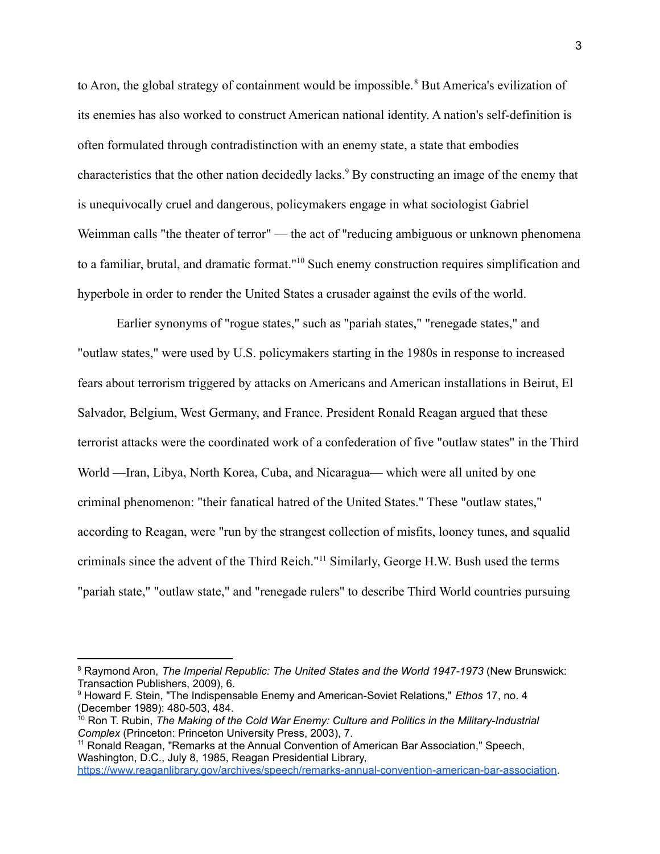to Aron, the global strategy of containment would be impossible.<sup>8</sup> But America's evilization of its enemies has also worked to construct American national identity. A nation's self-definition is often formulated through contradistinction with an enemy state, a state that embodies characteristics that the other nation decidedly lacks.<sup>9</sup> By constructing an image of the enemy that is unequivocally cruel and dangerous, policymakers engage in what sociologist Gabriel Weimman calls "the theater of terror" — the act of "reducing ambiguous or unknown phenomena to a familiar, brutal, and dramatic format."<sup>10</sup> Such enemy construction requires simplification and hyperbole in order to render the United States a crusader against the evils of the world.

Earlier synonyms of "rogue states," such as "pariah states," "renegade states," and "outlaw states," were used by U.S. policymakers starting in the 1980s in response to increased fears about terrorism triggered by attacks on Americans and American installations in Beirut, El Salvador, Belgium, West Germany, and France. President Ronald Reagan argued that these terrorist attacks were the coordinated work of a confederation of five "outlaw states" in the Third World —Iran, Libya, North Korea, Cuba, and Nicaragua— which were all united by one criminal phenomenon: "their fanatical hatred of the United States." These "outlaw states," according to Reagan, were "run by the strangest collection of misfits, looney tunes, and squalid criminals since the advent of the Third Reich."<sup>11</sup> Similarly, George H.W. Bush used the terms "pariah state," "outlaw state," and "renegade rulers" to describe Third World countries pursuing

<sup>8</sup> Raymond Aron, *The Imperial Republic: The United States and the World 1947-1973* (New Brunswick: Transaction Publishers, 2009), 6.

<sup>9</sup> Howard F. Stein, "The Indispensable Enemy and American-Soviet Relations," *Ethos* 17, no. 4 (December 1989): 480-503, 484.

<sup>10</sup> Ron T. Rubin, *The Making of the Cold War Enemy: Culture and Politics in the Military-Industrial Complex* (Princeton: Princeton University Press, 2003), 7.

<sup>&</sup>lt;sup>11</sup> Ronald Reagan, "Remarks at the Annual Convention of American Bar Association," Speech, Washington, D.C., July 8, 1985, Reagan Presidential Library,

[https://www.reaganlibrary.gov/archives/speech/remarks-annual-convention-american-bar-association.](https://www.reaganlibrary.gov/archives/speech/remarks-annual-convention-american-bar-association)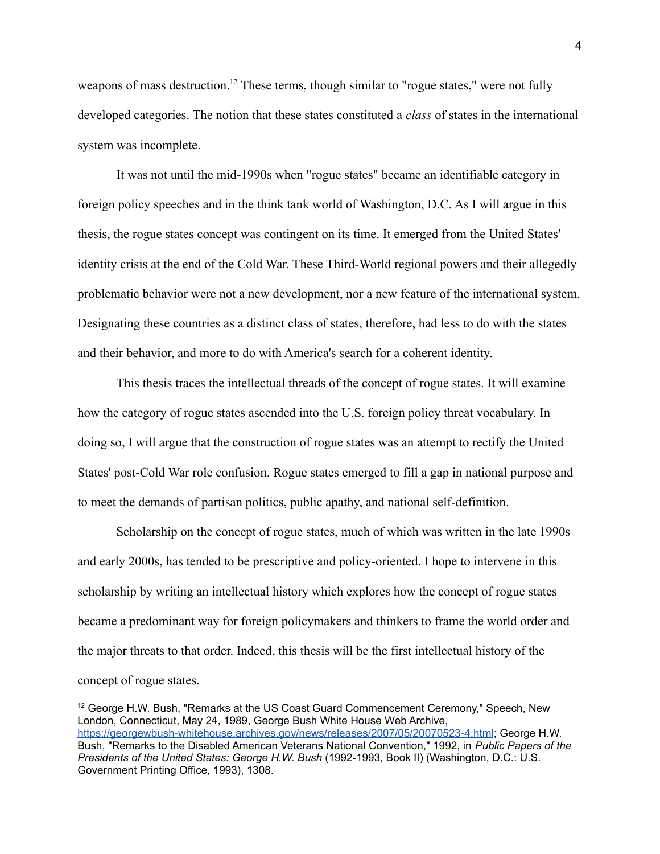weapons of mass destruction.<sup>12</sup> These terms, though similar to "rogue states," were not fully developed categories. The notion that these states constituted a *class* of states in the international system was incomplete.

It was not until the mid-1990s when "rogue states" became an identifiable category in foreign policy speeches and in the think tank world of Washington, D.C. As I will argue in this thesis, the rogue states concept was contingent on its time. It emerged from the United States' identity crisis at the end of the Cold War. These Third-World regional powers and their allegedly problematic behavior were not a new development, nor a new feature of the international system. Designating these countries as a distinct class of states, therefore, had less to do with the states and their behavior, and more to do with America's search for a coherent identity.

This thesis traces the intellectual threads of the concept of rogue states. It will examine how the category of rogue states ascended into the U.S. foreign policy threat vocabulary. In doing so, I will argue that the construction of rogue states was an attempt to rectify the United States' post-Cold War role confusion. Rogue states emerged to fill a gap in national purpose and to meet the demands of partisan politics, public apathy, and national self-definition.

Scholarship on the concept of rogue states, much of which was written in the late 1990s and early 2000s, has tended to be prescriptive and policy-oriented. I hope to intervene in this scholarship by writing an intellectual history which explores how the concept of rogue states became a predominant way for foreign policymakers and thinkers to frame the world order and the major threats to that order. Indeed, this thesis will be the first intellectual history of the concept of rogue states.

<sup>&</sup>lt;sup>12</sup> George H.W. Bush, "Remarks at the US Coast Guard Commencement Ceremony," Speech, New London, Connecticut, May 24, 1989, George Bush White House Web Archive, <https://georgewbush-whitehouse.archives.gov/news/releases/2007/05/20070523-4.html>; George H.W. Bush, "Remarks to the Disabled American Veterans National Convention," 1992, in *Public Papers of the Presidents of the United States: George H.W. Bush* (1992-1993, Book II) (Washington, D.C.: U.S. Government Printing Office, 1993), 1308.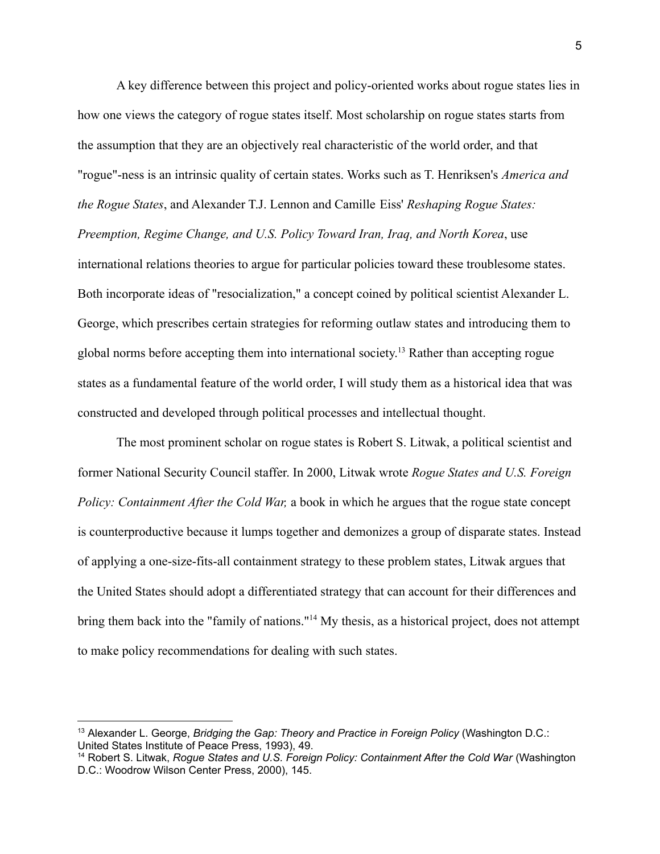A key difference between this project and policy-oriented works about rogue states lies in how one views the category of rogue states itself. Most scholarship on rogue states starts from the assumption that they are an objectively real characteristic of the world order, and that "rogue"-ness is an intrinsic quality of certain states. Works such as T. Henriksen's *America and the Rogue States*, and Alexander T.J. Lennon and Camille Eiss' *Reshaping Rogue States: Preemption, Regime Change, and U.S. Policy Toward Iran, Iraq, and North Korea*, use international relations theories to argue for particular policies toward these troublesome states. Both incorporate ideas of "resocialization," a concept coined by political scientist Alexander L. George, which prescribes certain strategies for reforming outlaw states and introducing them to global norms before accepting them into international society. <sup>13</sup> Rather than accepting rogue states as a fundamental feature of the world order, I will study them as a historical idea that was constructed and developed through political processes and intellectual thought.

The most prominent scholar on rogue states is Robert S. Litwak, a political scientist and former National Security Council staffer. In 2000, Litwak wrote *Rogue States and U.S. Foreign Policy: Containment After the Cold War,* a book in which he argues that the rogue state concept is counterproductive because it lumps together and demonizes a group of disparate states. Instead of applying a one-size-fits-all containment strategy to these problem states, Litwak argues that the United States should adopt a differentiated strategy that can account for their differences and bring them back into the "family of nations."<sup>14</sup> My thesis, as a historical project, does not attempt to make policy recommendations for dealing with such states.

<sup>13</sup> Alexander L. George, *Bridging the Gap: Theory and Practice in Foreign Policy* (Washington D.C.: United States Institute of Peace Press, 1993), 49.

<sup>14</sup> Robert S. Litwak, *Rogue States and U.S. Foreign Policy: Containment After the Cold War* (Washington D.C.: Woodrow Wilson Center Press, 2000), 145.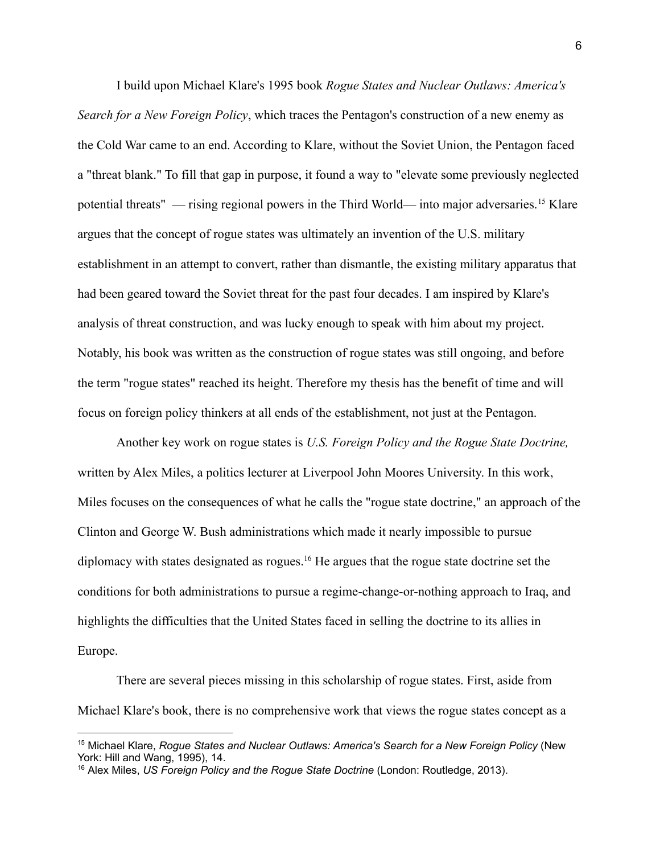I build upon Michael Klare's 1995 book *Rogue States and Nuclear Outlaws: America's Search for a New Foreign Policy*, which traces the Pentagon's construction of a new enemy as the Cold War came to an end. According to Klare, without the Soviet Union, the Pentagon faced a "threat blank." To fill that gap in purpose, it found a way to "elevate some previously neglected potential threats" — rising regional powers in the Third World— into major adversaries.<sup>15</sup> Klare argues that the concept of rogue states was ultimately an invention of the U.S. military establishment in an attempt to convert, rather than dismantle, the existing military apparatus that had been geared toward the Soviet threat for the past four decades. I am inspired by Klare's analysis of threat construction, and was lucky enough to speak with him about my project. Notably, his book was written as the construction of rogue states was still ongoing, and before the term "rogue states" reached its height. Therefore my thesis has the benefit of time and will focus on foreign policy thinkers at all ends of the establishment, not just at the Pentagon.

Another key work on rogue states is *U.S. Foreign Policy and the Rogue State Doctrine,* written by Alex Miles, a politics lecturer at Liverpool John Moores University. In this work, Miles focuses on the consequences of what he calls the "rogue state doctrine," an approach of the Clinton and George W. Bush administrations which made it nearly impossible to pursue diplomacy with states designated as rogues.<sup>16</sup> He argues that the rogue state doctrine set the conditions for both administrations to pursue a regime-change-or-nothing approach to Iraq, and highlights the difficulties that the United States faced in selling the doctrine to its allies in Europe.

There are several pieces missing in this scholarship of rogue states. First, aside from Michael Klare's book, there is no comprehensive work that views the rogue states concept as a

<sup>15</sup> Michael Klare, *Rogue States and Nuclear Outlaws: America's Search for a New Foreign Policy* (New York: Hill and Wang, 1995), 14.

<sup>16</sup> Alex Miles, *US Foreign Policy and the Rogue State Doctrine* (London: Routledge, 2013).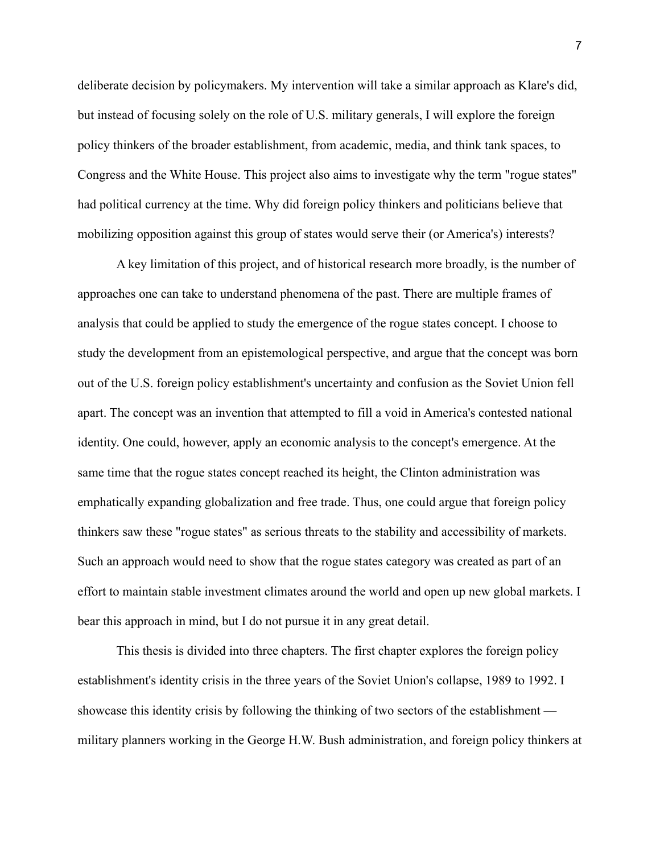deliberate decision by policymakers. My intervention will take a similar approach as Klare's did, but instead of focusing solely on the role of U.S. military generals, I will explore the foreign policy thinkers of the broader establishment, from academic, media, and think tank spaces, to Congress and the White House. This project also aims to investigate why the term "rogue states" had political currency at the time. Why did foreign policy thinkers and politicians believe that mobilizing opposition against this group of states would serve their (or America's) interests?

A key limitation of this project, and of historical research more broadly, is the number of approaches one can take to understand phenomena of the past. There are multiple frames of analysis that could be applied to study the emergence of the rogue states concept. I choose to study the development from an epistemological perspective, and argue that the concept was born out of the U.S. foreign policy establishment's uncertainty and confusion as the Soviet Union fell apart. The concept was an invention that attempted to fill a void in America's contested national identity. One could, however, apply an economic analysis to the concept's emergence. At the same time that the rogue states concept reached its height, the Clinton administration was emphatically expanding globalization and free trade. Thus, one could argue that foreign policy thinkers saw these "rogue states" as serious threats to the stability and accessibility of markets. Such an approach would need to show that the rogue states category was created as part of an effort to maintain stable investment climates around the world and open up new global markets. I bear this approach in mind, but I do not pursue it in any great detail.

This thesis is divided into three chapters. The first chapter explores the foreign policy establishment's identity crisis in the three years of the Soviet Union's collapse, 1989 to 1992. I showcase this identity crisis by following the thinking of two sectors of the establishment military planners working in the George H.W. Bush administration, and foreign policy thinkers at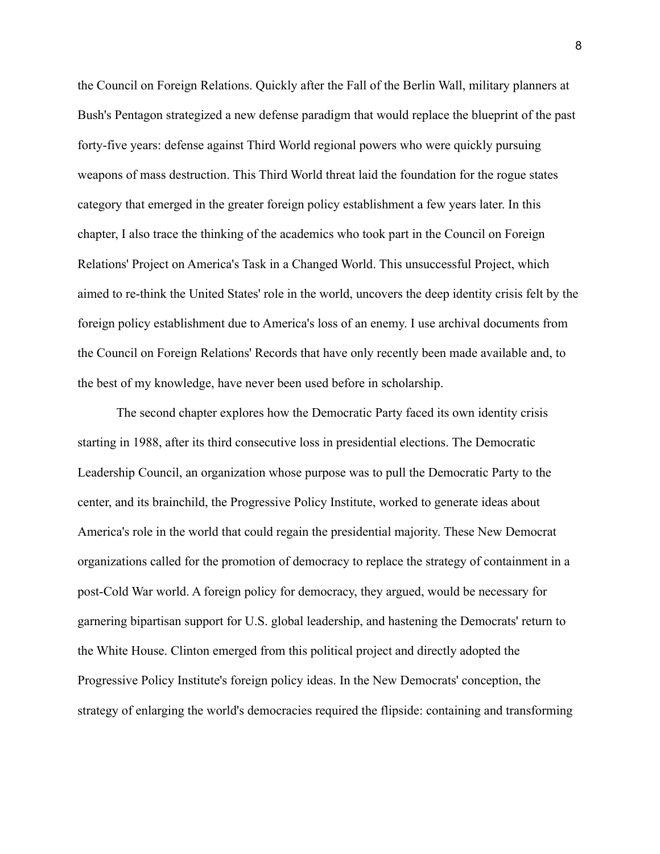the Council on Foreign Relations. Quickly after the Fall of the Berlin Wall, military planners at Bush's Pentagon strategized a new defense paradigm that would replace the blueprint of the past forty-five years: defense against Third World regional powers who were quickly pursuing weapons of mass destruction. This Third World threat laid the foundation for the rogue states category that emerged in the greater foreign policy establishment a few years later. In this chapter, I also trace the thinking of the academics who took part in the Council on Foreign Relations' Project on America's Task in a Changed World. This unsuccessful Project, which aimed to re-think the United States' role in the world, uncovers the deep identity crisis felt by the foreign policy establishment due to America's loss of an enemy. I use archival documents from the Council on Foreign Relations' Records that have only recently been made available and, to the best of my knowledge, have never been used before in scholarship.

The second chapter explores how the Democratic Party faced its own identity crisis starting in 1988, after its third consecutive loss in presidential elections. The Democratic Leadership Council, an organization whose purpose was to pull the Democratic Party to the center, and its brainchild, the Progressive Policy Institute, worked to generate ideas about America's role in the world that could regain the presidential majority. These New Democrat organizations called for the promotion of democracy to replace the strategy of containment in a post-Cold War world. A foreign policy for democracy, they argued, would be necessary for garnering bipartisan support for U.S. global leadership, and hastening the Democrats' return to the White House. Clinton emerged from this political project and directly adopted the Progressive Policy Institute's foreign policy ideas. In the New Democrats' conception, the strategy of enlarging the world's democracies required the flipside: containing and transforming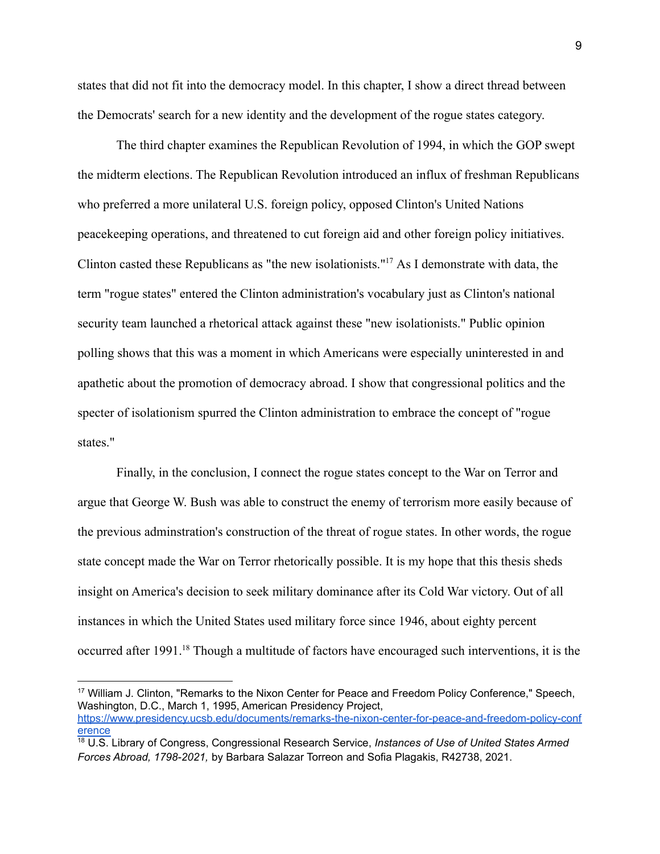states that did not fit into the democracy model. In this chapter, I show a direct thread between the Democrats' search for a new identity and the development of the rogue states category.

The third chapter examines the Republican Revolution of 1994, in which the GOP swept the midterm elections. The Republican Revolution introduced an influx of freshman Republicans who preferred a more unilateral U.S. foreign policy, opposed Clinton's United Nations peacekeeping operations, and threatened to cut foreign aid and other foreign policy initiatives. Clinton casted these Republicans as "the new isolationists."<sup>17</sup> As I demonstrate with data, the term "rogue states" entered the Clinton administration's vocabulary just as Clinton's national security team launched a rhetorical attack against these "new isolationists." Public opinion polling shows that this was a moment in which Americans were especially uninterested in and apathetic about the promotion of democracy abroad. I show that congressional politics and the specter of isolationism spurred the Clinton administration to embrace the concept of "rogue states."

Finally, in the conclusion, I connect the rogue states concept to the War on Terror and argue that George W. Bush was able to construct the enemy of terrorism more easily because of the previous adminstration's construction of the threat of rogue states. In other words, the rogue state concept made the War on Terror rhetorically possible. It is my hope that this thesis sheds insight on America's decision to seek military dominance after its Cold War victory. Out of all instances in which the United States used military force since 1946, about eighty percent occurred after 1991.<sup>18</sup> Though a multitude of factors have encouraged such interventions, it is the

<sup>&</sup>lt;sup>17</sup> William J. Clinton, "Remarks to the Nixon Center for Peace and Freedom Policy Conference," Speech, Washington, D.C., March 1, 1995, American Presidency Project, [https://www.presidency.ucsb.edu/documents/remarks-the-nixon-center-for-peace-and-freedom-policy-conf](https://www.presidency.ucsb.edu/documents/remarks-the-nixon-center-for-peace-and-freedom-policy-conference) [erence](https://www.presidency.ucsb.edu/documents/remarks-the-nixon-center-for-peace-and-freedom-policy-conference)

<sup>18</sup> U.S. Library of Congress, Congressional Research Service, *Instances of Use of United States Armed Forces Abroad, 1798-2021,* by Barbara Salazar Torreon and Sofia Plagakis, R42738, 2021.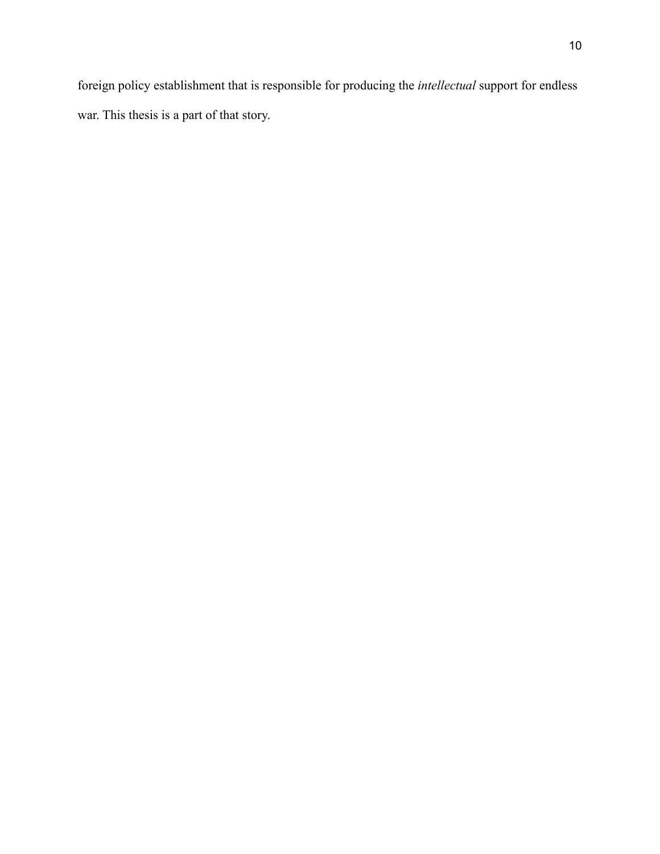foreign policy establishment that is responsible for producing the *intellectual* support for endless war. This thesis is a part of that story.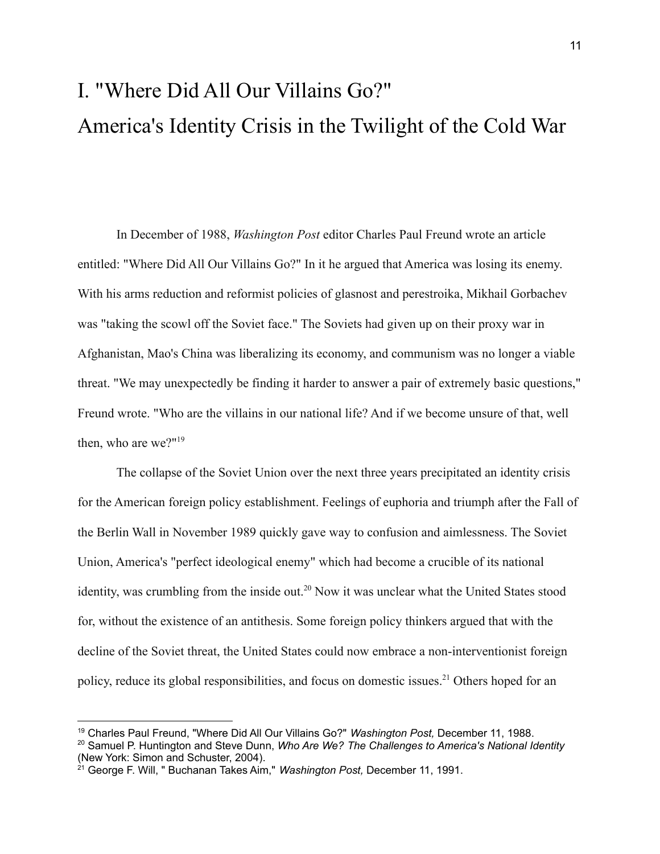# I. "Where Did All Our Villains Go?" America's Identity Crisis in the Twilight of the Cold War

In December of 1988, *Washington Post* editor Charles Paul Freund wrote an article entitled: "Where Did All Our Villains Go?" In it he argued that America was losing its enemy. With his arms reduction and reformist policies of glasnost and perestroika, Mikhail Gorbachev was "taking the scowl off the Soviet face." The Soviets had given up on their proxy war in Afghanistan, Mao's China was liberalizing its economy, and communism was no longer a viable threat. "We may unexpectedly be finding it harder to answer a pair of extremely basic questions," Freund wrote. "Who are the villains in our national life? And if we become unsure of that, well then, who are we?"<sup>19</sup>

The collapse of the Soviet Union over the next three years precipitated an identity crisis for the American foreign policy establishment. Feelings of euphoria and triumph after the Fall of the Berlin Wall in November 1989 quickly gave way to confusion and aimlessness. The Soviet Union, America's "perfect ideological enemy" which had become a crucible of its national identity, was crumbling from the inside out.<sup>20</sup> Now it was unclear what the United States stood for, without the existence of an antithesis. Some foreign policy thinkers argued that with the decline of the Soviet threat, the United States could now embrace a non-interventionist foreign policy, reduce its global responsibilities, and focus on domestic issues.<sup>21</sup> Others hoped for an

<sup>19</sup> Charles Paul Freund, "Where Did All Our Villains Go?" *Washington Post,* December 11, 1988.

<sup>20</sup> Samuel P. Huntington and Steve Dunn, *Who Are We? The Challenges to America's National Identity* (New York: Simon and Schuster, 2004).

<sup>21</sup> George F. Will, " Buchanan Takes Aim," *Washington Post,* December 11, 1991.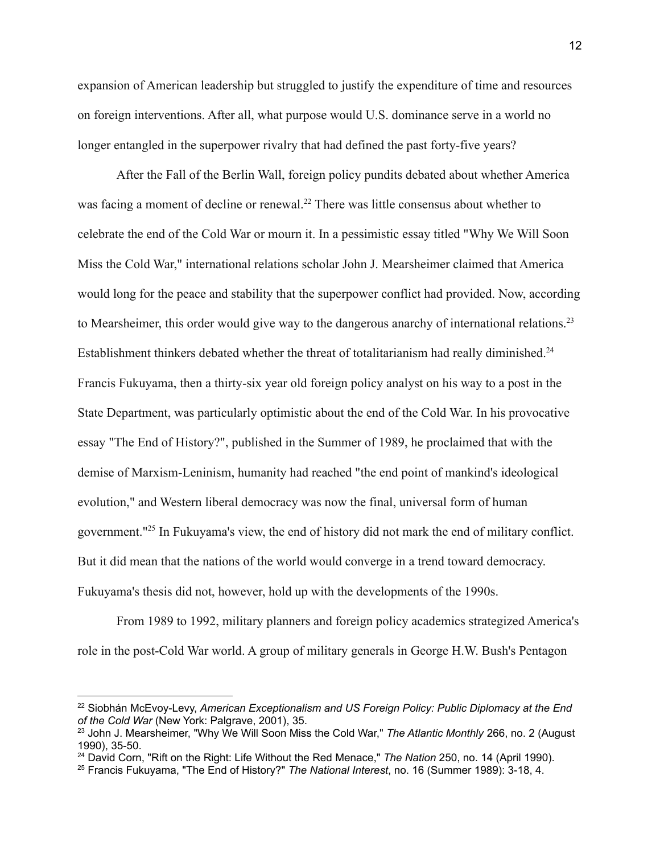expansion of American leadership but struggled to justify the expenditure of time and resources on foreign interventions. After all, what purpose would U.S. dominance serve in a world no longer entangled in the superpower rivalry that had defined the past forty-five years?

After the Fall of the Berlin Wall, foreign policy pundits debated about whether America was facing a moment of decline or renewal.<sup>22</sup> There was little consensus about whether to celebrate the end of the Cold War or mourn it. In a pessimistic essay titled "Why We Will Soon Miss the Cold War," international relations scholar John J. Mearsheimer claimed that America would long for the peace and stability that the superpower conflict had provided. Now, according to Mearsheimer, this order would give way to the dangerous anarchy of international relations.<sup>23</sup> Establishment thinkers debated whether the threat of totalitarianism had really diminished.<sup>24</sup> Francis Fukuyama, then a thirty-six year old foreign policy analyst on his way to a post in the State Department, was particularly optimistic about the end of the Cold War. In his provocative essay "The End of History?", published in the Summer of 1989, he proclaimed that with the demise of Marxism-Leninism, humanity had reached "the end point of mankind's ideological evolution," and Western liberal democracy was now the final, universal form of human government."<sup>25</sup> In Fukuyama's view, the end of history did not mark the end of military conflict. But it did mean that the nations of the world would converge in a trend toward democracy. Fukuyama's thesis did not, however, hold up with the developments of the 1990s.

From 1989 to 1992, military planners and foreign policy academics strategized America's role in the post-Cold War world. A group of military generals in George H.W. Bush's Pentagon

<sup>22</sup> Siobhán McEvoy-Levy, *American Exceptionalism and US Foreign Policy: Public Diplomacy at the End of the Cold War* (New York: Palgrave, 2001), 35.

<sup>23</sup> John J. Mearsheimer, "Why We Will Soon Miss the Cold War," *The Atlantic Monthly* 266, no. 2 (August 1990), 35-50.

<sup>24</sup> David Corn, "Rift on the Right: Life Without the Red Menace," *The Nation* 250, no. 14 (April 1990).

<sup>25</sup> Francis Fukuyama, "The End of History?" *The National Interest*, no. 16 (Summer 1989): 3-18, 4.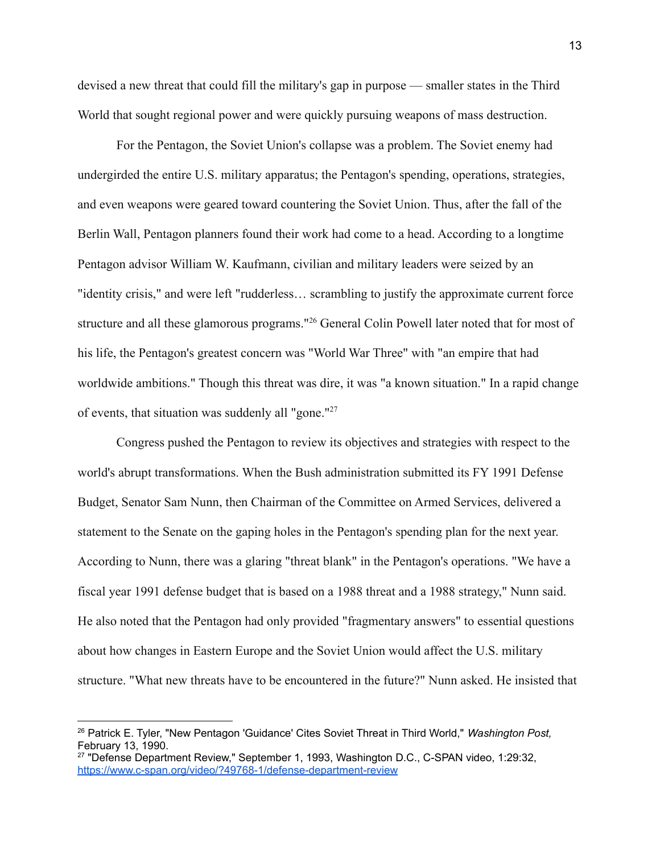devised a new threat that could fill the military's gap in purpose — smaller states in the Third World that sought regional power and were quickly pursuing weapons of mass destruction.

For the Pentagon, the Soviet Union's collapse was a problem. The Soviet enemy had undergirded the entire U.S. military apparatus; the Pentagon's spending, operations, strategies, and even weapons were geared toward countering the Soviet Union. Thus, after the fall of the Berlin Wall, Pentagon planners found their work had come to a head. According to a longtime Pentagon advisor William W. Kaufmann, civilian and military leaders were seized by an "identity crisis," and were left "rudderless… scrambling to justify the approximate current force structure and all these glamorous programs."<sup>26</sup> General Colin Powell later noted that for most of his life, the Pentagon's greatest concern was "World War Three" with "an empire that had worldwide ambitions." Though this threat was dire, it was "a known situation." In a rapid change of events, that situation was suddenly all "gone."<sup>27</sup>

Congress pushed the Pentagon to review its objectives and strategies with respect to the world's abrupt transformations. When the Bush administration submitted its FY 1991 Defense Budget, Senator Sam Nunn, then Chairman of the Committee on Armed Services, delivered a statement to the Senate on the gaping holes in the Pentagon's spending plan for the next year. According to Nunn, there was a glaring "threat blank" in the Pentagon's operations. "We have a fiscal year 1991 defense budget that is based on a 1988 threat and a 1988 strategy," Nunn said. He also noted that the Pentagon had only provided "fragmentary answers" to essential questions about how changes in Eastern Europe and the Soviet Union would affect the U.S. military structure. "What new threats have to be encountered in the future?" Nunn asked. He insisted that

<sup>26</sup> Patrick E. Tyler, "New Pentagon 'Guidance' Cites Soviet Threat in Third World," *Washington Post,* February 13, 1990.

<sup>&</sup>lt;sup>27</sup> "Defense Department Review," September 1, 1993, Washington D.C., C-SPAN video, 1:29:32, <https://www.c-span.org/video/?49768-1/defense-department-review>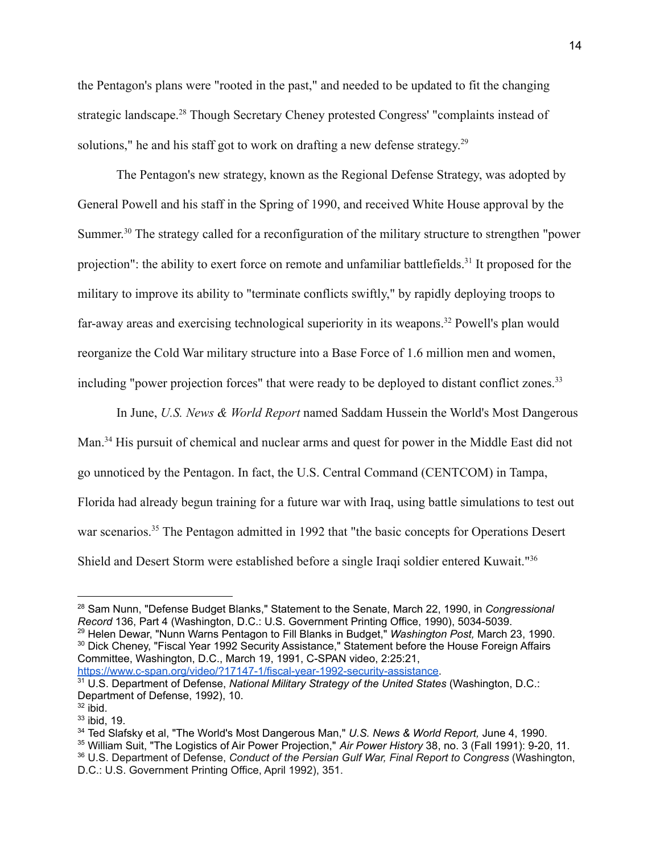the Pentagon's plans were "rooted in the past," and needed to be updated to fit the changing strategic landscape.<sup>28</sup> Though Secretary Cheney protested Congress' "complaints instead of solutions," he and his staff got to work on drafting a new defense strategy.<sup>29</sup>

The Pentagon's new strategy, known as the Regional Defense Strategy, was adopted by General Powell and his staff in the Spring of 1990, and received White House approval by the Summer.<sup>30</sup> The strategy called for a reconfiguration of the military structure to strengthen "power projection": the ability to exert force on remote and unfamiliar battlefields.<sup>31</sup> It proposed for the military to improve its ability to "terminate conflicts swiftly," by rapidly deploying troops to far-away areas and exercising technological superiority in its weapons.<sup>32</sup> Powell's plan would reorganize the Cold War military structure into a Base Force of 1.6 million men and women, including "power projection forces" that were ready to be deployed to distant conflict zones.<sup>33</sup>

In June, *U.S. News & World Report* named Saddam Hussein the World's Most Dangerous Man.<sup>34</sup> His pursuit of chemical and nuclear arms and quest for power in the Middle East did not go unnoticed by the Pentagon. In fact, the U.S. Central Command (CENTCOM) in Tampa, Florida had already begun training for a future war with Iraq, using battle simulations to test out war scenarios.<sup>35</sup> The Pentagon admitted in 1992 that "the basic concepts for Operations Desert Shield and Desert Storm were established before a single Iraqi soldier entered Kuwait."<sup>36</sup>

<sup>30</sup> Dick Cheney, "Fiscal Year 1992 Security Assistance," Statement before the House Foreign Affairs Committee, Washington, D.C., March 19, 1991, C-SPAN video, 2:25:21, <sup>29</sup> Helen Dewar, "Nunn Warns Pentagon to Fill Blanks in Budget," *Washington Post,* March 23, 1990.

<https://www.c-span.org/video/?17147-1/fiscal-year-1992-security-assistance>.

<sup>28</sup> Sam Nunn, "Defense Budget Blanks," Statement to the Senate, March 22, 1990, in *Congressional Record* 136, Part 4 (Washington, D.C.: U.S. Government Printing Office, 1990), 5034-5039.

<sup>31</sup> U.S. Department of Defense, *National Military Strategy of the United States* (Washington, D.C.: Department of Defense, 1992), 10.

 $32$  ibid.

<sup>33</sup> ibid, 19.

<sup>34</sup> Ted Slafsky et al, "The World's Most Dangerous Man," *U.S. News & World Report,* June 4, 1990.

<sup>35</sup> William Suit, "The Logistics of Air Power Projection," *Air Power History* 38, no. 3 (Fall 1991): 9-20, 11.

<sup>36</sup> U.S. Department of Defense, *Conduct of the Persian Gulf War, Final Report to Congress* (Washington, D.C.: U.S. Government Printing Office, April 1992), 351.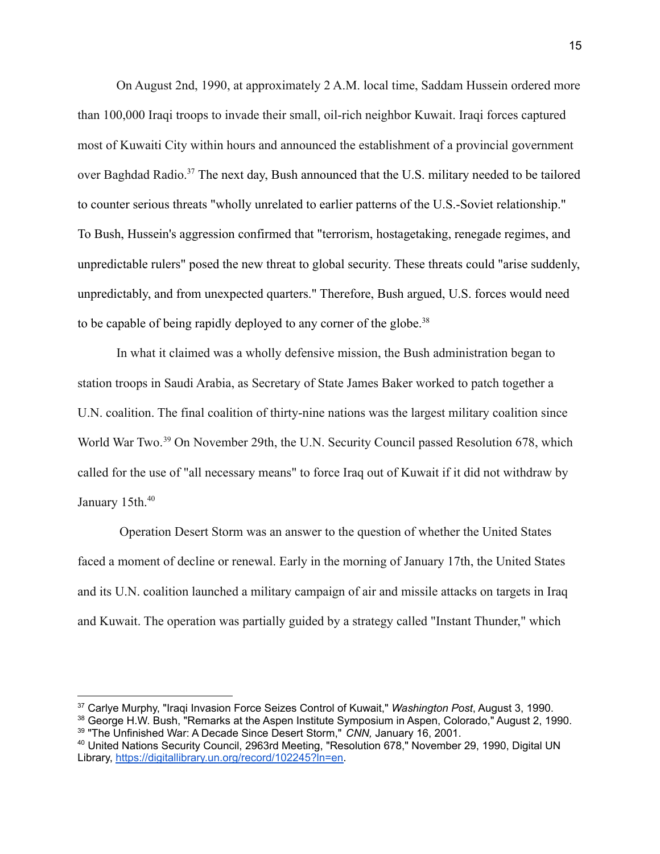On August 2nd, 1990, at approximately 2 A.M. local time, Saddam Hussein ordered more than 100,000 Iraqi troops to invade their small, oil-rich neighbor Kuwait. Iraqi forces captured most of Kuwaiti City within hours and announced the establishment of a provincial government over Baghdad Radio.<sup>37</sup> The next day, Bush announced that the U.S. military needed to be tailored to counter serious threats "wholly unrelated to earlier patterns of the U.S.-Soviet relationship." To Bush, Hussein's aggression confirmed that "terrorism, hostagetaking, renegade regimes, and unpredictable rulers" posed the new threat to global security. These threats could "arise suddenly, unpredictably, and from unexpected quarters." Therefore, Bush argued, U.S. forces would need to be capable of being rapidly deployed to any corner of the globe.<sup>38</sup>

In what it claimed was a wholly defensive mission, the Bush administration began to station troops in Saudi Arabia, as Secretary of State James Baker worked to patch together a U.N. coalition. The final coalition of thirty-nine nations was the largest military coalition since World War Two.<sup>39</sup> On November 29th, the U.N. Security Council passed Resolution 678, which called for the use of "all necessary means" to force Iraq out of Kuwait if it did not withdraw by January 15th.<sup>40</sup>

Operation Desert Storm was an answer to the question of whether the United States faced a moment of decline or renewal. Early in the morning of January 17th, the United States and its U.N. coalition launched a military campaign of air and missile attacks on targets in Iraq and Kuwait. The operation was partially guided by a strategy called "Instant Thunder," which

<sup>37</sup> Carlye Murphy, "Iraqi Invasion Force Seizes Control of Kuwait," *Washington Post*, August 3, 1990.

<sup>39</sup> "The Unfinished War: A Decade Since Desert Storm," *CNN,* January 16, 2001. <sup>38</sup> George H.W. Bush, "Remarks at the Aspen Institute Symposium in Aspen, Colorado," August 2, 1990.

<sup>40</sup> United Nations Security Council, 2963rd Meeting, "Resolution 678," November 29, 1990, Digital UN Library, [https://digitallibrary.un.org/record/102245?ln=en.](https://digitallibrary.un.org/record/102245?ln=en)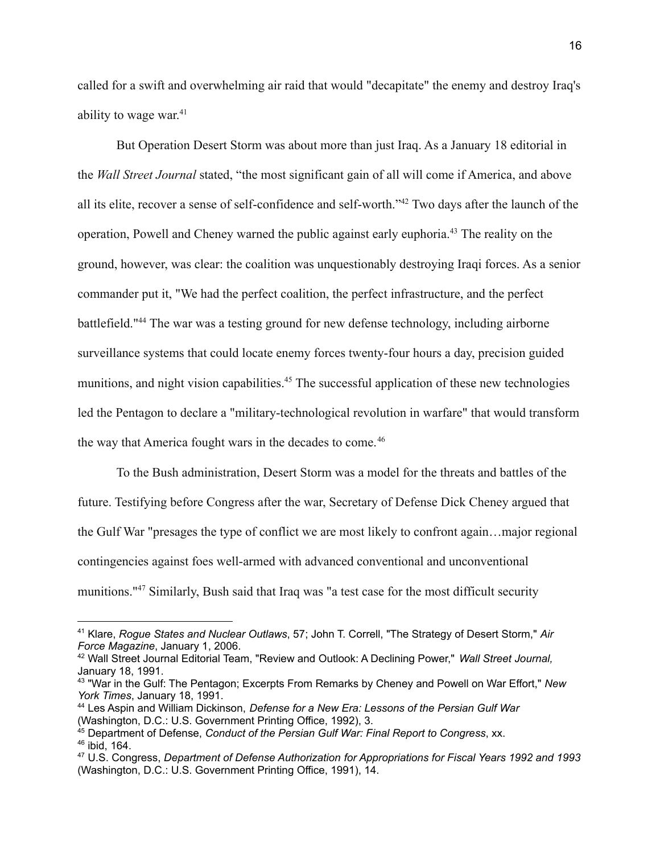called for a swift and overwhelming air raid that would "decapitate" the enemy and destroy Iraq's ability to wage war.<sup>41</sup>

But Operation Desert Storm was about more than just Iraq. As a January 18 editorial in the *Wall Street Journal* stated, "the most significant gain of all will come if America, and above all its elite, recover a sense of self-confidence and self-worth."<sup>42</sup> Two days after the launch of the operation, Powell and Cheney warned the public against early euphoria.<sup>43</sup> The reality on the ground, however, was clear: the coalition was unquestionably destroying Iraqi forces. As a senior commander put it, "We had the perfect coalition, the perfect infrastructure, and the perfect battlefield."<sup>44</sup> The war was a testing ground for new defense technology, including airborne surveillance systems that could locate enemy forces twenty-four hours a day, precision guided munitions, and night vision capabilities.<sup>45</sup> The successful application of these new technologies led the Pentagon to declare a "military-technological revolution in warfare" that would transform the way that America fought wars in the decades to come.<sup>46</sup>

To the Bush administration, Desert Storm was a model for the threats and battles of the future. Testifying before Congress after the war, Secretary of Defense Dick Cheney argued that the Gulf War "presages the type of conflict we are most likely to confront again…major regional contingencies against foes well-armed with advanced conventional and unconventional munitions."<sup>47</sup> Similarly, Bush said that Iraq was "a test case for the most difficult security

<sup>41</sup> Klare, *Rogue States and Nuclear Outlaws*, 57; John T. Correll, "The Strategy of Desert Storm," *Air Force Magazine*, January 1, 2006.

<sup>42</sup> Wall Street Journal Editorial Team, "Review and Outlook: A Declining Power," *Wall Street Journal,* January 18, 1991.

<sup>43</sup> "War in the Gulf: The Pentagon; Excerpts From Remarks by Cheney and Powell on War Effort," *New York Times*, January 18, 1991.

<sup>44</sup> Les Aspin and William Dickinson, *Defense for a New Era: Lessons of the Persian Gulf War* (Washington, D.C.: U.S. Government Printing Office, 1992), 3.

<sup>46</sup> ibid, 164. <sup>45</sup> Department of Defense, *Conduct of the Persian Gulf War: Final Report to Congress*, xx.

<sup>47</sup> U.S. Congress, *Department of Defense Authorization for Appropriations for Fiscal Years 1992 and 1993* (Washington, D.C.: U.S. Government Printing Office, 1991), 14.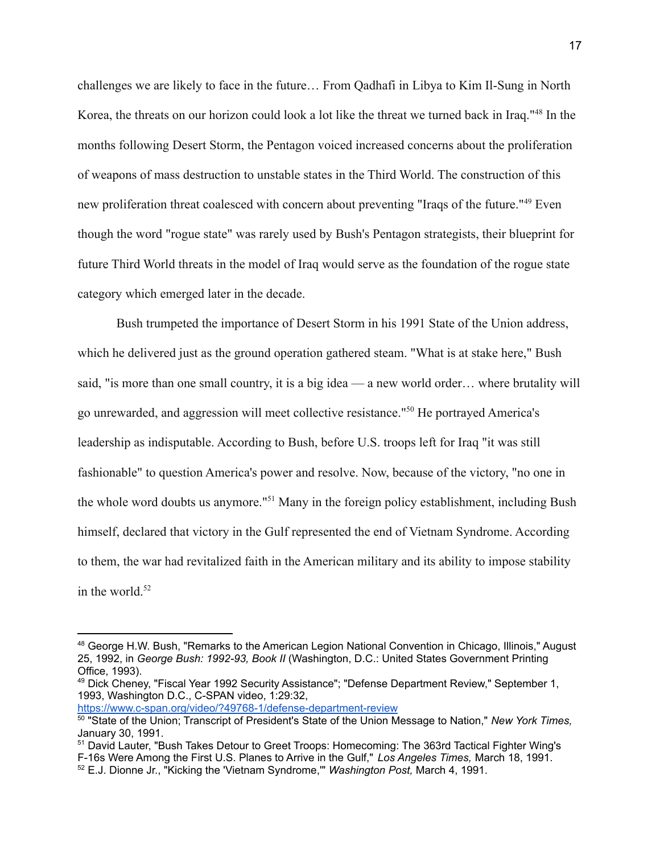challenges we are likely to face in the future… From Qadhafi in Libya to Kim Il-Sung in North Korea, the threats on our horizon could look a lot like the threat we turned back in Iraq."<sup>48</sup> In the months following Desert Storm, the Pentagon voiced increased concerns about the proliferation of weapons of mass destruction to unstable states in the Third World. The construction of this new proliferation threat coalesced with concern about preventing "Iraqs of the future."<sup>49</sup> Even though the word "rogue state" was rarely used by Bush's Pentagon strategists, their blueprint for future Third World threats in the model of Iraq would serve as the foundation of the rogue state category which emerged later in the decade.

Bush trumpeted the importance of Desert Storm in his 1991 State of the Union address, which he delivered just as the ground operation gathered steam. "What is at stake here," Bush said, "is more than one small country, it is a big idea — a new world order… where brutality will go unrewarded, and aggression will meet collective resistance."<sup>50</sup> He portrayed America's leadership as indisputable. According to Bush, before U.S. troops left for Iraq "it was still fashionable" to question America's power and resolve. Now, because of the victory, "no one in the whole word doubts us anymore."<sup>51</sup> Many in the foreign policy establishment, including Bush himself, declared that victory in the Gulf represented the end of Vietnam Syndrome. According to them, the war had revitalized faith in the American military and its ability to impose stability in the world. $52$ 

<https://www.c-span.org/video/?49768-1/defense-department-review>

<sup>48</sup> George H.W. Bush, "Remarks to the American Legion National Convention in Chicago, Illinois," August 25, 1992, in *George Bush: 1992-93, Book II* (Washington, D.C.: United States Government Printing Office, 1993).

<sup>49</sup> Dick Cheney, "Fiscal Year 1992 Security Assistance"; "Defense Department Review," September 1, 1993, Washington D.C., C-SPAN video, 1:29:32,

<sup>50</sup> "State of the Union; Transcript of President's State of the Union Message to Nation," *New York Times,* January 30, 1991.

<sup>51</sup> David Lauter, "Bush Takes Detour to Greet Troops: Homecoming: The 363rd Tactical Fighter Wing's F-16s Were Among the First U.S. Planes to Arrive in the Gulf," *Los Angeles Times,* March 18, 1991.

<sup>52</sup> E.J. Dionne Jr., "Kicking the 'Vietnam Syndrome,'" *Washington Post,* March 4, 1991.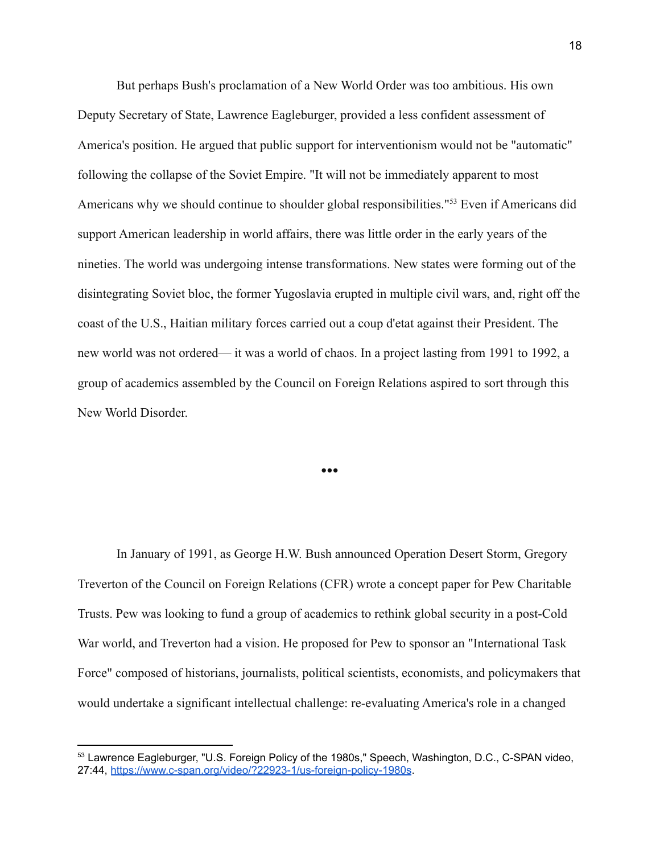But perhaps Bush's proclamation of a New World Order was too ambitious. His own Deputy Secretary of State, Lawrence Eagleburger, provided a less confident assessment of America's position. He argued that public support for interventionism would not be "automatic" following the collapse of the Soviet Empire. "It will not be immediately apparent to most Americans why we should continue to shoulder global responsibilities."<sup>53</sup> Even if Americans did support American leadership in world affairs, there was little order in the early years of the nineties. The world was undergoing intense transformations. New states were forming out of the disintegrating Soviet bloc, the former Yugoslavia erupted in multiple civil wars, and, right off the coast of the U.S., Haitian military forces carried out a coup d'etat against their President. The new world was not ordered— it was a world of chaos. In a project lasting from 1991 to 1992, a group of academics assembled by the Council on Foreign Relations aspired to sort through this New World Disorder.

In January of 1991, as George H.W. Bush announced Operation Desert Storm, Gregory Treverton of the Council on Foreign Relations (CFR) wrote a concept paper for Pew Charitable Trusts. Pew was looking to fund a group of academics to rethink global security in a post-Cold War world, and Treverton had a vision. He proposed for Pew to sponsor an "International Task Force" composed of historians, journalists, political scientists, economists, and policymakers that would undertake a significant intellectual challenge: re-evaluating America's role in a changed

●●●

<sup>53</sup> Lawrence Eagleburger, "U.S. Foreign Policy of the 1980s," Speech, Washington, D.C., C-SPAN video, 27:44, <https://www.c-span.org/video/?22923-1/us-foreign-policy-1980s>.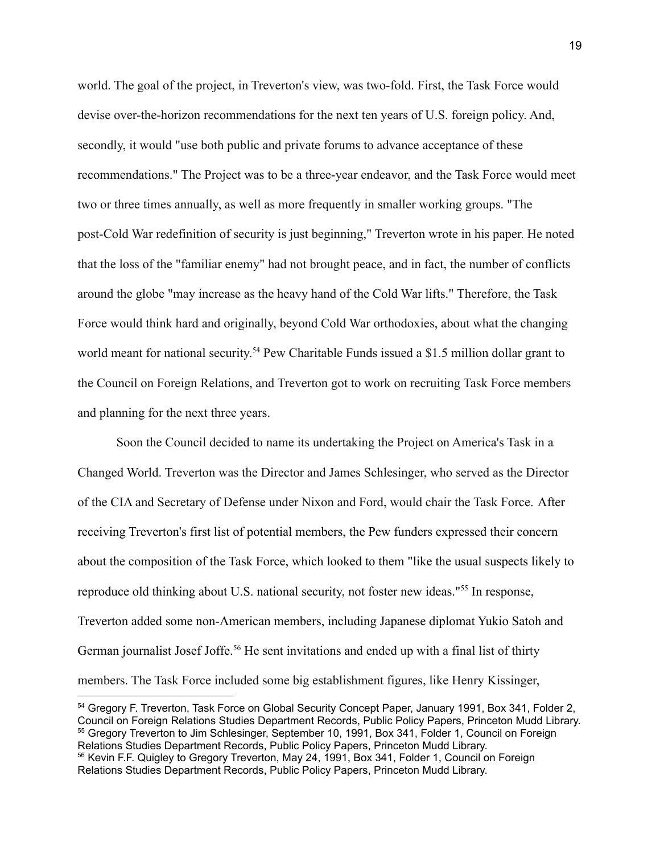world. The goal of the project, in Treverton's view, was two-fold. First, the Task Force would devise over-the-horizon recommendations for the next ten years of U.S. foreign policy. And, secondly, it would "use both public and private forums to advance acceptance of these recommendations." The Project was to be a three-year endeavor, and the Task Force would meet two or three times annually, as well as more frequently in smaller working groups. "The post-Cold War redefinition of security is just beginning," Treverton wrote in his paper. He noted that the loss of the "familiar enemy" had not brought peace, and in fact, the number of conflicts around the globe "may increase as the heavy hand of the Cold War lifts." Therefore, the Task Force would think hard and originally, beyond Cold War orthodoxies, about what the changing world meant for national security.<sup>54</sup> Pew Charitable Funds issued a \$1.5 million dollar grant to the Council on Foreign Relations, and Treverton got to work on recruiting Task Force members and planning for the next three years.

Soon the Council decided to name its undertaking the Project on America's Task in a Changed World. Treverton was the Director and James Schlesinger, who served as the Director of the CIA and Secretary of Defense under Nixon and Ford, would chair the Task Force. After receiving Treverton's first list of potential members, the Pew funders expressed their concern about the composition of the Task Force, which looked to them "like the usual suspects likely to reproduce old thinking about U.S. national security, not foster new ideas."<sup>55</sup> In response, Treverton added some non-American members, including Japanese diplomat Yukio Satoh and German journalist Josef Joffe.<sup>56</sup> He sent invitations and ended up with a final list of thirty members. The Task Force included some big establishment figures, like Henry Kissinger,

<sup>&</sup>lt;sup>56</sup> Kevin F.F. Quigley to Gregory Treverton, May 24, 1991, Box 341, Folder 1, Council on Foreign Relations Studies Department Records, Public Policy Papers, Princeton Mudd Library. 55 Gregory Treverton to Jim Schlesinger, September 10, 1991, Box 341, Folder 1, Council on Foreign Relations Studies Department Records, Public Policy Papers, Princeton Mudd Library. <sup>54</sup> Gregory F. Treverton, Task Force on Global Security Concept Paper, January 1991, Box 341, Folder 2, Council on Foreign Relations Studies Department Records, Public Policy Papers, Princeton Mudd Library.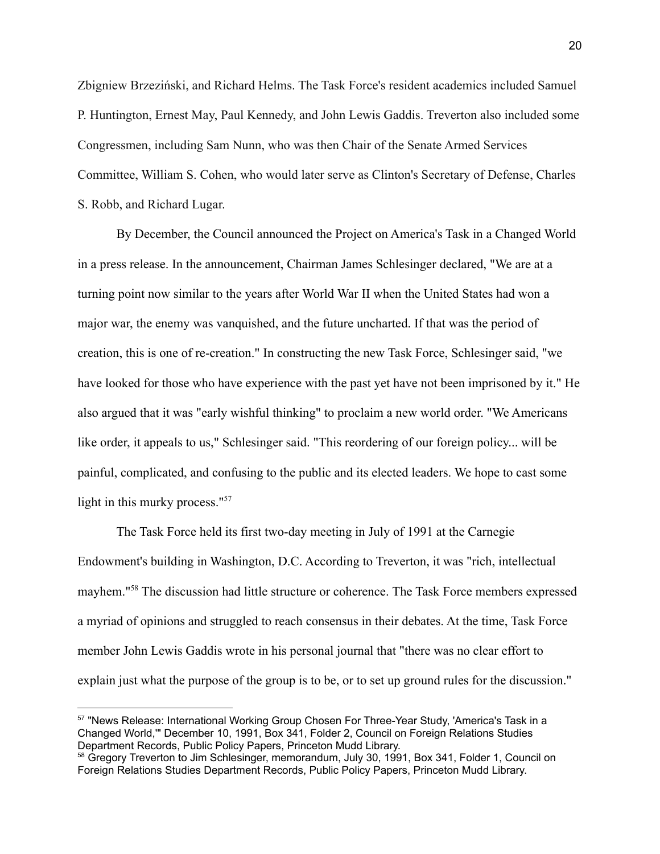Zbigniew Brzeziński, and Richard Helms. The Task Force's resident academics included Samuel P. Huntington, Ernest May, Paul Kennedy, and John Lewis Gaddis. Treverton also included some Congressmen, including Sam Nunn, who was then Chair of the Senate Armed Services Committee, William S. Cohen, who would later serve as Clinton's Secretary of Defense, Charles S. Robb, and Richard Lugar.

By December, the Council announced the Project on America's Task in a Changed World in a press release. In the announcement, Chairman James Schlesinger declared, "We are at a turning point now similar to the years after World War II when the United States had won a major war, the enemy was vanquished, and the future uncharted. If that was the period of creation, this is one of re-creation." In constructing the new Task Force, Schlesinger said, "we have looked for those who have experience with the past yet have not been imprisoned by it." He also argued that it was "early wishful thinking" to proclaim a new world order. "We Americans like order, it appeals to us," Schlesinger said. "This reordering of our foreign policy... will be painful, complicated, and confusing to the public and its elected leaders. We hope to cast some light in this murky process."<sup>57</sup>

The Task Force held its first two-day meeting in July of 1991 at the Carnegie Endowment's building in Washington, D.C. According to Treverton, it was "rich, intellectual mayhem."<sup>58</sup> The discussion had little structure or coherence. The Task Force members expressed a myriad of opinions and struggled to reach consensus in their debates. At the time, Task Force member John Lewis Gaddis wrote in his personal journal that "there was no clear effort to explain just what the purpose of the group is to be, or to set up ground rules for the discussion."

<sup>&</sup>lt;sup>57</sup> "News Release: International Working Group Chosen For Three-Year Study, 'America's Task in a Changed World,'" December 10, 1991, Box 341, Folder 2, Council on Foreign Relations Studies Department Records, Public Policy Papers, Princeton Mudd Library.

<sup>58</sup> Gregory Treverton to Jim Schlesinger, memorandum, July 30, 1991, Box 341, Folder 1, Council on Foreign Relations Studies Department Records, Public Policy Papers, Princeton Mudd Library.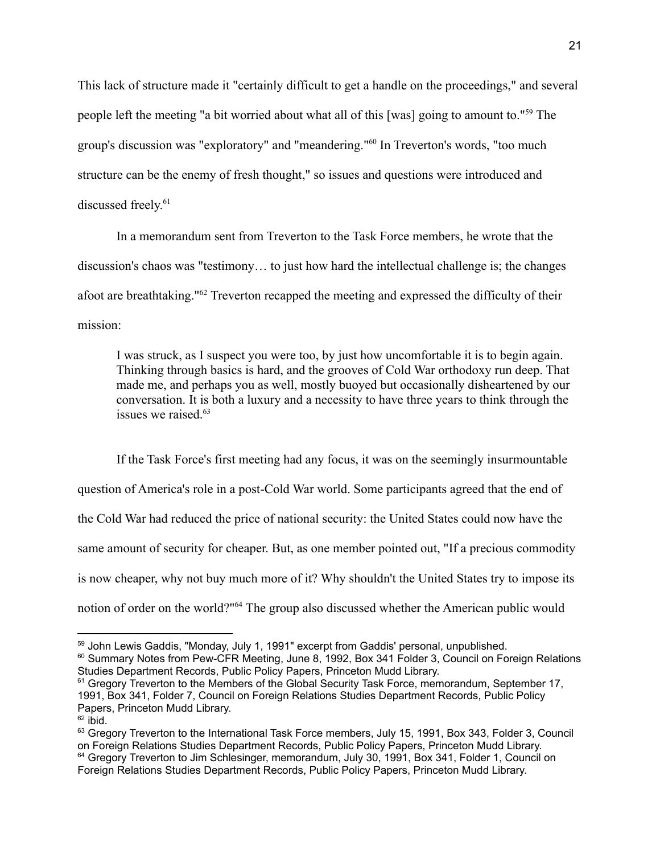This lack of structure made it "certainly difficult to get a handle on the proceedings," and several people left the meeting "a bit worried about what all of this [was] going to amount to."<sup>59</sup> The group's discussion was "exploratory" and "meandering."<sup>60</sup> In Treverton's words, "too much structure can be the enemy of fresh thought," so issues and questions were introduced and discussed freely. 61

In a memorandum sent from Treverton to the Task Force members, he wrote that the discussion's chaos was "testimony… to just how hard the intellectual challenge is; the changes afoot are breathtaking."<sup>62</sup> Treverton recapped the meeting and expressed the difficulty of their mission:

I was struck, as I suspect you were too, by just how uncomfortable it is to begin again. Thinking through basics is hard, and the grooves of Cold War orthodoxy run deep. That made me, and perhaps you as well, mostly buoyed but occasionally disheartened by our conversation. It is both a luxury and a necessity to have three years to think through the issues we raised.<sup>63</sup>

If the Task Force's first meeting had any focus, it was on the seemingly insurmountable question of America's role in a post-Cold War world. Some participants agreed that the end of the Cold War had reduced the price of national security: the United States could now have the same amount of security for cheaper. But, as one member pointed out, "If a precious commodity is now cheaper, why not buy much more of it? Why shouldn't the United States try to impose its notion of order on the world?"<sup>64</sup> The group also discussed whether the American public would

<sup>&</sup>lt;sup>59</sup> John Lewis Gaddis, "Monday, July 1, 1991" excerpt from Gaddis' personal, unpublished.

<sup>&</sup>lt;sup>60</sup> Summary Notes from Pew-CFR Meeting, June 8, 1992, Box 341 Folder 3, Council on Foreign Relations Studies Department Records, Public Policy Papers, Princeton Mudd Library.

<sup>&</sup>lt;sup>61</sup> Gregory Treverton to the Members of the Global Security Task Force, memorandum, September 17, 1991, Box 341, Folder 7, Council on Foreign Relations Studies Department Records, Public Policy Papers, Princeton Mudd Library.

 $62$  ibid.

<sup>&</sup>lt;sup>64</sup> Gregory Treverton to Jim Schlesinger, memorandum, July 30, 1991, Box 341, Folder 1, Council on Foreign Relations Studies Department Records, Public Policy Papers, Princeton Mudd Library. <sup>63</sup> Gregory Treverton to the International Task Force members, July 15, 1991, Box 343, Folder 3, Council on Foreign Relations Studies Department Records, Public Policy Papers, Princeton Mudd Library.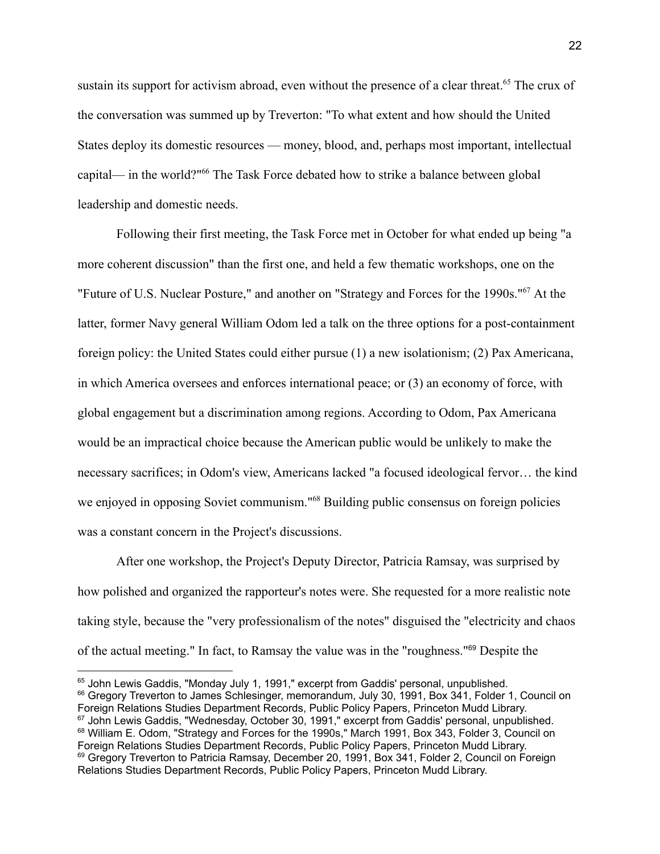sustain its support for activism abroad, even without the presence of a clear threat.<sup>65</sup> The crux of the conversation was summed up by Treverton: "To what extent and how should the United States deploy its domestic resources — money, blood, and, perhaps most important, intellectual capital— in the world?"<sup>66</sup> The Task Force debated how to strike a balance between global leadership and domestic needs.

Following their first meeting, the Task Force met in October for what ended up being "a more coherent discussion" than the first one, and held a few thematic workshops, one on the "Future of U.S. Nuclear Posture," and another on "Strategy and Forces for the 1990s."<sup>67</sup> At the latter, former Navy general William Odom led a talk on the three options for a post-containment foreign policy: the United States could either pursue (1) a new isolationism; (2) Pax Americana, in which America oversees and enforces international peace; or (3) an economy of force, with global engagement but a discrimination among regions. According to Odom, Pax Americana would be an impractical choice because the American public would be unlikely to make the necessary sacrifices; in Odom's view, Americans lacked "a focused ideological fervor… the kind we enjoyed in opposing Soviet communism."<sup>68</sup> Building public consensus on foreign policies was a constant concern in the Project's discussions.

After one workshop, the Project's Deputy Director, Patricia Ramsay, was surprised by how polished and organized the rapporteur's notes were. She requested for a more realistic note taking style, because the "very professionalism of the notes" disguised the "electricity and chaos of the actual meeting." In fact, to Ramsay the value was in the "roughness."<sup>69</sup> Despite the

<sup>&</sup>lt;sup>69</sup> Gregory Treverton to Patricia Ramsay, December 20, 1991, Box 341, Folder 2, Council on Foreign Relations Studies Department Records, Public Policy Papers, Princeton Mudd Library. 68 William E. Odom, "Strategy and Forces for the 1990s," March 1991, Box 343, Folder 3, Council on Foreign Relations Studies Department Records, Public Policy Papers, Princeton Mudd Library. <sup>67</sup> John Lewis Gaddis, "Wednesday, October 30, 1991," excerpt from Gaddis' personal, unpublished. <sup>66</sup> Gregory Treverton to James Schlesinger, memorandum, July 30, 1991, Box 341, Folder 1, Council on Foreign Relations Studies Department Records, Public Policy Papers, Princeton Mudd Library. <sup>65</sup> John Lewis Gaddis, "Monday July 1, 1991," excerpt from Gaddis' personal, unpublished.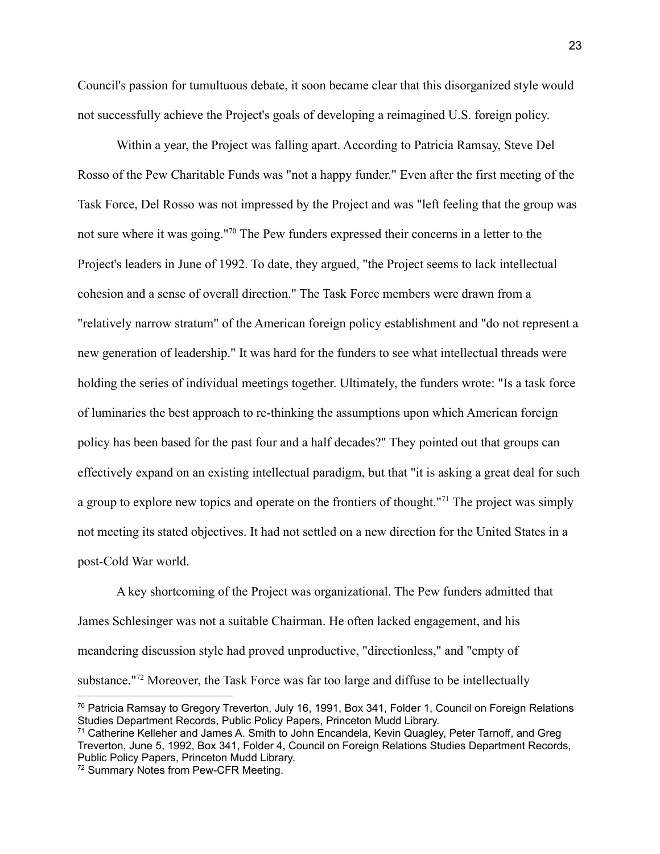Council's passion for tumultuous debate, it soon became clear that this disorganized style would not successfully achieve the Project's goals of developing a reimagined U.S. foreign policy.

Within a year, the Project was falling apart. According to Patricia Ramsay, Steve Del Rosso of the Pew Charitable Funds was "not a happy funder." Even after the first meeting of the Task Force, Del Rosso was not impressed by the Project and was "left feeling that the group was not sure where it was going."<sup>70</sup> The Pew funders expressed their concerns in a letter to the Project's leaders in June of 1992. To date, they argued, "the Project seems to lack intellectual cohesion and a sense of overall direction." The Task Force members were drawn from a "relatively narrow stratum" of the American foreign policy establishment and "do not represent a new generation of leadership." It was hard for the funders to see what intellectual threads were holding the series of individual meetings together. Ultimately, the funders wrote: "Is a task force of luminaries the best approach to re-thinking the assumptions upon which American foreign policy has been based for the past four and a half decades?" They pointed out that groups can effectively expand on an existing intellectual paradigm, but that "it is asking a great deal for such a group to explore new topics and operate on the frontiers of thought."<sup>71</sup> The project was simply not meeting its stated objectives. It had not settled on a new direction for the United States in a post-Cold War world.

A key shortcoming of the Project was organizational. The Pew funders admitted that James Schlesinger was not a suitable Chairman. He often lacked engagement, and his meandering discussion style had proved unproductive, "directionless," and "empty of substance."<sup>72</sup> Moreover, the Task Force was far too large and diffuse to be intellectually

<sup>70</sup> Patricia Ramsay to Gregory Treverton, July 16, 1991, Box 341, Folder 1, Council on Foreign Relations Studies Department Records, Public Policy Papers, Princeton Mudd Library.

<sup>71</sup> Catherine Kelleher and James A. Smith to John Encandela, Kevin Quagley, Peter Tarnoff, and Greg Treverton, June 5, 1992, Box 341, Folder 4, Council on Foreign Relations Studies Department Records, Public Policy Papers, Princeton Mudd Library.

<sup>72</sup> Summary Notes from Pew-CFR Meeting.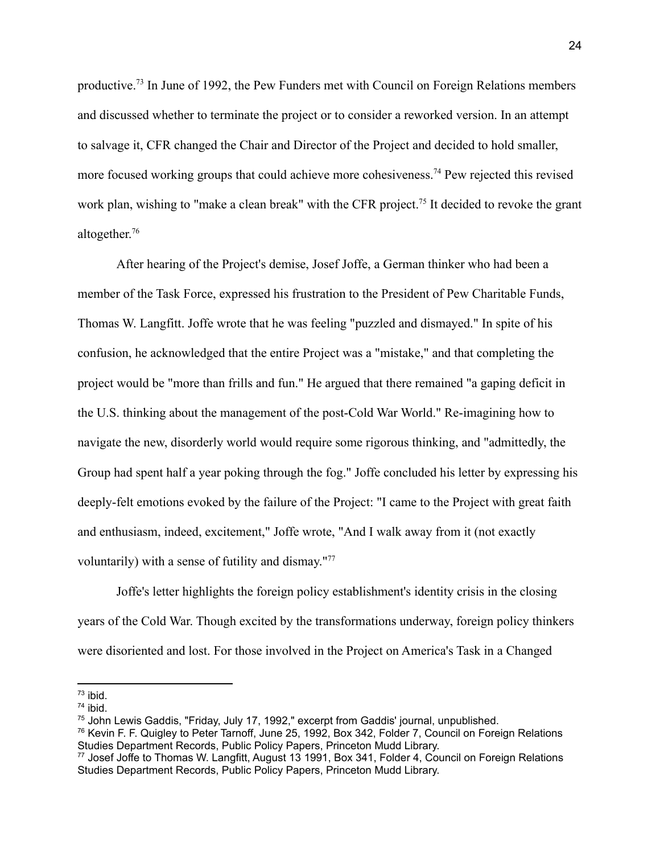productive.<sup>73</sup> In June of 1992, the Pew Funders met with Council on Foreign Relations members and discussed whether to terminate the project or to consider a reworked version. In an attempt to salvage it, CFR changed the Chair and Director of the Project and decided to hold smaller, more focused working groups that could achieve more cohesiveness.<sup>74</sup> Pew rejected this revised work plan, wishing to "make a clean break" with the CFR project.<sup>75</sup> It decided to revoke the grant altogether. 76

After hearing of the Project's demise, Josef Joffe, a German thinker who had been a member of the Task Force, expressed his frustration to the President of Pew Charitable Funds, Thomas W. Langfitt. Joffe wrote that he was feeling "puzzled and dismayed." In spite of his confusion, he acknowledged that the entire Project was a "mistake," and that completing the project would be "more than frills and fun." He argued that there remained "a gaping deficit in the U.S. thinking about the management of the post-Cold War World." Re-imagining how to navigate the new, disorderly world would require some rigorous thinking, and "admittedly, the Group had spent half a year poking through the fog." Joffe concluded his letter by expressing his deeply-felt emotions evoked by the failure of the Project: "I came to the Project with great faith and enthusiasm, indeed, excitement," Joffe wrote, "And I walk away from it (not exactly voluntarily) with a sense of futility and dismay."<sup>77</sup>

Joffe's letter highlights the foreign policy establishment's identity crisis in the closing years of the Cold War. Though excited by the transformations underway, foreign policy thinkers were disoriented and lost. For those involved in the Project on America's Task in a Changed

 $73$  ibid.

 $74$  ibid.

<sup>75</sup> John Lewis Gaddis, "Friday, July 17, 1992," excerpt from Gaddis' journal, unpublished.

<sup>76</sup> Kevin F. F. Quigley to Peter Tarnoff, June 25, 1992, Box 342, Folder 7, Council on Foreign Relations Studies Department Records, Public Policy Papers, Princeton Mudd Library.

 $^{77}$  Josef Joffe to Thomas W. Langfitt, August 13 1991, Box 341, Folder 4, Council on Foreign Relations Studies Department Records, Public Policy Papers, Princeton Mudd Library.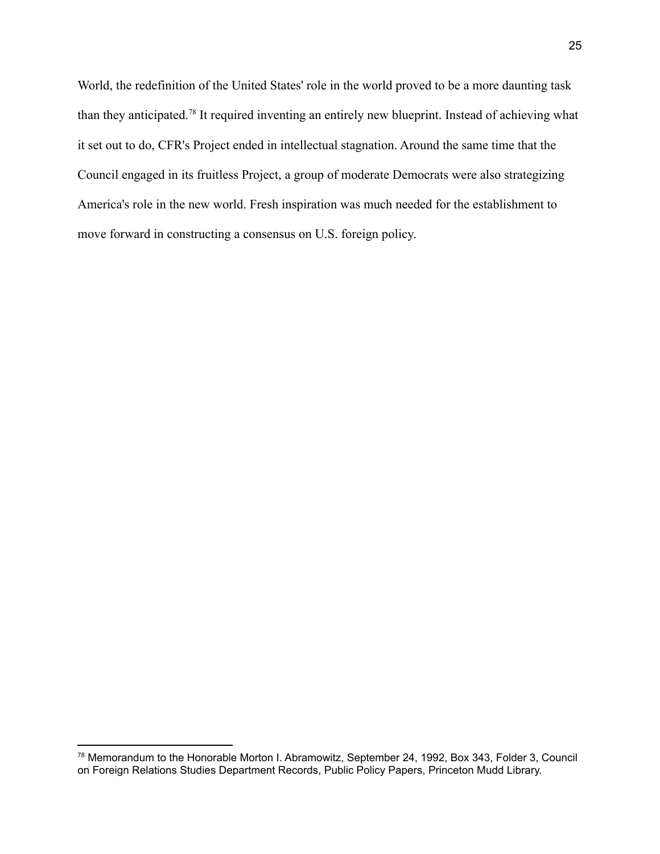World, the redefinition of the United States' role in the world proved to be a more daunting task than they anticipated.<sup>78</sup> It required inventing an entirely new blueprint. Instead of achieving what it set out to do, CFR's Project ended in intellectual stagnation. Around the same time that the Council engaged in its fruitless Project, a group of moderate Democrats were also strategizing America's role in the new world. Fresh inspiration was much needed for the establishment to move forward in constructing a consensus on U.S. foreign policy.

<sup>78</sup> Memorandum to the Honorable Morton I. Abramowitz, September 24, 1992, Box 343, Folder 3, Council on Foreign Relations Studies Department Records, Public Policy Papers, Princeton Mudd Library.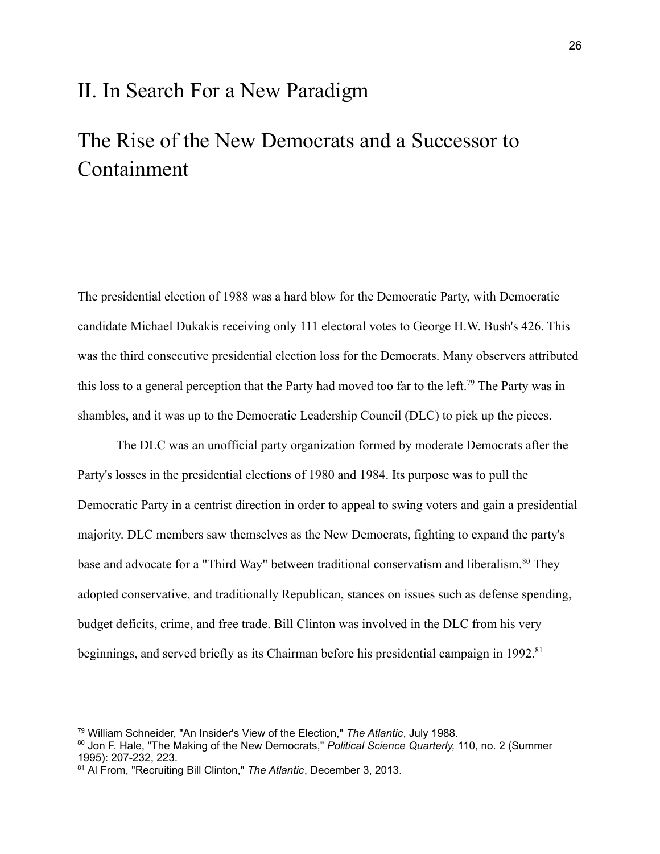### II. In Search For a New Paradigm

## The Rise of the New Democrats and a Successor to Containment

The presidential election of 1988 was a hard blow for the Democratic Party, with Democratic candidate Michael Dukakis receiving only 111 electoral votes to George H.W. Bush's 426. This was the third consecutive presidential election loss for the Democrats. Many observers attributed this loss to a general perception that the Party had moved too far to the left.<sup>79</sup> The Party was in shambles, and it was up to the Democratic Leadership Council (DLC) to pick up the pieces.

The DLC was an unofficial party organization formed by moderate Democrats after the Party's losses in the presidential elections of 1980 and 1984. Its purpose was to pull the Democratic Party in a centrist direction in order to appeal to swing voters and gain a presidential majority. DLC members saw themselves as the New Democrats, fighting to expand the party's base and advocate for a "Third Way" between traditional conservatism and liberalism.<sup>80</sup> They adopted conservative, and traditionally Republican, stances on issues such as defense spending, budget deficits, crime, and free trade. Bill Clinton was involved in the DLC from his very beginnings, and served briefly as its Chairman before his presidential campaign in 1992.<sup>81</sup>

<sup>79</sup> William Schneider, "An Insider's View of the Election," *The Atlantic*, July 1988.

<sup>80</sup> Jon F. Hale, "The Making of the New Democrats," *Political Science Quarterly,* 110, no. 2 (Summer 1995): 207-232, 223.

<sup>81</sup> Al From, "Recruiting Bill Clinton," *The Atlantic*, December 3, 2013.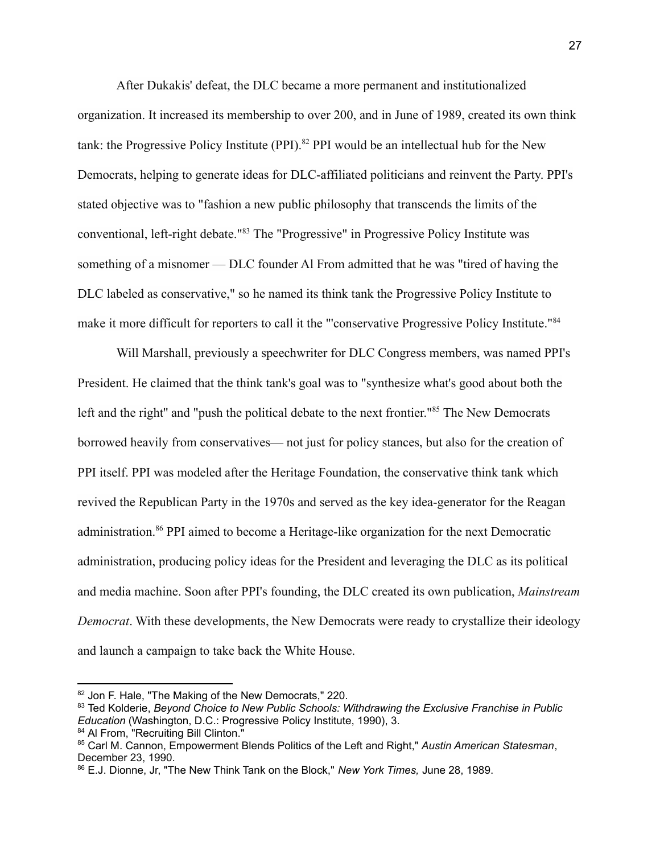After Dukakis' defeat, the DLC became a more permanent and institutionalized organization. It increased its membership to over 200, and in June of 1989, created its own think tank: the Progressive Policy Institute (PPI).<sup>82</sup> PPI would be an intellectual hub for the New Democrats, helping to generate ideas for DLC-affiliated politicians and reinvent the Party. PPI's stated objective was to "fashion a new public philosophy that transcends the limits of the conventional, left-right debate."<sup>83</sup> The "Progressive" in Progressive Policy Institute was something of a misnomer — DLC founder Al From admitted that he was "tired of having the DLC labeled as conservative," so he named its think tank the Progressive Policy Institute to make it more difficult for reporters to call it the "'conservative Progressive Policy Institute."<sup>84</sup>

Will Marshall, previously a speechwriter for DLC Congress members, was named PPI's President. He claimed that the think tank's goal was to "synthesize what's good about both the left and the right" and "push the political debate to the next frontier."<sup>85</sup> The New Democrats borrowed heavily from conservatives— not just for policy stances, but also for the creation of PPI itself. PPI was modeled after the Heritage Foundation, the conservative think tank which revived the Republican Party in the 1970s and served as the key idea-generator for the Reagan administration.<sup>86</sup> PPI aimed to become a Heritage-like organization for the next Democratic administration, producing policy ideas for the President and leveraging the DLC as its political and media machine. Soon after PPI's founding, the DLC created its own publication, *Mainstream Democrat*. With these developments, the New Democrats were ready to crystallize their ideology and launch a campaign to take back the White House.

<sup>82</sup> Jon F. Hale, "The Making of the New Democrats," 220.

<sup>84</sup> Al From, "Recruiting Bill Clinton." <sup>83</sup> Ted Kolderie, *Beyond Choice to New Public Schools: Withdrawing the Exclusive Franchise in Public Education* (Washington, D.C.: Progressive Policy Institute, 1990), 3.

<sup>85</sup> Carl M. Cannon, Empowerment Blends Politics of the Left and Right," *Austin American Statesman*, December 23, 1990.

<sup>86</sup> E.J. Dionne, Jr, "The New Think Tank on the Block," *New York Times,* June 28, 1989.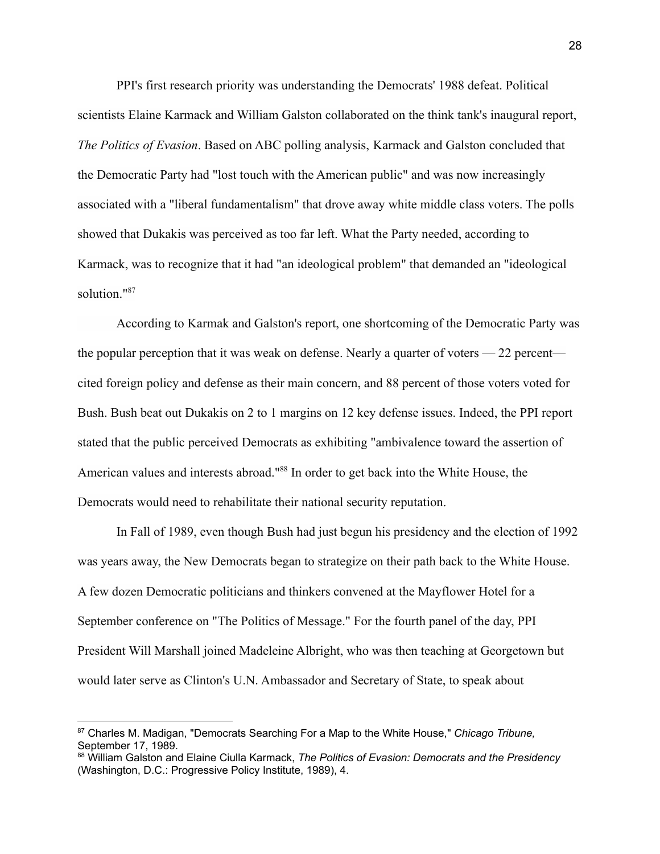PPI's first research priority was understanding the Democrats' 1988 defeat. Political scientists Elaine Karmack and William Galston collaborated on the think tank's inaugural report, *The Politics of Evasion*. Based on ABC polling analysis, Karmack and Galston concluded that the Democratic Party had "lost touch with the American public" and was now increasingly associated with a "liberal fundamentalism" that drove away white middle class voters. The polls showed that Dukakis was perceived as too far left. What the Party needed, according to Karmack, was to recognize that it had "an ideological problem" that demanded an "ideological solution."<sup>87</sup>

According to Karmak and Galston's report, one shortcoming of the Democratic Party was the popular perception that it was weak on defense. Nearly a quarter of voters — 22 percent cited foreign policy and defense as their main concern, and 88 percent of those voters voted for Bush. Bush beat out Dukakis on 2 to 1 margins on 12 key defense issues. Indeed, the PPI report stated that the public perceived Democrats as exhibiting "ambivalence toward the assertion of American values and interests abroad."<sup>88</sup> In order to get back into the White House, the Democrats would need to rehabilitate their national security reputation.

In Fall of 1989, even though Bush had just begun his presidency and the election of 1992 was years away, the New Democrats began to strategize on their path back to the White House. A few dozen Democratic politicians and thinkers convened at the Mayflower Hotel for a September conference on "The Politics of Message." For the fourth panel of the day, PPI President Will Marshall joined Madeleine Albright, who was then teaching at Georgetown but would later serve as Clinton's U.N. Ambassador and Secretary of State, to speak about

<sup>87</sup> Charles M. Madigan, "Democrats Searching For a Map to the White House," *Chicago Tribune,* September 17, 1989.

<sup>88</sup> William Galston and Elaine Ciulla Karmack, *The Politics of Evasion: Democrats and the Presidency* (Washington, D.C.: Progressive Policy Institute, 1989), 4.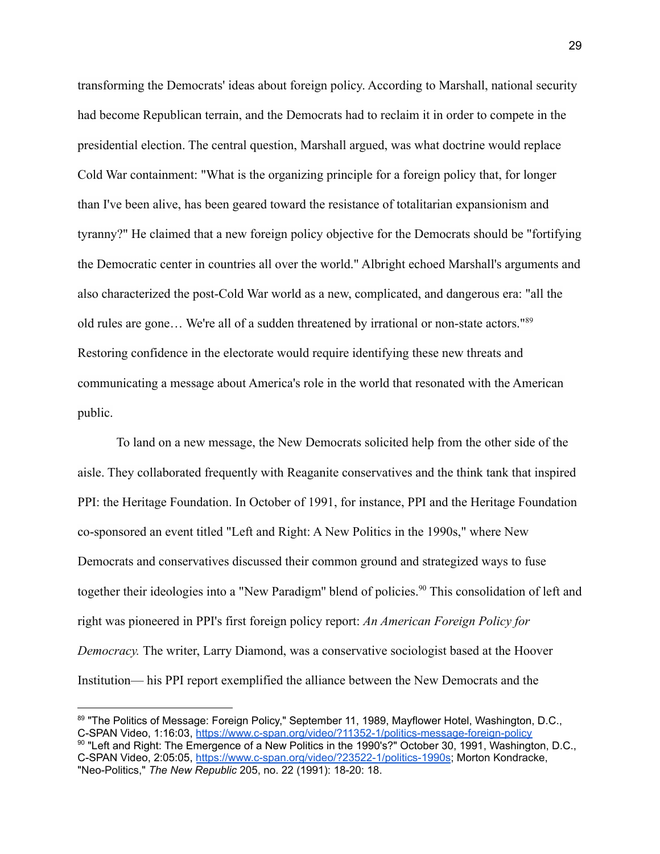transforming the Democrats' ideas about foreign policy. According to Marshall, national security had become Republican terrain, and the Democrats had to reclaim it in order to compete in the presidential election. The central question, Marshall argued, was what doctrine would replace Cold War containment: "What is the organizing principle for a foreign policy that, for longer than I've been alive, has been geared toward the resistance of totalitarian expansionism and tyranny?" He claimed that a new foreign policy objective for the Democrats should be "fortifying the Democratic center in countries all over the world." Albright echoed Marshall's arguments and also characterized the post-Cold War world as a new, complicated, and dangerous era: "all the old rules are gone… We're all of a sudden threatened by irrational or non-state actors."<sup>89</sup> Restoring confidence in the electorate would require identifying these new threats and communicating a message about America's role in the world that resonated with the American public.

To land on a new message, the New Democrats solicited help from the other side of the aisle. They collaborated frequently with Reaganite conservatives and the think tank that inspired PPI: the Heritage Foundation. In October of 1991, for instance, PPI and the Heritage Foundation co-sponsored an event titled "Left and Right: A New Politics in the 1990s," where New Democrats and conservatives discussed their common ground and strategized ways to fuse together their ideologies into a "New Paradigm" blend of policies.<sup>90</sup> This consolidation of left and right was pioneered in PPI's first foreign policy report: *An American Foreign Policy for Democracy.* The writer, Larry Diamond, was a conservative sociologist based at the Hoover Institution— his PPI report exemplified the alliance between the New Democrats and the

<sup>89 &</sup>quot;The Politics of Message: Foreign Policy," September 11, 1989, Mayflower Hotel, Washington, D.C., C-SPAN Video, 1:16:03, <https://www.c-span.org/video/?11352-1/politics-message-foreign-policy>

<sup>&</sup>lt;sup>90</sup> "Left and Right: The Emergence of a New Politics in the 1990's?" October 30, 1991, Washington, D.C., C-SPAN Video, 2:05:05, <https://www.c-span.org/video/?23522-1/politics-1990s>; Morton Kondracke, "Neo-Politics," *The New Republic* 205, no. 22 (1991): 18-20: 18.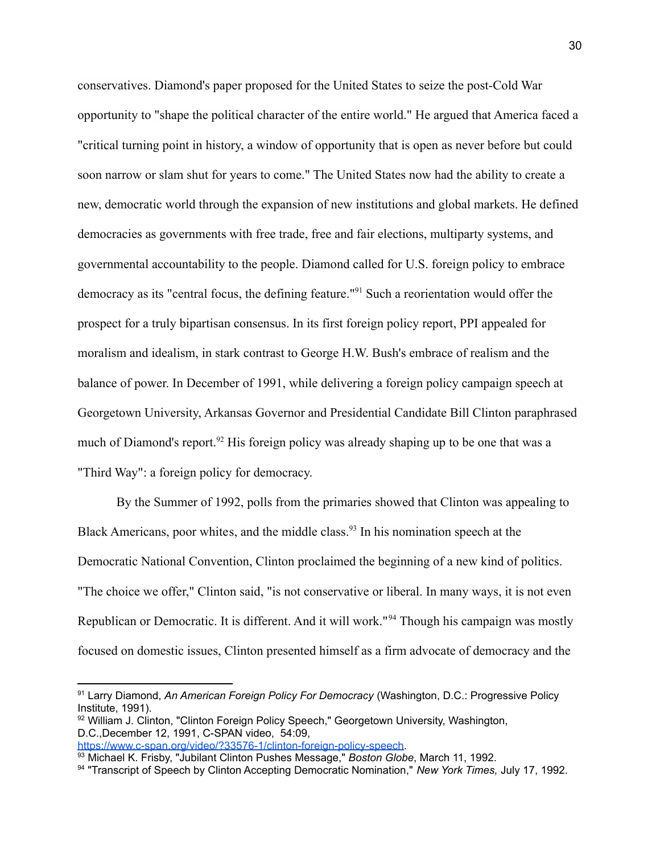conservatives. Diamond's paper proposed for the United States to seize the post-Cold War opportunity to "shape the political character of the entire world." He argued that America faced a "critical turning point in history, a window of opportunity that is open as never before but could soon narrow or slam shut for years to come." The United States now had the ability to create a new, democratic world through the expansion of new institutions and global markets. He defined democracies as governments with free trade, free and fair elections, multiparty systems, and governmental accountability to the people. Diamond called for U.S. foreign policy to embrace democracy as its "central focus, the defining feature."<sup>91</sup> Such a reorientation would offer the prospect for a truly bipartisan consensus. In its first foreign policy report, PPI appealed for moralism and idealism, in stark contrast to George H.W. Bush's embrace of realism and the balance of power. In December of 1991, while delivering a foreign policy campaign speech at Georgetown University, Arkansas Governor and Presidential Candidate Bill Clinton paraphrased much of Diamond's report.<sup>92</sup> His foreign policy was already shaping up to be one that was a "Third Way": a foreign policy for democracy.

By the Summer of 1992, polls from the primaries showed that Clinton was appealing to Black Americans, poor whites, and the middle class.<sup>93</sup> In his nomination speech at the Democratic National Convention, Clinton proclaimed the beginning of a new kind of politics. "The choice we offer," Clinton said, "is not conservative or liberal. In many ways, it is not even Republican or Democratic. It is different. And it will work."<sup>94</sup> Though his campaign was mostly focused on domestic issues, Clinton presented himself as a firm advocate of democracy and the

<sup>91</sup> Larry Diamond, *An American Foreign Policy For Democracy* (Washington, D.C.: Progressive Policy Institute, 1991).

<sup>92</sup> William J. Clinton, "Clinton Foreign Policy Speech," Georgetown University, Washington, D.C.,December 12, 1991, C-SPAN video, 54:09,

[https://www.c-span.org/video/?33576-1/clinton-foreign-policy-speech.](https://www.c-span.org/video/?33576-1/clinton-foreign-policy-speech)

<sup>93</sup> Michael K. Frisby, "Jubilant Clinton Pushes Message," *Boston Globe*, March 11, 1992.

<sup>94</sup> "Transcript of Speech by Clinton Accepting Democratic Nomination," *New York Times,* July 17, 1992.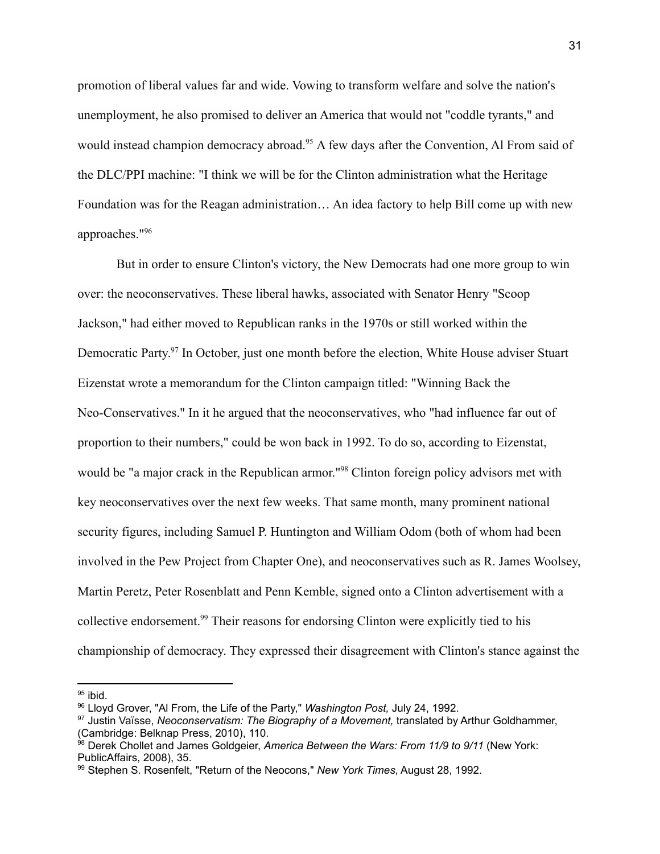promotion of liberal values far and wide. Vowing to transform welfare and solve the nation's unemployment, he also promised to deliver an America that would not "coddle tyrants," and would instead champion democracy abroad.<sup>95</sup> A few days after the Convention, Al From said of the DLC/PPI machine: "I think we will be for the Clinton administration what the Heritage Foundation was for the Reagan administration… An idea factory to help Bill come up with new approaches."<sup>96</sup>

But in order to ensure Clinton's victory, the New Democrats had one more group to win over: the neoconservatives. These liberal hawks, associated with Senator Henry "Scoop Jackson," had either moved to Republican ranks in the 1970s or still worked within the Democratic Party.<sup>97</sup> In October, just one month before the election, White House adviser Stuart Eizenstat wrote a memorandum for the Clinton campaign titled: "Winning Back the Neo-Conservatives." In it he argued that the neoconservatives, who "had influence far out of proportion to their numbers," could be won back in 1992. To do so, according to Eizenstat, would be "a major crack in the Republican armor."<sup>98</sup> Clinton foreign policy advisors met with key neoconservatives over the next few weeks. That same month, many prominent national security figures, including Samuel P. Huntington and William Odom (both of whom had been involved in the Pew Project from Chapter One), and neoconservatives such as R. James Woolsey, Martin Peretz, Peter Rosenblatt and Penn Kemble, signed onto a Clinton advertisement with a collective endorsement.<sup>99</sup> Their reasons for endorsing Clinton were explicitly tied to his championship of democracy. They expressed their disagreement with Clinton's stance against the

 $95$  ibid.

<sup>96</sup> Lloyd Grover, "Al From, the Life of the Party," *Washington Post,* July 24, 1992.

<sup>97</sup> Justin Vaïsse, *Neoconservatism: The Biography of a Movement,* translated by Arthur Goldhammer, (Cambridge: Belknap Press, 2010), 110.

<sup>98</sup> Derek Chollet and James Goldgeier, *America Between the Wars: From 11/9 to 9/11* (New York: PublicAffairs, 2008), 35.

<sup>99</sup> Stephen S. Rosenfelt, "Return of the Neocons," *New York Times*, August 28, 1992.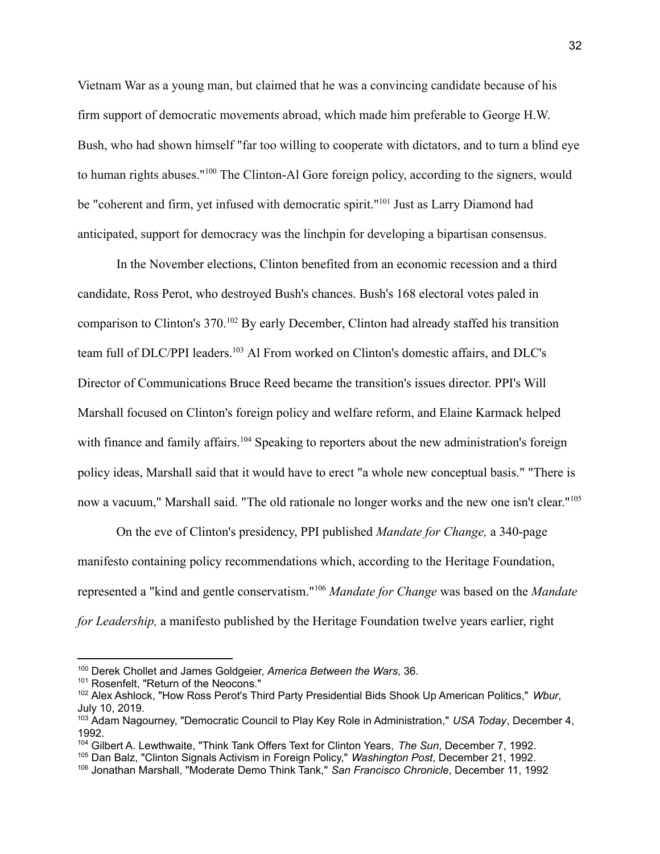Vietnam War as a young man, but claimed that he was a convincing candidate because of his firm support of democratic movements abroad, which made him preferable to George H.W. Bush, who had shown himself "far too willing to cooperate with dictators, and to turn a blind eye to human rights abuses."<sup>100</sup> The Clinton-Al Gore foreign policy, according to the signers, would be "coherent and firm, yet infused with democratic spirit."<sup>101</sup> Just as Larry Diamond had anticipated, support for democracy was the linchpin for developing a bipartisan consensus.

In the November elections, Clinton benefited from an economic recession and a third candidate, Ross Perot, who destroyed Bush's chances. Bush's 168 electoral votes paled in comparison to Clinton's 370.<sup>102</sup> By early December, Clinton had already staffed his transition team full of DLC/PPI leaders.<sup>103</sup> Al From worked on Clinton's domestic affairs, and DLC's Director of Communications Bruce Reed became the transition's issues director. PPI's Will Marshall focused on Clinton's foreign policy and welfare reform, and Elaine Karmack helped with finance and family affairs.<sup>104</sup> Speaking to reporters about the new administration's foreign policy ideas, Marshall said that it would have to erect "a whole new conceptual basis." "There is now a vacuum," Marshall said. "The old rationale no longer works and the new one isn't clear."<sup>105</sup>

On the eve of Clinton's presidency, PPI published *Mandate for Change,* a 340-page manifesto containing policy recommendations which, according to the Heritage Foundation, represented a "kind and gentle conservatism."<sup>106</sup> *Mandate for Change* was based on the *Mandate for Leadership,* a manifesto published by the Heritage Foundation twelve years earlier, right

<sup>100</sup> Derek Chollet and James Goldgeier, *America Between the Wars*, 36.

<sup>101</sup> Rosenfelt, "Return of the Neocons."

<sup>102</sup> Alex Ashlock, "How Ross Perot's Third Party Presidential Bids Shook Up American Politics," *Wbur*, July 10, 2019.

<sup>103</sup> Adam Nagourney, "Democratic Council to Play Key Role in Administration," *USA Today*, December 4, 1992.

<sup>104</sup> Gilbert A. Lewthwaite, "Think Tank Offers Text for Clinton Years, *The Sun*, December 7, 1992.

<sup>105</sup> Dan Balz, "Clinton Signals Activism in Foreign Policy," *Washington Post*, December 21, 1992.

<sup>106</sup> Jonathan Marshall, "Moderate Demo Think Tank," *San Francisco Chronicle*, December 11, 1992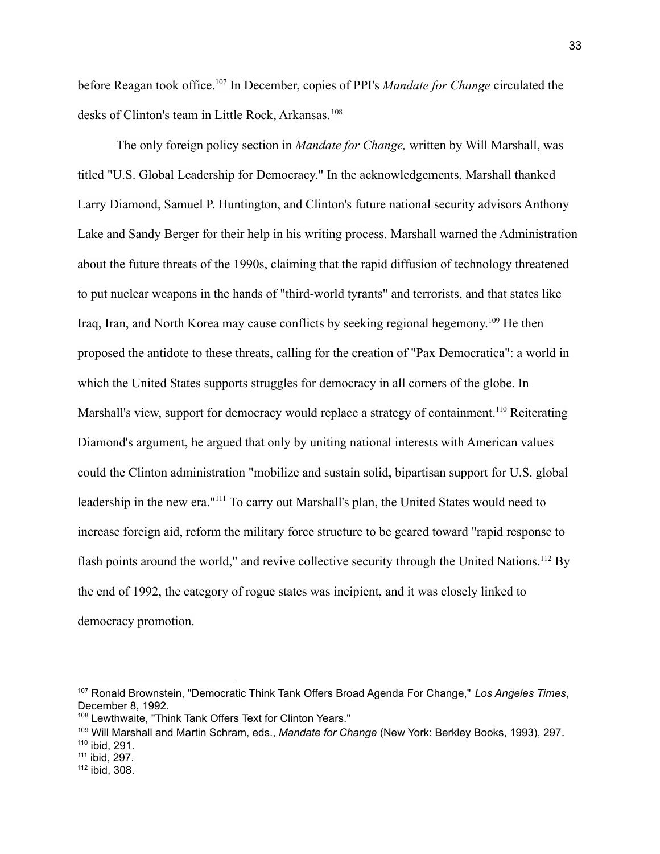before Reagan took office.<sup>107</sup> In December, copies of PPI's *Mandate for Change* circulated the desks of Clinton's team in Little Rock, Arkansas.<sup>108</sup>

The only foreign policy section in *Mandate for Change,* written by Will Marshall, was titled "U.S. Global Leadership for Democracy." In the acknowledgements, Marshall thanked Larry Diamond, Samuel P. Huntington, and Clinton's future national security advisors Anthony Lake and Sandy Berger for their help in his writing process. Marshall warned the Administration about the future threats of the 1990s, claiming that the rapid diffusion of technology threatened to put nuclear weapons in the hands of "third-world tyrants" and terrorists, and that states like Iraq, Iran, and North Korea may cause conflicts by seeking regional hegemony.<sup>109</sup> He then proposed the antidote to these threats, calling for the creation of "Pax Democratica": a world in which the United States supports struggles for democracy in all corners of the globe. In Marshall's view, support for democracy would replace a strategy of containment.<sup>110</sup> Reiterating Diamond's argument, he argued that only by uniting national interests with American values could the Clinton administration "mobilize and sustain solid, bipartisan support for U.S. global leadership in the new era."<sup>111</sup> To carry out Marshall's plan, the United States would need to increase foreign aid, reform the military force structure to be geared toward "rapid response to flash points around the world," and revive collective security through the United Nations.<sup>112</sup> By the end of 1992, the category of rogue states was incipient, and it was closely linked to democracy promotion.

<sup>107</sup> Ronald Brownstein, "Democratic Think Tank Offers Broad Agenda For Change," *Los Angeles Times*, December 8, 1992.

<sup>108</sup> Lewthwaite, "Think Tank Offers Text for Clinton Years."

<sup>109</sup> Will Marshall and Martin Schram, eds., *Mandate for Change* (New York: Berkley Books, 1993), 297.

<sup>110</sup> ibid, 291.

<sup>111</sup> ibid, 297.

<sup>112</sup> ibid, 308.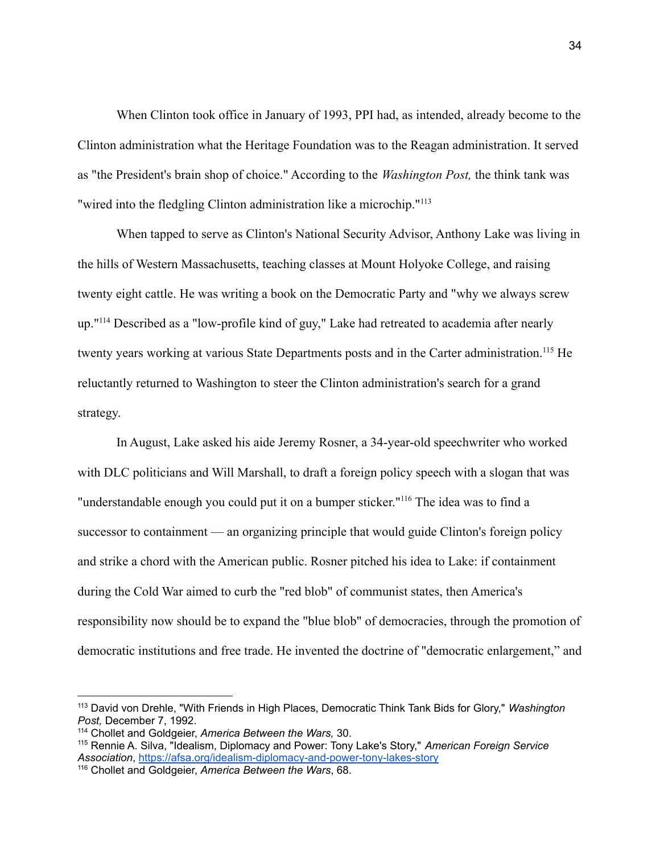When Clinton took office in January of 1993, PPI had, as intended, already become to the Clinton administration what the Heritage Foundation was to the Reagan administration. It served as "the President's brain shop of choice." According to the *Washington Post,* the think tank was "wired into the fledgling Clinton administration like a microchip."<sup>113</sup>

When tapped to serve as Clinton's National Security Advisor, Anthony Lake was living in the hills of Western Massachusetts, teaching classes at Mount Holyoke College, and raising twenty eight cattle. He was writing a book on the Democratic Party and "why we always screw up."<sup>114</sup> Described as a "low-profile kind of guy," Lake had retreated to academia after nearly twenty years working at various State Departments posts and in the Carter administration.<sup>115</sup> He reluctantly returned to Washington to steer the Clinton administration's search for a grand strategy.

In August, Lake asked his aide Jeremy Rosner, a 34-year-old speechwriter who worked with DLC politicians and Will Marshall, to draft a foreign policy speech with a slogan that was "understandable enough you could put it on a bumper sticker."<sup>116</sup> The idea was to find a successor to containment — an organizing principle that would guide Clinton's foreign policy and strike a chord with the American public. Rosner pitched his idea to Lake: if containment during the Cold War aimed to curb the "red blob" of communist states, then America's responsibility now should be to expand the "blue blob" of democracies, through the promotion of democratic institutions and free trade. He invented the doctrine of "democratic enlargement," and

<sup>113</sup> David von Drehle, "With Friends in High Places, Democratic Think Tank Bids for Glory," *Washington Post,* December 7, 1992.

<sup>114</sup> Chollet and Goldgeier, *America Between the Wars,* 30.

<sup>115</sup> Rennie A. Silva, "Idealism, Diplomacy and Power: Tony Lake's Story," *American Foreign Service Association*, <https://afsa.org/idealism-diplomacy-and-power-tony-lakes-story>

<sup>116</sup> Chollet and Goldgeier, *America Between the Wars*, 68.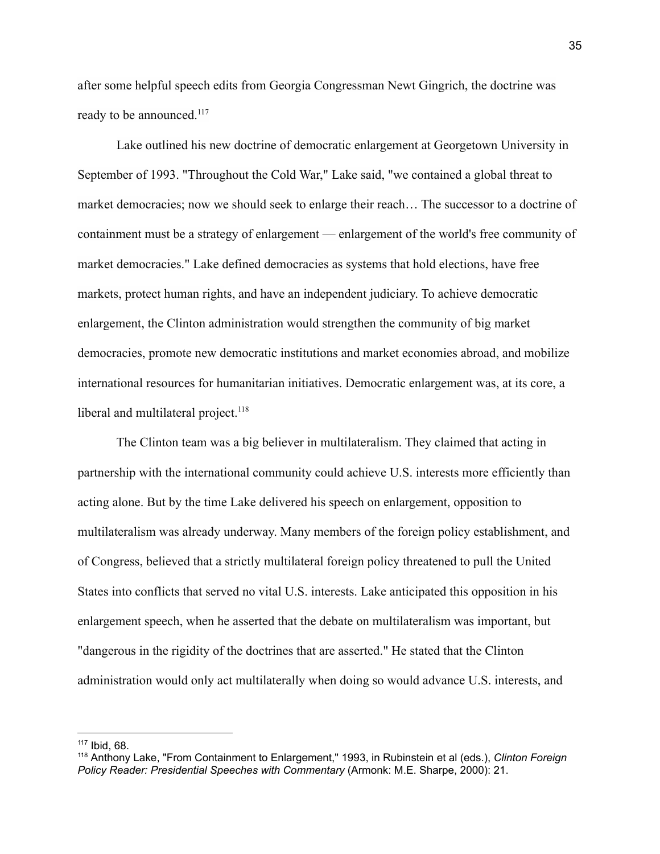after some helpful speech edits from Georgia Congressman Newt Gingrich, the doctrine was ready to be announced.<sup>117</sup>

Lake outlined his new doctrine of democratic enlargement at Georgetown University in September of 1993. "Throughout the Cold War," Lake said, "we contained a global threat to market democracies; now we should seek to enlarge their reach… The successor to a doctrine of containment must be a strategy of enlargement — enlargement of the world's free community of market democracies." Lake defined democracies as systems that hold elections, have free markets, protect human rights, and have an independent judiciary. To achieve democratic enlargement, the Clinton administration would strengthen the community of big market democracies, promote new democratic institutions and market economies abroad, and mobilize international resources for humanitarian initiatives. Democratic enlargement was, at its core, a liberal and multilateral project. $118$ 

The Clinton team was a big believer in multilateralism. They claimed that acting in partnership with the international community could achieve U.S. interests more efficiently than acting alone. But by the time Lake delivered his speech on enlargement, opposition to multilateralism was already underway. Many members of the foreign policy establishment, and of Congress, believed that a strictly multilateral foreign policy threatened to pull the United States into conflicts that served no vital U.S. interests. Lake anticipated this opposition in his enlargement speech, when he asserted that the debate on multilateralism was important, but "dangerous in the rigidity of the doctrines that are asserted." He stated that the Clinton administration would only act multilaterally when doing so would advance U.S. interests, and

<sup>117</sup> Ibid, 68.

<sup>118</sup> Anthony Lake, "From Containment to Enlargement," 1993, in Rubinstein et al (eds.), *Clinton Foreign Policy Reader: Presidential Speeches with Commentary* (Armonk: M.E. Sharpe, 2000): 21.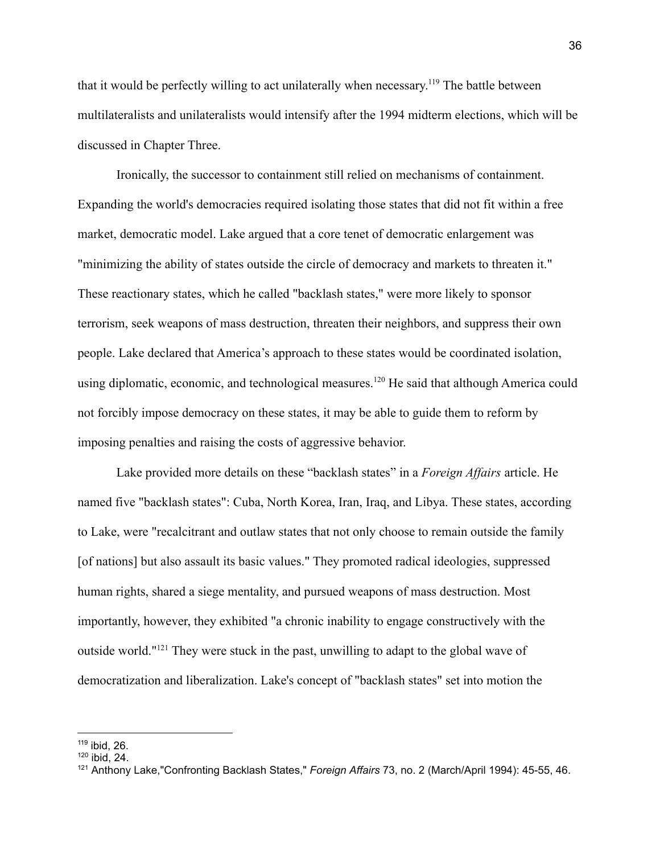that it would be perfectly willing to act unilaterally when necessary.<sup>119</sup> The battle between multilateralists and unilateralists would intensify after the 1994 midterm elections, which will be discussed in Chapter Three.

Ironically, the successor to containment still relied on mechanisms of containment. Expanding the world's democracies required isolating those states that did not fit within a free market, democratic model. Lake argued that a core tenet of democratic enlargement was "minimizing the ability of states outside the circle of democracy and markets to threaten it." These reactionary states, which he called "backlash states," were more likely to sponsor terrorism, seek weapons of mass destruction, threaten their neighbors, and suppress their own people. Lake declared that America's approach to these states would be coordinated isolation, using diplomatic, economic, and technological measures.<sup>120</sup> He said that although America could not forcibly impose democracy on these states, it may be able to guide them to reform by imposing penalties and raising the costs of aggressive behavior.

Lake provided more details on these "backlash states" in a *Foreign Affairs* article. He named five "backlash states": Cuba, North Korea, Iran, Iraq, and Libya. These states, according to Lake, were "recalcitrant and outlaw states that not only choose to remain outside the family [of nations] but also assault its basic values." They promoted radical ideologies, suppressed human rights, shared a siege mentality, and pursued weapons of mass destruction. Most importantly, however, they exhibited "a chronic inability to engage constructively with the outside world."<sup>121</sup> They were stuck in the past, unwilling to adapt to the global wave of democratization and liberalization. Lake's concept of "backlash states" set into motion the

<sup>119</sup> ibid, 26.

 $120$  ibid, 24.

<sup>121</sup> Anthony Lake,"Confronting Backlash States," *Foreign Affairs* 73, no. 2 (March/April 1994): 45-55, 46.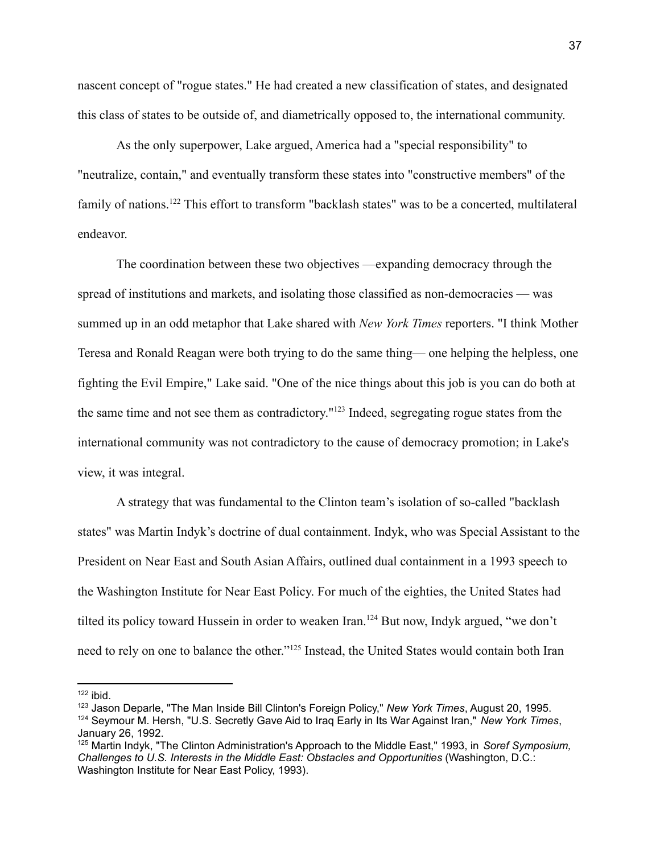nascent concept of "rogue states." He had created a new classification of states, and designated this class of states to be outside of, and diametrically opposed to, the international community.

As the only superpower, Lake argued, America had a "special responsibility" to "neutralize, contain," and eventually transform these states into "constructive members" of the family of nations.<sup>122</sup> This effort to transform "backlash states" was to be a concerted, multilateral endeavor.

The coordination between these two objectives —expanding democracy through the spread of institutions and markets, and isolating those classified as non-democracies — was summed up in an odd metaphor that Lake shared with *New York Times* reporters. "I think Mother Teresa and Ronald Reagan were both trying to do the same thing— one helping the helpless, one fighting the Evil Empire," Lake said. "One of the nice things about this job is you can do both at the same time and not see them as contradictory."<sup>123</sup> Indeed, segregating rogue states from the international community was not contradictory to the cause of democracy promotion; in Lake's view, it was integral.

A strategy that was fundamental to the Clinton team's isolation of so-called "backlash states" was Martin Indyk's doctrine of dual containment. Indyk, who was Special Assistant to the President on Near East and South Asian Affairs, outlined dual containment in a 1993 speech to the Washington Institute for Near East Policy. For much of the eighties, the United States had tilted its policy toward Hussein in order to weaken Iran.<sup>124</sup> But now, Indyk argued, "we don't need to rely on one to balance the other."<sup>125</sup> Instead, the United States would contain both Iran

 $122$  ibid.

<sup>123</sup> Jason Deparle, "The Man Inside Bill Clinton's Foreign Policy," *New York Times*, August 20, 1995.

<sup>124</sup> Seymour M. Hersh, "U.S. Secretly Gave Aid to Iraq Early in Its War Against Iran," *New York Times*, January 26, 1992.

<sup>125</sup> Martin Indyk, "The Clinton Administration's Approach to the Middle East," 1993, in *Soref Symposium, Challenges to U.S. Interests in the Middle East: Obstacles and Opportunities* (Washington, D.C.: Washington Institute for Near East Policy, 1993).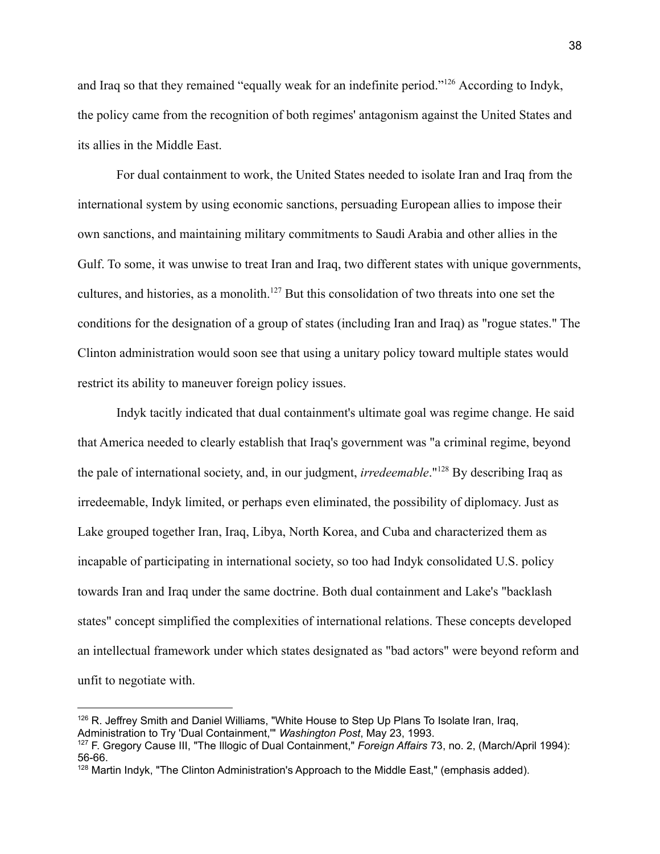and Iraq so that they remained "equally weak for an indefinite period."<sup>126</sup> According to Indyk, the policy came from the recognition of both regimes' antagonism against the United States and its allies in the Middle East.

For dual containment to work, the United States needed to isolate Iran and Iraq from the international system by using economic sanctions, persuading European allies to impose their own sanctions, and maintaining military commitments to Saudi Arabia and other allies in the Gulf. To some, it was unwise to treat Iran and Iraq, two different states with unique governments, cultures, and histories, as a monolith.<sup>127</sup> But this consolidation of two threats into one set the conditions for the designation of a group of states (including Iran and Iraq) as "rogue states." The Clinton administration would soon see that using a unitary policy toward multiple states would restrict its ability to maneuver foreign policy issues.

Indyk tacitly indicated that dual containment's ultimate goal was regime change. He said that America needed to clearly establish that Iraq's government was "a criminal regime, beyond the pale of international society, and, in our judgment, *irredeemable*."<sup>128</sup> By describing Iraq as irredeemable, Indyk limited, or perhaps even eliminated, the possibility of diplomacy. Just as Lake grouped together Iran, Iraq, Libya, North Korea, and Cuba and characterized them as incapable of participating in international society, so too had Indyk consolidated U.S. policy towards Iran and Iraq under the same doctrine. Both dual containment and Lake's "backlash states" concept simplified the complexities of international relations. These concepts developed an intellectual framework under which states designated as "bad actors" were beyond reform and unfit to negotiate with.

<sup>&</sup>lt;sup>126</sup> R. Jeffrey Smith and Daniel Williams, "White House to Step Up Plans To Isolate Iran, Irag, Administration to Try 'Dual Containment,'" *Washington Post*, May 23, 1993.

<sup>127</sup> F. Gregory Cause III, "The Illogic of Dual Containment," *Foreign Affairs* 73, no. 2, (March/April 1994): 56-66.

<sup>&</sup>lt;sup>128</sup> Martin Indyk, "The Clinton Administration's Approach to the Middle East," (emphasis added).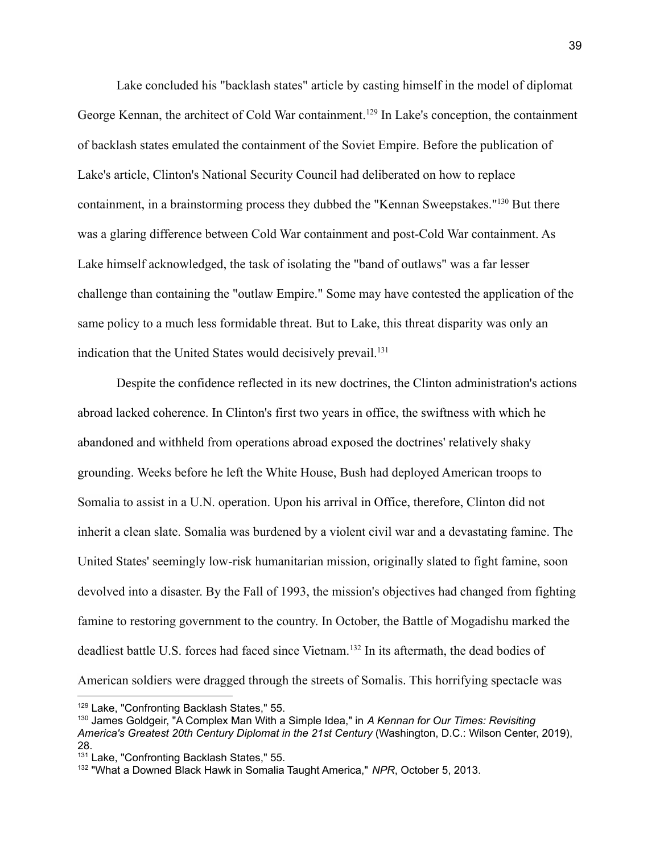Lake concluded his "backlash states" article by casting himself in the model of diplomat George Kennan, the architect of Cold War containment.<sup>129</sup> In Lake's conception, the containment of backlash states emulated the containment of the Soviet Empire. Before the publication of Lake's article, Clinton's National Security Council had deliberated on how to replace containment, in a brainstorming process they dubbed the "Kennan Sweepstakes."<sup>130</sup> But there was a glaring difference between Cold War containment and post-Cold War containment. As Lake himself acknowledged, the task of isolating the "band of outlaws" was a far lesser challenge than containing the "outlaw Empire." Some may have contested the application of the same policy to a much less formidable threat. But to Lake, this threat disparity was only an indication that the United States would decisively prevail.<sup>131</sup>

Despite the confidence reflected in its new doctrines, the Clinton administration's actions abroad lacked coherence. In Clinton's first two years in office, the swiftness with which he abandoned and withheld from operations abroad exposed the doctrines' relatively shaky grounding. Weeks before he left the White House, Bush had deployed American troops to Somalia to assist in a U.N. operation. Upon his arrival in Office, therefore, Clinton did not inherit a clean slate. Somalia was burdened by a violent civil war and a devastating famine. The United States' seemingly low-risk humanitarian mission, originally slated to fight famine, soon devolved into a disaster. By the Fall of 1993, the mission's objectives had changed from fighting famine to restoring government to the country. In October, the Battle of Mogadishu marked the deadliest battle U.S. forces had faced since Vietnam.<sup>132</sup> In its aftermath, the dead bodies of American soldiers were dragged through the streets of Somalis. This horrifying spectacle was

<sup>&</sup>lt;sup>129</sup> Lake, "Confronting Backlash States," 55.

<sup>130</sup> James Goldgeir, "A Complex Man With a Simple Idea," in *A Kennan for Our Times: Revisiting America's Greatest 20th Century Diplomat in the 21st Century* (Washington, D.C.: Wilson Center, 2019), 28.

<sup>131</sup> Lake, "Confronting Backlash States," 55.

<sup>132</sup> "What a Downed Black Hawk in Somalia Taught America," *NPR*, October 5, 2013.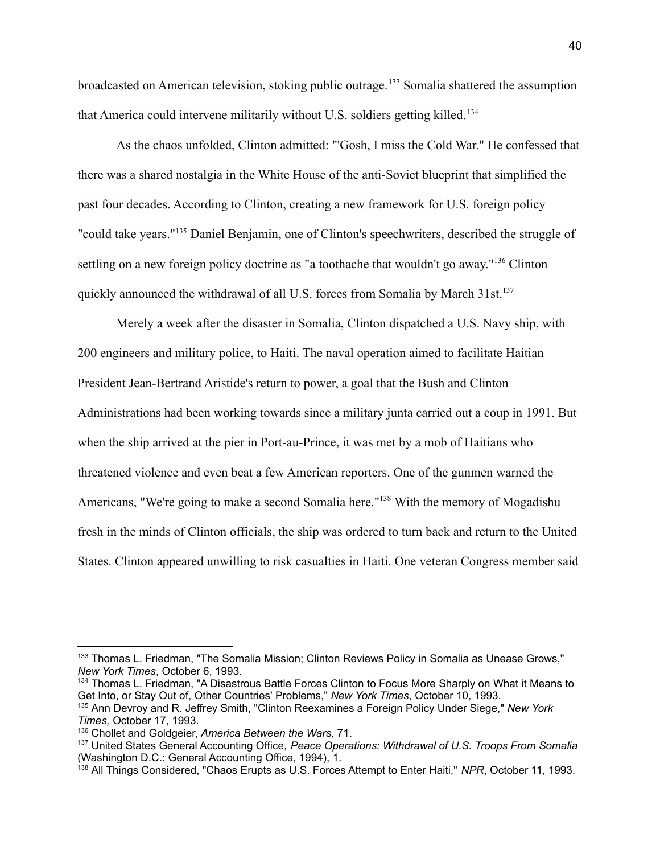broadcasted on American television, stoking public outrage.<sup>133</sup> Somalia shattered the assumption that America could intervene militarily without U.S. soldiers getting killed. <sup>134</sup>

As the chaos unfolded, Clinton admitted: "'Gosh, I miss the Cold War." He confessed that there was a shared nostalgia in the White House of the anti-Soviet blueprint that simplified the past four decades. According to Clinton, creating a new framework for U.S. foreign policy "could take years."<sup>135</sup> Daniel Benjamin, one of Clinton's speechwriters, described the struggle of settling on a new foreign policy doctrine as "a toothache that wouldn't go away."<sup>136</sup> Clinton quickly announced the withdrawal of all U.S. forces from Somalia by March 31st.<sup>137</sup>

Merely a week after the disaster in Somalia, Clinton dispatched a U.S. Navy ship, with 200 engineers and military police, to Haiti. The naval operation aimed to facilitate Haitian President Jean-Bertrand Aristide's return to power, a goal that the Bush and Clinton Administrations had been working towards since a military junta carried out a coup in 1991. But when the ship arrived at the pier in Port-au-Prince, it was met by a mob of Haitians who threatened violence and even beat a few American reporters. One of the gunmen warned the Americans, "We're going to make a second Somalia here."<sup>138</sup> With the memory of Mogadishu fresh in the minds of Clinton officials, the ship was ordered to turn back and return to the United States. Clinton appeared unwilling to risk casualties in Haiti. One veteran Congress member said

<sup>&</sup>lt;sup>133</sup> Thomas L. Friedman, "The Somalia Mission; Clinton Reviews Policy in Somalia as Unease Grows," *New York Times*, October 6, 1993.

<sup>&</sup>lt;sup>134</sup> Thomas L. Friedman, "A Disastrous Battle Forces Clinton to Focus More Sharply on What it Means to Get Into, or Stay Out of, Other Countries' Problems," *New York Times*, October 10, 1993.

<sup>135</sup> Ann Devroy and R. Jeffrey Smith, "Clinton Reexamines a Foreign Policy Under Siege," *New York Times,* October 17, 1993.

<sup>136</sup> Chollet and Goldgeier, *America Between the Wars,* 71.

<sup>137</sup> United States General Accounting Office, *Peace Operations: Withdrawal of U.S. Troops From Somalia* (Washington D.C.: General Accounting Office, 1994), 1.

<sup>138</sup> All Things Considered, "Chaos Erupts as U.S. Forces Attempt to Enter Haiti," *NPR*, October 11, 1993.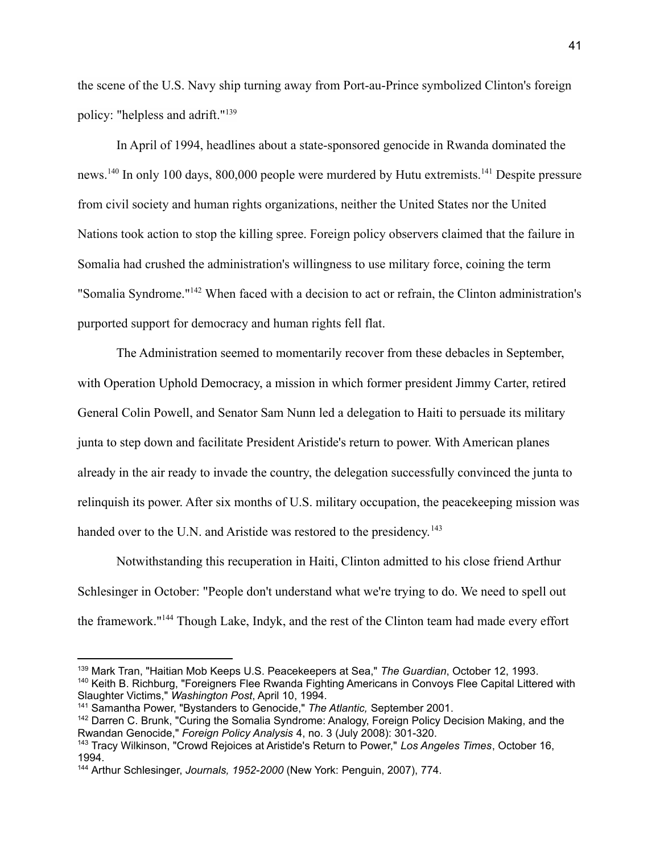the scene of the U.S. Navy ship turning away from Port-au-Prince symbolized Clinton's foreign policy: "helpless and adrift."<sup>139</sup>

In April of 1994, headlines about a state-sponsored genocide in Rwanda dominated the news.<sup>140</sup> In only 100 days, 800,000 people were murdered by Hutu extremists.<sup>141</sup> Despite pressure from civil society and human rights organizations, neither the United States nor the United Nations took action to stop the killing spree. Foreign policy observers claimed that the failure in Somalia had crushed the administration's willingness to use military force, coining the term "Somalia Syndrome."<sup>142</sup> When faced with a decision to act or refrain, the Clinton administration's purported support for democracy and human rights fell flat.

The Administration seemed to momentarily recover from these debacles in September, with Operation Uphold Democracy, a mission in which former president Jimmy Carter, retired General Colin Powell, and Senator Sam Nunn led a delegation to Haiti to persuade its military junta to step down and facilitate President Aristide's return to power. With American planes already in the air ready to invade the country, the delegation successfully convinced the junta to relinquish its power. After six months of U.S. military occupation, the peacekeeping mission was handed over to the U.N. and Aristide was restored to the presidency.<sup>143</sup>

Notwithstanding this recuperation in Haiti, Clinton admitted to his close friend Arthur Schlesinger in October: "People don't understand what we're trying to do. We need to spell out the framework."<sup>144</sup> Though Lake, Indyk, and the rest of the Clinton team had made every effort

<sup>140</sup> Keith B. Richburg, "Foreigners Flee Rwanda Fighting Americans in Convoys Flee Capital Littered with Slaughter Victims," *Washington Post*, April 10, 1994. <sup>139</sup> Mark Tran, "Haitian Mob Keeps U.S. Peacekeepers at Sea," *The Guardian*, October 12, 1993.

<sup>141</sup> Samantha Power, "Bystanders to Genocide," *The Atlantic,* September 2001.

<sup>&</sup>lt;sup>142</sup> Darren C. Brunk, "Curing the Somalia Syndrome: Analogy, Foreign Policy Decision Making, and the Rwandan Genocide," *Foreign Policy Analysis* 4, no. 3 (July 2008): 301-320.

<sup>143</sup> Tracy Wilkinson, "Crowd Rejoices at Aristide's Return to Power," *Los Angeles Times*, October 16, 1994.

<sup>144</sup> Arthur Schlesinger, *Journals, 1952-2000* (New York: Penguin, 2007), 774.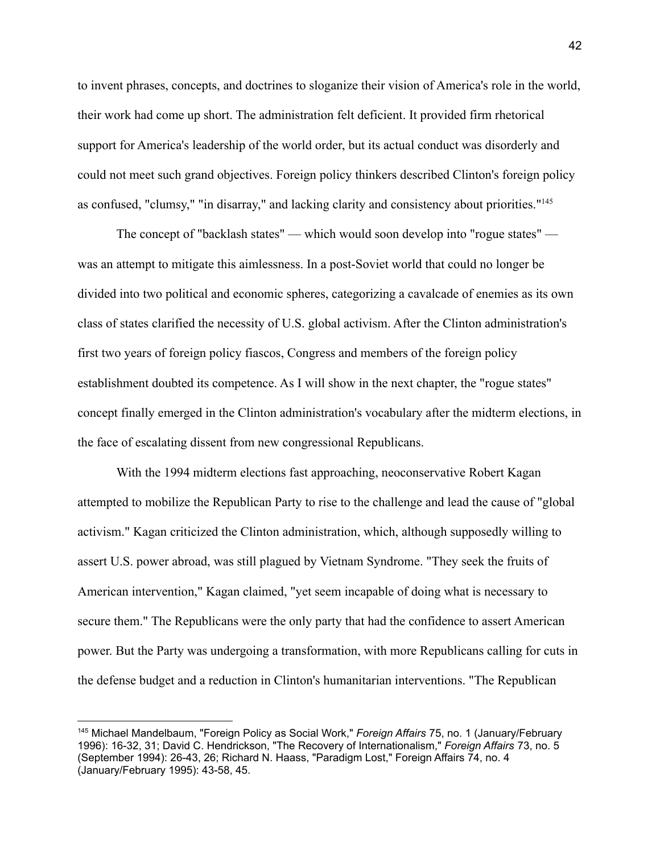to invent phrases, concepts, and doctrines to sloganize their vision of America's role in the world, their work had come up short. The administration felt deficient. It provided firm rhetorical support for America's leadership of the world order, but its actual conduct was disorderly and could not meet such grand objectives. Foreign policy thinkers described Clinton's foreign policy as confused, "clumsy," "in disarray," and lacking clarity and consistency about priorities."<sup>145</sup>

The concept of "backlash states" — which would soon develop into "rogue states" was an attempt to mitigate this aimlessness. In a post-Soviet world that could no longer be divided into two political and economic spheres, categorizing a cavalcade of enemies as its own class of states clarified the necessity of U.S. global activism. After the Clinton administration's first two years of foreign policy fiascos, Congress and members of the foreign policy establishment doubted its competence. As I will show in the next chapter, the "rogue states" concept finally emerged in the Clinton administration's vocabulary after the midterm elections, in the face of escalating dissent from new congressional Republicans.

With the 1994 midterm elections fast approaching, neoconservative Robert Kagan attempted to mobilize the Republican Party to rise to the challenge and lead the cause of "global activism." Kagan criticized the Clinton administration, which, although supposedly willing to assert U.S. power abroad, was still plagued by Vietnam Syndrome. "They seek the fruits of American intervention," Kagan claimed, "yet seem incapable of doing what is necessary to secure them." The Republicans were the only party that had the confidence to assert American power. But the Party was undergoing a transformation, with more Republicans calling for cuts in the defense budget and a reduction in Clinton's humanitarian interventions. "The Republican

<sup>145</sup> Michael Mandelbaum, "Foreign Policy as Social Work," *Foreign Affairs* 75, no. 1 (January/February 1996): 16-32, 31; David C. Hendrickson, "The Recovery of Internationalism," *Foreign Affairs* 73, no. 5 (September 1994): 26-43, 26; Richard N. Haass, "Paradigm Lost," Foreign Affairs 74, no. 4 (January/February 1995): 43-58, 45.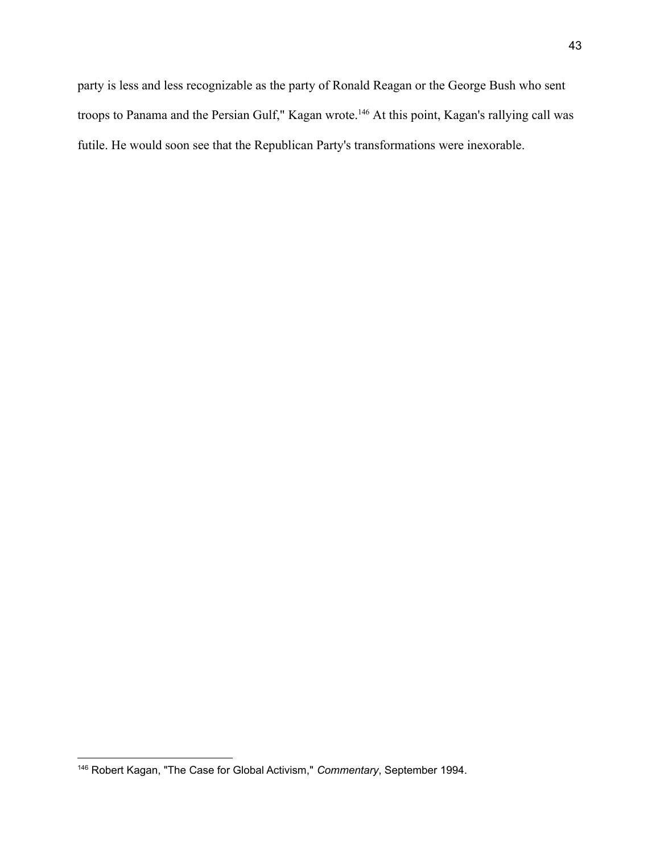party is less and less recognizable as the party of Ronald Reagan or the George Bush who sent troops to Panama and the Persian Gulf," Kagan wrote.<sup>146</sup> At this point, Kagan's rallying call was futile. He would soon see that the Republican Party's transformations were inexorable.

<sup>146</sup> Robert Kagan, "The Case for Global Activism," *Commentary*, September 1994.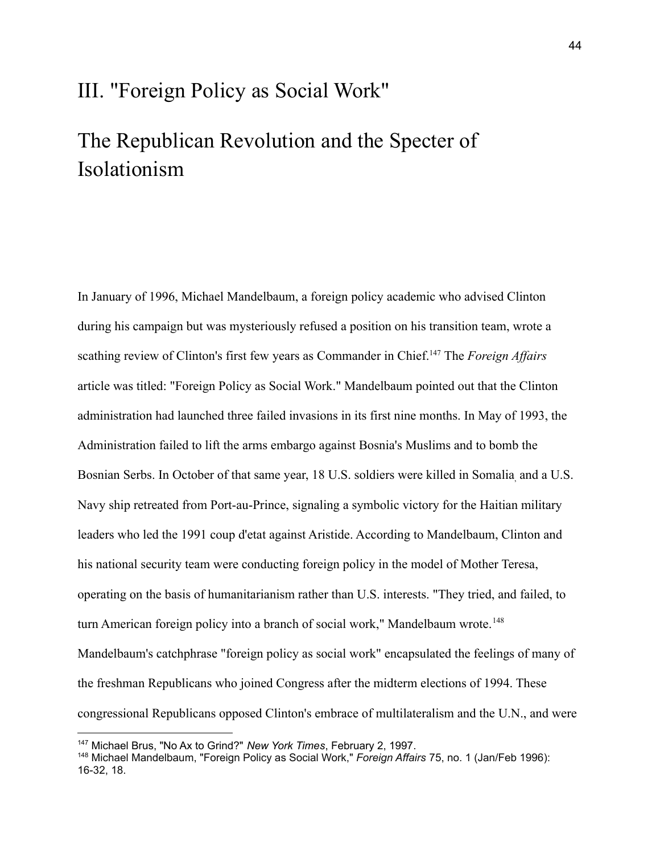## III. "Foreign Policy as Social Work"

# The Republican Revolution and the Specter of Isolationism

In January of 1996, Michael Mandelbaum, a foreign policy academic who advised Clinton during his campaign but was mysteriously refused a position on his transition team, wrote a scathing review of Clinton's first few years as Commander in Chief.<sup>147</sup> The *Foreign Affairs* article was titled: "Foreign Policy as Social Work." Mandelbaum pointed out that the Clinton administration had launched three failed invasions in its first nine months. In May of 1993, the Administration failed to lift the arms embargo against Bosnia's Muslims and to bomb the Bosnian Serbs. In October of that same year, 18 U.S. soldiers were killed in Somalia, and a U.S. Navy ship retreated from Port-au-Prince, signaling a symbolic victory for the Haitian military leaders who led the 1991 coup d'etat against Aristide. According to Mandelbaum, Clinton and his national security team were conducting foreign policy in the model of Mother Teresa, operating on the basis of humanitarianism rather than U.S. interests. "They tried, and failed, to turn American foreign policy into a branch of social work," Mandelbaum wrote.<sup>148</sup> Mandelbaum's catchphrase "foreign policy as social work" encapsulated the feelings of many of the freshman Republicans who joined Congress after the midterm elections of 1994. These congressional Republicans opposed Clinton's embrace of multilateralism and the U.N., and were

<sup>147</sup> Michael Brus, "No Ax to Grind?" *New York Times*, February 2, 1997.

<sup>148</sup> Michael Mandelbaum, "Foreign Policy as Social Work," *Foreign Affairs* 75, no. 1 (Jan/Feb 1996): 16-32, 18.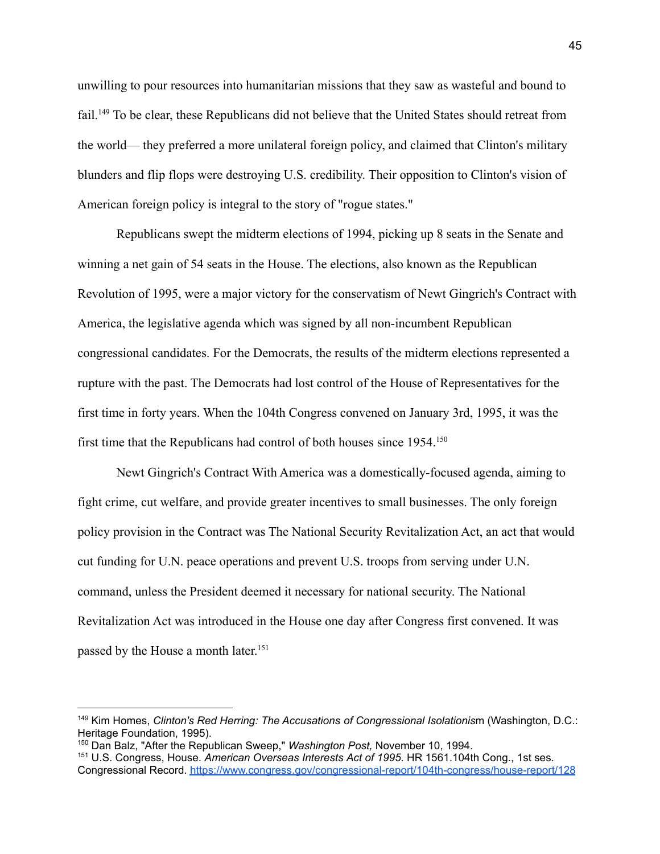unwilling to pour resources into humanitarian missions that they saw as wasteful and bound to fail.<sup>149</sup> To be clear, these Republicans did not believe that the United States should retreat from the world— they preferred a more unilateral foreign policy, and claimed that Clinton's military blunders and flip flops were destroying U.S. credibility. Their opposition to Clinton's vision of American foreign policy is integral to the story of "rogue states."

Republicans swept the midterm elections of 1994, picking up 8 seats in the Senate and winning a net gain of 54 seats in the House. The elections, also known as the Republican Revolution of 1995, were a major victory for the conservatism of Newt Gingrich's Contract with America, the legislative agenda which was signed by all non-incumbent Republican congressional candidates. For the Democrats, the results of the midterm elections represented a rupture with the past. The Democrats had lost control of the House of Representatives for the first time in forty years. When the 104th Congress convened on January 3rd, 1995, it was the first time that the Republicans had control of both houses since 1954.<sup>150</sup>

Newt Gingrich's Contract With America was a domestically-focused agenda, aiming to fight crime, cut welfare, and provide greater incentives to small businesses. The only foreign policy provision in the Contract was The National Security Revitalization Act, an act that would cut funding for U.N. peace operations and prevent U.S. troops from serving under U.N. command, unless the President deemed it necessary for national security. The National Revitalization Act was introduced in the House one day after Congress first convened. It was passed by the House a month later.<sup>151</sup>

<sup>149</sup> Kim Homes, *Clinton's Red Herring: The Accusations of Congressional Isolationis*m (Washington, D.C.: Heritage Foundation, 1995).

<sup>150</sup> Dan Balz, "After the Republican Sweep," *Washington Post,* November 10, 1994.

<sup>151</sup> U.S. Congress, House. *American Overseas Interests Act of 1995*. HR 1561.104th Cong., 1st ses. Congressional Record. <https://www.congress.gov/congressional-report/104th-congress/house-report/128>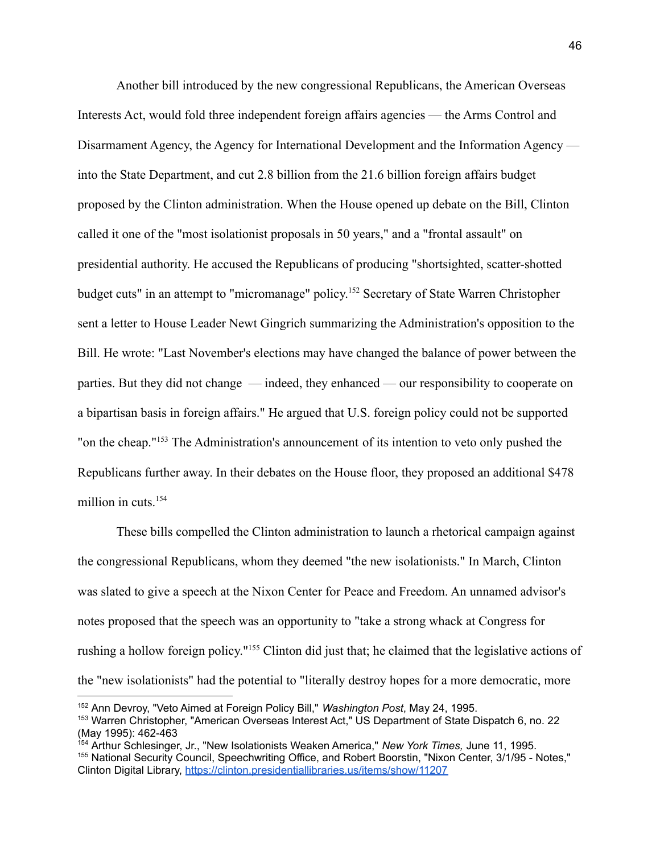Another bill introduced by the new congressional Republicans, the American Overseas Interests Act, would fold three independent foreign affairs agencies — the Arms Control and Disarmament Agency, the Agency for International Development and the Information Agency into the State Department, and cut 2.8 billion from the 21.6 billion foreign affairs budget proposed by the Clinton administration. When the House opened up debate on the Bill, Clinton called it one of the "most isolationist proposals in 50 years," and a "frontal assault" on presidential authority. He accused the Republicans of producing "shortsighted, scatter-shotted budget cuts" in an attempt to "micromanage" policy. <sup>152</sup> Secretary of State Warren Christopher sent a letter to House Leader Newt Gingrich summarizing the Administration's opposition to the Bill. He wrote: "Last November's elections may have changed the balance of power between the parties. But they did not change — indeed, they enhanced — our responsibility to cooperate on a bipartisan basis in foreign affairs." He argued that U.S. foreign policy could not be supported "on the cheap."<sup>153</sup> The Administration's announcement of its intention to veto only pushed the Republicans further away. In their debates on the House floor, they proposed an additional \$478 million in cuts.<sup>154</sup>

These bills compelled the Clinton administration to launch a rhetorical campaign against the congressional Republicans, whom they deemed "the new isolationists." In March, Clinton was slated to give a speech at the Nixon Center for Peace and Freedom. An unnamed advisor's notes proposed that the speech was an opportunity to "take a strong whack at Congress for rushing a hollow foreign policy."<sup>155</sup> Clinton did just that; he claimed that the legislative actions of the "new isolationists" had the potential to "literally destroy hopes for a more democratic, more

<sup>153</sup> Warren Christopher, "American Overseas Interest Act," US Department of State Dispatch 6, no. 22 (May 1995): 462-463 <sup>152</sup> Ann Devroy, "Veto Aimed at Foreign Policy Bill," *Washington Post*, May 24, 1995.

<sup>155</sup> National Security Council, Speechwriting Office, and Robert Boorstin, "Nixon Center, 3/1/95 - Notes," Clinton Digital Library, <https://clinton.presidentiallibraries.us/items/show/11207> <sup>154</sup> Arthur Schlesinger, Jr., "New Isolationists Weaken America," *New York Times,* June 11, 1995.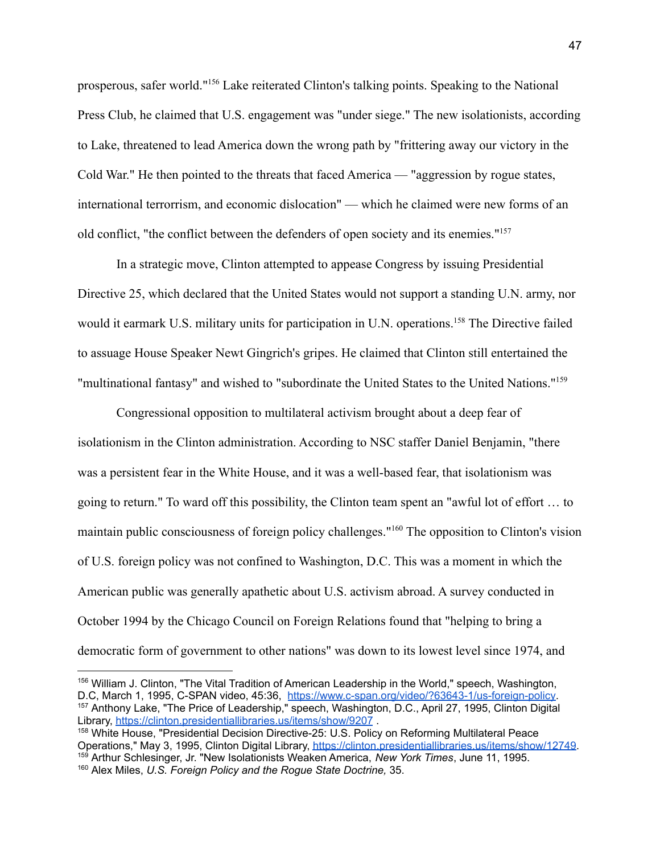prosperous, safer world."<sup>156</sup> Lake reiterated Clinton's talking points. Speaking to the National Press Club, he claimed that U.S. engagement was "under siege." The new isolationists, according to Lake, threatened to lead America down the wrong path by "frittering away our victory in the Cold War." He then pointed to the threats that faced America — "aggression by rogue states, international terrorrism, and economic dislocation" — which he claimed were new forms of an old conflict, "the conflict between the defenders of open society and its enemies."<sup>157</sup>

In a strategic move, Clinton attempted to appease Congress by issuing Presidential Directive 25, which declared that the United States would not support a standing U.N. army, nor would it earmark U.S. military units for participation in U.N. operations.<sup>158</sup> The Directive failed to assuage House Speaker Newt Gingrich's gripes. He claimed that Clinton still entertained the "multinational fantasy" and wished to "subordinate the United States to the United Nations."<sup>159</sup>

Congressional opposition to multilateral activism brought about a deep fear of isolationism in the Clinton administration. According to NSC staffer Daniel Benjamin, "there was a persistent fear in the White House, and it was a well-based fear, that isolationism was going to return." To ward off this possibility, the Clinton team spent an "awful lot of effort … to maintain public consciousness of foreign policy challenges."<sup>160</sup> The opposition to Clinton's vision of U.S. foreign policy was not confined to Washington, D.C. This was a moment in which the American public was generally apathetic about U.S. activism abroad. A survey conducted in October 1994 by the Chicago Council on Foreign Relations found that "helping to bring a democratic form of government to other nations" was down to its lowest level since 1974, and

<sup>157</sup> Anthony Lake, "The Price of Leadership," speech, Washington, D.C., April 27, 1995, Clinton Digital Library, <https://clinton.presidentiallibraries.us/items/show/9207> . <sup>156</sup> William J. Clinton, "The Vital Tradition of American Leadership in the World," speech, Washington, D.C, March 1, 1995, C-SPAN video, 45:36, [https://www.c-span.org/video/?63643-1/us-foreign-policy.](https://www.c-span.org/video/?63643-1/us-foreign-policy)

<sup>159</sup> Arthur Schlesinger, Jr. "New Isolationists Weaken America, *New York Times*, June 11, 1995. <sup>158</sup> White House, "Presidential Decision Directive-25: U.S. Policy on Reforming Multilateral Peace Operations," May 3, 1995, Clinton Digital Library, [https://clinton.presidentiallibraries.us/items/show/12749.](https://clinton.presidentiallibraries.us/items/show/12749)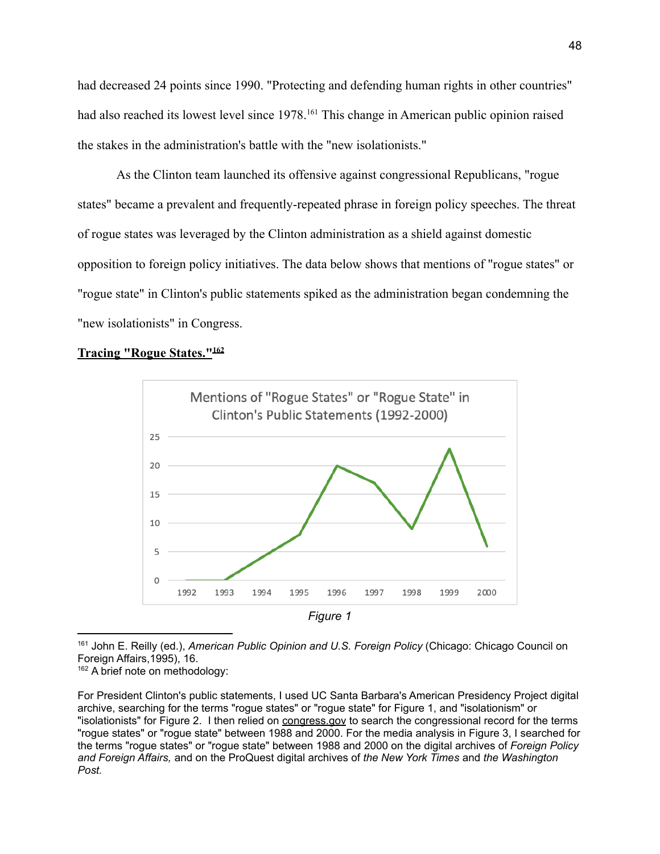had decreased 24 points since 1990. "Protecting and defending human rights in other countries" had also reached its lowest level since 1978.<sup>161</sup> This change in American public opinion raised the stakes in the administration's battle with the "new isolationists."

As the Clinton team launched its offensive against congressional Republicans, "rogue states" became a prevalent and frequently-repeated phrase in foreign policy speeches. The threat of rogue states was leveraged by the Clinton administration as a shield against domestic opposition to foreign policy initiatives. The data below shows that mentions of "rogue states" or "rogue state" in Clinton's public statements spiked as the administration began condemning the "new isolationists" in Congress.

### **Tracing "Rogue States."<sup>162</sup>**



*Figure 1*

<sup>161</sup> John E. Reilly (ed.), *American Public Opinion and U.S. Foreign Policy* (Chicago: Chicago Council on Foreign Affairs,1995), 16.

<sup>162</sup> A brief note on methodology:

For President Clinton's public statements, I used UC Santa Barbara's American Presidency Project digital archive, searching for the terms "rogue states" or "rogue state" for Figure 1, and "isolationism" or "isolationists" for Figure 2. I then relied on congress.gov to search the congressional record for the terms "rogue states" or "rogue state" between 1988 and 2000. For the media analysis in Figure 3, I searched for the terms "rogue states" or "rogue state" between 1988 and 2000 on the digital archives of *Foreign Policy and Foreign Affairs,* and on the ProQuest digital archives of *the New York Times* and *the Washington Post.*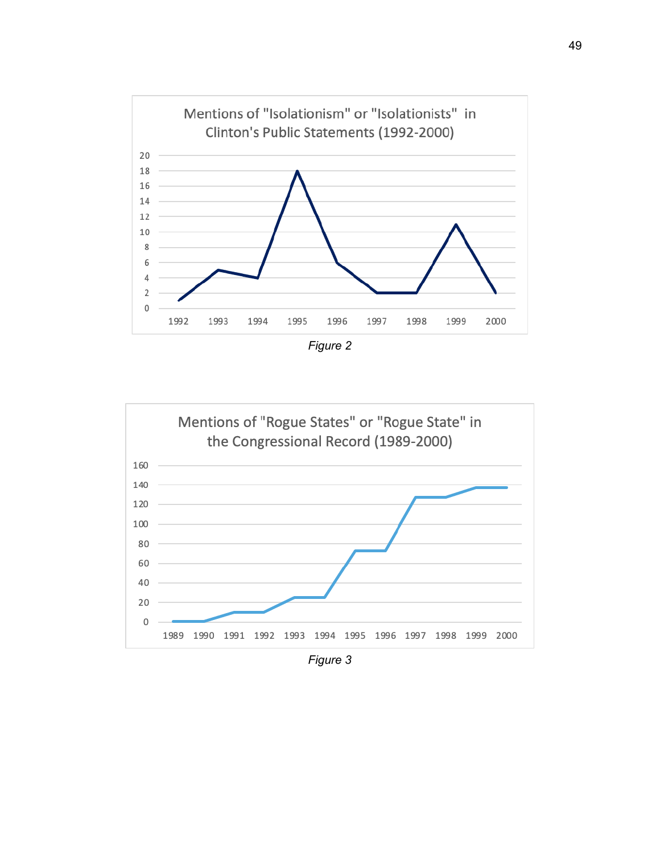

*Figure 2*



*Figure 3*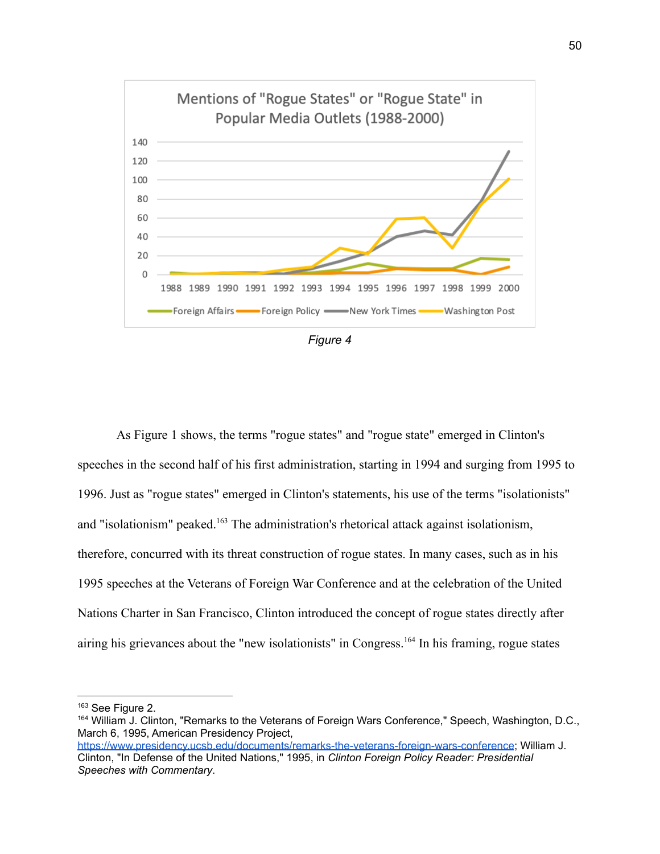

*Figure 4*

As Figure 1 shows, the terms "rogue states" and "rogue state" emerged in Clinton's speeches in the second half of his first administration, starting in 1994 and surging from 1995 to 1996. Just as "rogue states" emerged in Clinton's statements, his use of the terms "isolationists" and "isolationism" peaked.<sup>163</sup> The administration's rhetorical attack against isolationism, therefore, concurred with its threat construction of rogue states. In many cases, such as in his 1995 speeches at the Veterans of Foreign War Conference and at the celebration of the United Nations Charter in San Francisco, Clinton introduced the concept of rogue states directly after airing his grievances about the "new isolationists" in Congress.<sup>164</sup> In his framing, rogue states

<sup>163</sup> See Figure 2.

<sup>164</sup> William J. Clinton, "Remarks to the Veterans of Foreign Wars Conference," Speech, Washington, D.C., March 6, 1995, American Presidency Project,

<https://www.presidency.ucsb.edu/documents/remarks-the-veterans-foreign-wars-conference>; William J. Clinton, "In Defense of the United Nations," 1995, in *Clinton Foreign Policy Reader: Presidential Speeches with Commentary*.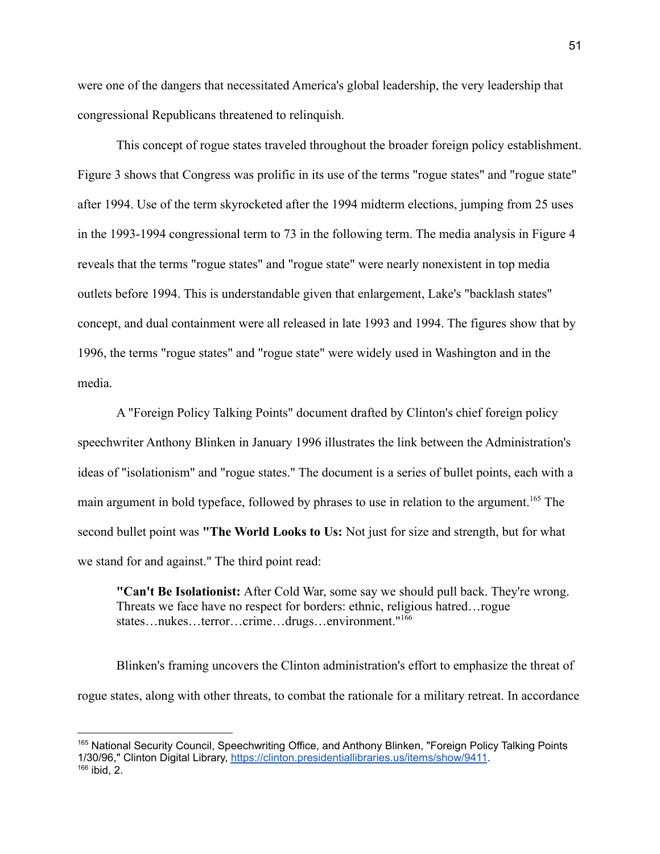were one of the dangers that necessitated America's global leadership, the very leadership that congressional Republicans threatened to relinquish.

This concept of rogue states traveled throughout the broader foreign policy establishment. Figure 3 shows that Congress was prolific in its use of the terms "rogue states" and "rogue state" after 1994. Use of the term skyrocketed after the 1994 midterm elections, jumping from 25 uses in the 1993-1994 congressional term to 73 in the following term. The media analysis in Figure 4 reveals that the terms "rogue states" and "rogue state" were nearly nonexistent in top media outlets before 1994. This is understandable given that enlargement, Lake's "backlash states" concept, and dual containment were all released in late 1993 and 1994. The figures show that by 1996, the terms "rogue states" and "rogue state" were widely used in Washington and in the media.

A "Foreign Policy Talking Points" document drafted by Clinton's chief foreign policy speechwriter Anthony Blinken in January 1996 illustrates the link between the Administration's ideas of "isolationism" and "rogue states." The document is a series of bullet points, each with a main argument in bold typeface, followed by phrases to use in relation to the argument.<sup>165</sup> The second bullet point was **"The World Looks to Us:** Not just for size and strength, but for what we stand for and against." The third point read:

**"Can't Be Isolationist:** After Cold War, some say we should pull back. They're wrong. Threats we face have no respect for borders: ethnic, religious hatred…rogue states…nukes…terror…crime…drugs…environment."<sup>166</sup>

Blinken's framing uncovers the Clinton administration's effort to emphasize the threat of rogue states, along with other threats, to combat the rationale for a military retreat. In accordance

 $166$  ibid, 2. <sup>165</sup> National Security Council, Speechwriting Office, and Anthony Blinken, "Foreign Policy Talking Points 1/30/96," Clinton Digital Library, <https://clinton.presidentiallibraries.us/items/show/9411>.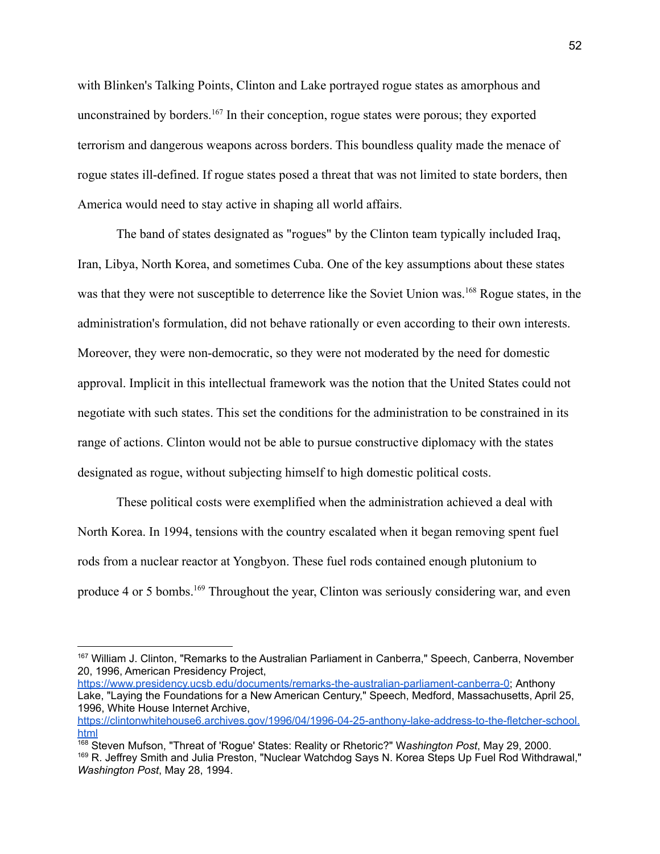with Blinken's Talking Points, Clinton and Lake portrayed rogue states as amorphous and unconstrained by borders.<sup>167</sup> In their conception, rogue states were porous; they exported terrorism and dangerous weapons across borders. This boundless quality made the menace of rogue states ill-defined. If rogue states posed a threat that was not limited to state borders, then America would need to stay active in shaping all world affairs.

The band of states designated as "rogues" by the Clinton team typically included Iraq, Iran, Libya, North Korea, and sometimes Cuba. One of the key assumptions about these states was that they were not susceptible to deterrence like the Soviet Union was.<sup>168</sup> Rogue states, in the administration's formulation, did not behave rationally or even according to their own interests. Moreover, they were non-democratic, so they were not moderated by the need for domestic approval. Implicit in this intellectual framework was the notion that the United States could not negotiate with such states. This set the conditions for the administration to be constrained in its range of actions. Clinton would not be able to pursue constructive diplomacy with the states designated as rogue, without subjecting himself to high domestic political costs.

These political costs were exemplified when the administration achieved a deal with North Korea. In 1994, tensions with the country escalated when it began removing spent fuel rods from a nuclear reactor at Yongbyon. These fuel rods contained enough plutonium to produce 4 or 5 bombs.<sup>169</sup> Throughout the year, Clinton was seriously considering war, and even

[https://www.presidency.ucsb.edu/documents/remarks-the-australian-parliament-canberra-0;](https://www.presidency.ucsb.edu/documents/remarks-the-australian-parliament-canberra-0) Anthony Lake, "Laying the Foundations for a New American Century," Speech, Medford, Massachusetts, April 25, 1996, White House Internet Archive,

<sup>167</sup> William J. Clinton, "Remarks to the Australian Parliament in Canberra," Speech, Canberra, November 20, 1996, American Presidency Project,

[https://clintonwhitehouse6.archives.gov/1996/04/1996-04-25-anthony-lake-address-to-the-fletcher-school.](https://clintonwhitehouse6.archives.gov/1996/04/1996-04-25-anthony-lake-address-to-the-fletcher-school.html) [html](https://clintonwhitehouse6.archives.gov/1996/04/1996-04-25-anthony-lake-address-to-the-fletcher-school.html)

<sup>169</sup> R. Jeffrey Smith and Julia Preston, "Nuclear Watchdog Says N. Korea Steps Up Fuel Rod Withdrawal," *Washington Post*, May 28, 1994. <sup>168</sup> Steven Mufson, "Threat of 'Rogue' States: Reality or Rhetoric?" W*ashington Post*, May 29, 2000.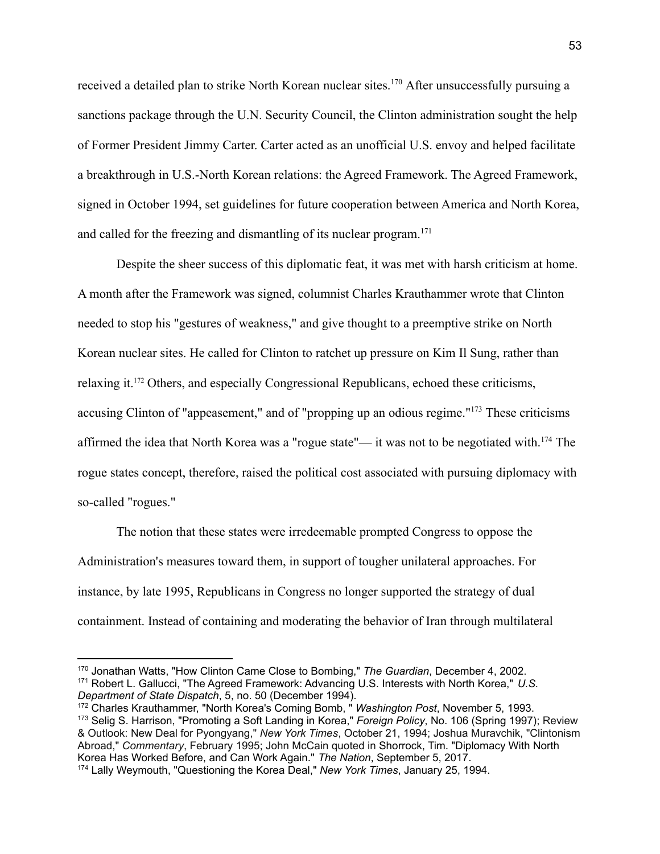received a detailed plan to strike North Korean nuclear sites.<sup>170</sup> After unsuccessfully pursuing a sanctions package through the U.N. Security Council, the Clinton administration sought the help of Former President Jimmy Carter. Carter acted as an unofficial U.S. envoy and helped facilitate a breakthrough in U.S.-North Korean relations: the Agreed Framework. The Agreed Framework, signed in October 1994, set guidelines for future cooperation between America and North Korea, and called for the freezing and dismantling of its nuclear program.<sup>171</sup>

Despite the sheer success of this diplomatic feat, it was met with harsh criticism at home. A month after the Framework was signed, columnist Charles Krauthammer wrote that Clinton needed to stop his "gestures of weakness," and give thought to a preemptive strike on North Korean nuclear sites. He called for Clinton to ratchet up pressure on Kim Il Sung, rather than relaxing it.<sup>172</sup> Others, and especially Congressional Republicans, echoed these criticisms, accusing Clinton of "appeasement," and of "propping up an odious regime."<sup>173</sup> These criticisms affirmed the idea that North Korea was a "rogue state"— it was not to be negotiated with.<sup>174</sup> The rogue states concept, therefore, raised the political cost associated with pursuing diplomacy with so-called "rogues."

The notion that these states were irredeemable prompted Congress to oppose the Administration's measures toward them, in support of tougher unilateral approaches. For instance, by late 1995, Republicans in Congress no longer supported the strategy of dual containment. Instead of containing and moderating the behavior of Iran through multilateral

<sup>171</sup> Robert L. Gallucci, "The Agreed Framework: Advancing U.S. Interests with North Korea," *U.S. Department of State Dispatch*, 5, no. 50 (December 1994). <sup>170</sup> Jonathan Watts, "How Clinton Came Close to Bombing," *The Guardian*, December 4, 2002.

<sup>172</sup> Charles Krauthammer, "North Korea's Coming Bomb, " *Washington Post*, November 5, 1993.

<sup>173</sup> Selig S. Harrison, "Promoting a Soft Landing in Korea," *Foreign Policy*, No. 106 (Spring 1997); Review & Outlook: New Deal for Pyongyang," *New York Times*, October 21, 1994; Joshua Muravchik, "Clintonism Abroad," *Commentary*, February 1995; John McCain quoted in Shorrock, Tim. "Diplomacy With North Korea Has Worked Before, and Can Work Again." *The Nation*, September 5, 2017.

<sup>174</sup> Lally Weymouth, "Questioning the Korea Deal," *New York Times*, January 25, 1994.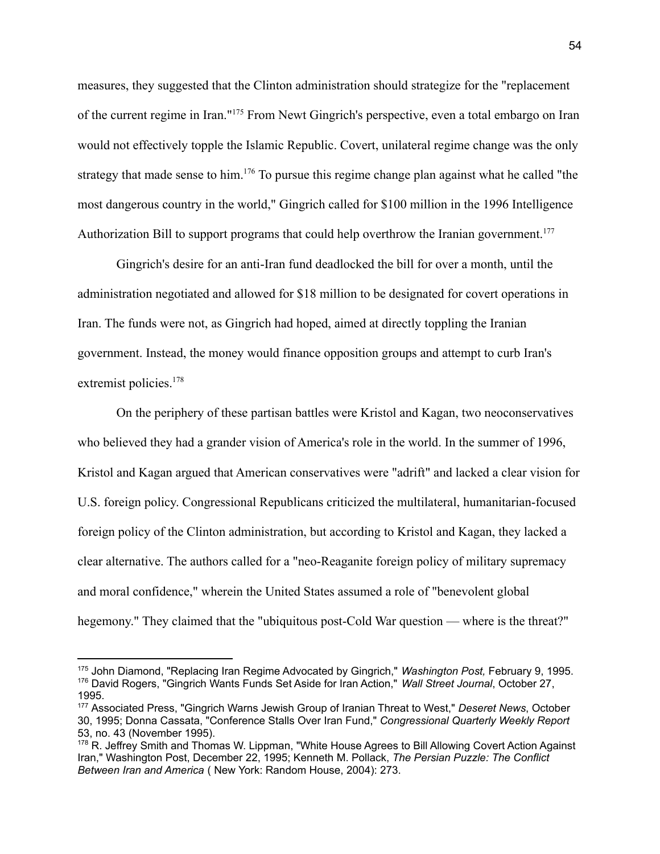measures, they suggested that the Clinton administration should strategize for the "replacement of the current regime in Iran."<sup>175</sup> From Newt Gingrich's perspective, even a total embargo on Iran would not effectively topple the Islamic Republic. Covert, unilateral regime change was the only strategy that made sense to him.<sup>176</sup> To pursue this regime change plan against what he called "the most dangerous country in the world," Gingrich called for \$100 million in the 1996 Intelligence Authorization Bill to support programs that could help overthrow the Iranian government.<sup>177</sup>

Gingrich's desire for an anti-Iran fund deadlocked the bill for over a month, until the administration negotiated and allowed for \$18 million to be designated for covert operations in Iran. The funds were not, as Gingrich had hoped, aimed at directly toppling the Iranian government. Instead, the money would finance opposition groups and attempt to curb Iran's extremist policies.<sup>178</sup>

On the periphery of these partisan battles were Kristol and Kagan, two neoconservatives who believed they had a grander vision of America's role in the world. In the summer of 1996, Kristol and Kagan argued that American conservatives were "adrift" and lacked a clear vision for U.S. foreign policy. Congressional Republicans criticized the multilateral, humanitarian-focused foreign policy of the Clinton administration, but according to Kristol and Kagan, they lacked a clear alternative. The authors called for a "neo-Reaganite foreign policy of military supremacy and moral confidence," wherein the United States assumed a role of "benevolent global hegemony." They claimed that the "ubiquitous post-Cold War question — where is the threat?"

<sup>176</sup> David Rogers, "Gingrich Wants Funds Set Aside for Iran Action," *Wall Street Journal*, October 27, 1995. <sup>175</sup> John Diamond, "Replacing Iran Regime Advocated by Gingrich," *Washington Post,* February 9, 1995.

<sup>177</sup> Associated Press, "Gingrich Warns Jewish Group of Iranian Threat to West," *Deseret News*, October 30, 1995; Donna Cassata, "Conference Stalls Over Iran Fund," *Congressional Quarterly Weekly Report* 53, no. 43 (November 1995).

<sup>178</sup> R. Jeffrey Smith and Thomas W. Lippman, "White House Agrees to Bill Allowing Covert Action Against Iran," Washington Post, December 22, 1995; Kenneth M. Pollack, *The Persian Puzzle: The Conflict Between Iran and America* ( New York: Random House, 2004): 273.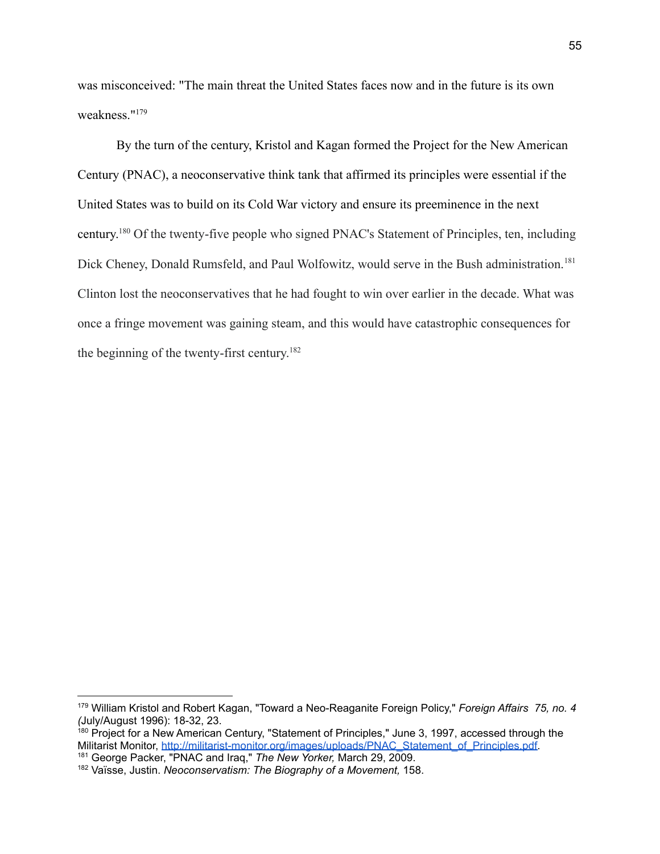was misconceived: "The main threat the United States faces now and in the future is its own weakness."<sup>179</sup>

By the turn of the century, Kristol and Kagan formed the Project for the New American Century (PNAC), a neoconservative think tank that affirmed its principles were essential if the United States was to build on its Cold War victory and ensure its preeminence in the next century. <sup>180</sup> Of the twenty-five people who signed PNAC's Statement of Principles, ten, including Dick Cheney, Donald Rumsfeld, and Paul Wolfowitz, would serve in the Bush administration.<sup>181</sup> Clinton lost the neoconservatives that he had fought to win over earlier in the decade. What was once a fringe movement was gaining steam, and this would have catastrophic consequences for the beginning of the twenty-first century. 182

<sup>179</sup> William Kristol and Robert Kagan, "Toward a Neo-Reaganite Foreign Policy," *Foreign Affairs 75, no. 4 (*July/August 1996): 18-32, 23.

<sup>181</sup> George Packer, "PNAC and Iraq," *The New Yorker,* March 29, 2009. <sup>180</sup> Project for a New American Century, "Statement of Principles," June 3, 1997, accessed through the Militarist Monitor, [http://militarist-monitor.org/images/uploads/PNAC\\_Statement\\_of\\_Principles.pdf.](http://militarist-monitor.org/images/uploads/PNAC_Statement_of_Principles.pdf)

<sup>182</sup> Vaïsse, Justin. *Neoconservatism: The Biography of a Movement,* 158.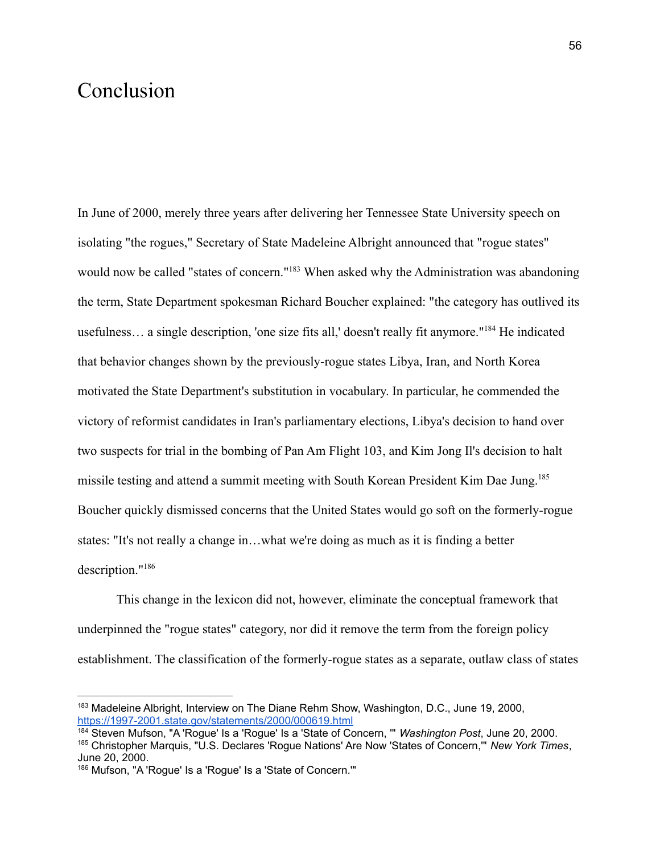### Conclusion

In June of 2000, merely three years after delivering her Tennessee State University speech on isolating "the rogues," Secretary of State Madeleine Albright announced that "rogue states" would now be called "states of concern."<sup>183</sup> When asked why the Administration was abandoning the term, State Department spokesman Richard Boucher explained: "the category has outlived its usefulness... a single description, 'one size fits all,' doesn't really fit anymore."<sup>184</sup> He indicated that behavior changes shown by the previously-rogue states Libya, Iran, and North Korea motivated the State Department's substitution in vocabulary. In particular, he commended the victory of reformist candidates in Iran's parliamentary elections, Libya's decision to hand over two suspects for trial in the bombing of Pan Am Flight 103, and Kim Jong Il's decision to halt missile testing and attend a summit meeting with South Korean President Kim Dae Jung.<sup>185</sup> Boucher quickly dismissed concerns that the United States would go soft on the formerly-rogue states: "It's not really a change in…what we're doing as much as it is finding a better description."<sup>186</sup>

This change in the lexicon did not, however, eliminate the conceptual framework that underpinned the "rogue states" category, nor did it remove the term from the foreign policy establishment. The classification of the formerly-rogue states as a separate, outlaw class of states

<sup>&</sup>lt;sup>183</sup> Madeleine Albright, Interview on The Diane Rehm Show, Washington, D.C., June 19, 2000, <https://1997-2001.state.gov/statements/2000/000619.html>

<sup>184</sup> Steven Mufson, "A 'Rogue' Is a 'Rogue' Is a 'State of Concern, '" *Washington Post*, June 20, 2000.

<sup>185</sup> Christopher Marquis, "U.S. Declares 'Rogue Nations' Are Now 'States of Concern,'" *New York Times*, June 20, 2000.

<sup>186</sup> Mufson, "A 'Rogue' Is a 'Rogue' Is a 'State of Concern.""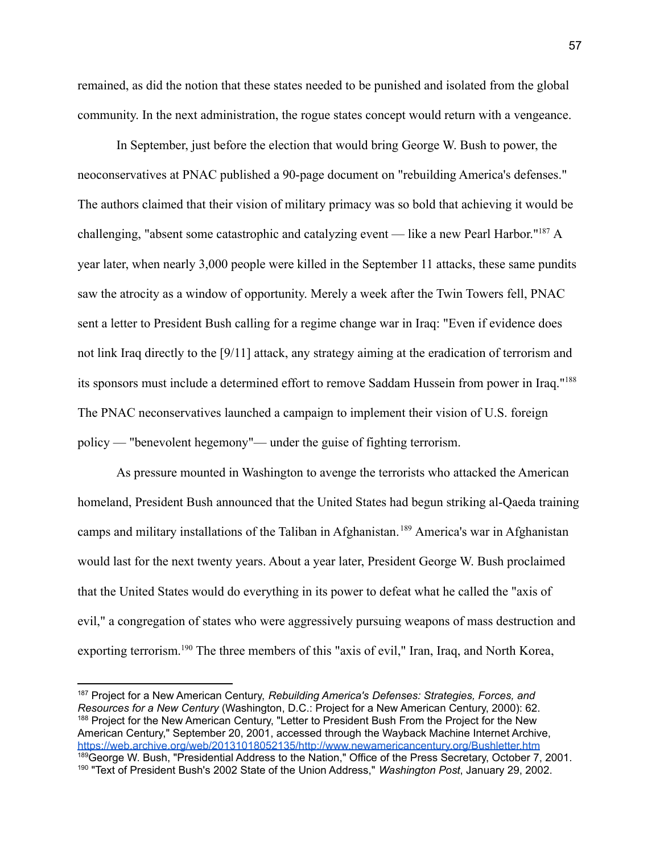remained, as did the notion that these states needed to be punished and isolated from the global community. In the next administration, the rogue states concept would return with a vengeance.

In September, just before the election that would bring George W. Bush to power, the neoconservatives at PNAC published a 90-page document on "rebuilding America's defenses." The authors claimed that their vision of military primacy was so bold that achieving it would be challenging, "absent some catastrophic and catalyzing event — like a new Pearl Harbor."<sup>187</sup> A year later, when nearly 3,000 people were killed in the September 11 attacks, these same pundits saw the atrocity as a window of opportunity. Merely a week after the Twin Towers fell, PNAC sent a letter to President Bush calling for a regime change war in Iraq: "Even if evidence does not link Iraq directly to the [9/11] attack, any strategy aiming at the eradication of terrorism and its sponsors must include a determined effort to remove Saddam Hussein from power in Iraq."<sup>188</sup> The PNAC neconservatives launched a campaign to implement their vision of U.S. foreign policy — "benevolent hegemony"— under the guise of fighting terrorism.

As pressure mounted in Washington to avenge the terrorists who attacked the American homeland, President Bush announced that the United States had begun striking al-Qaeda training camps and military installations of the Taliban in Afghanistan. <sup>189</sup> America's war in Afghanistan would last for the next twenty years. About a year later, President George W. Bush proclaimed that the United States would do everything in its power to defeat what he called the "axis of evil," a congregation of states who were aggressively pursuing weapons of mass destruction and exporting terrorism.<sup>190</sup> The three members of this "axis of evil," Iran, Iraq, and North Korea,

<sup>190</sup> "Text of President Bush's 2002 State of the Union Address," *Washington Post*, January 29, 2002. 189 George W. Bush, "Presidential Address to the Nation," Office of the Press Secretary, October 7, 2001. 188 Project for the New American Century, "Letter to President Bush From the Project for the New American Century," September 20, 2001, accessed through the Wayback Machine Internet Archive, <https://web.archive.org/web/20131018052135/http://www.newamericancentury.org/Bushletter.htm> <sup>187</sup> Project for a New American Century, *Rebuilding America's Defenses: Strategies, Forces, and Resources for a New Century* (Washington, D.C.: Project for a New American Century, 2000): 62.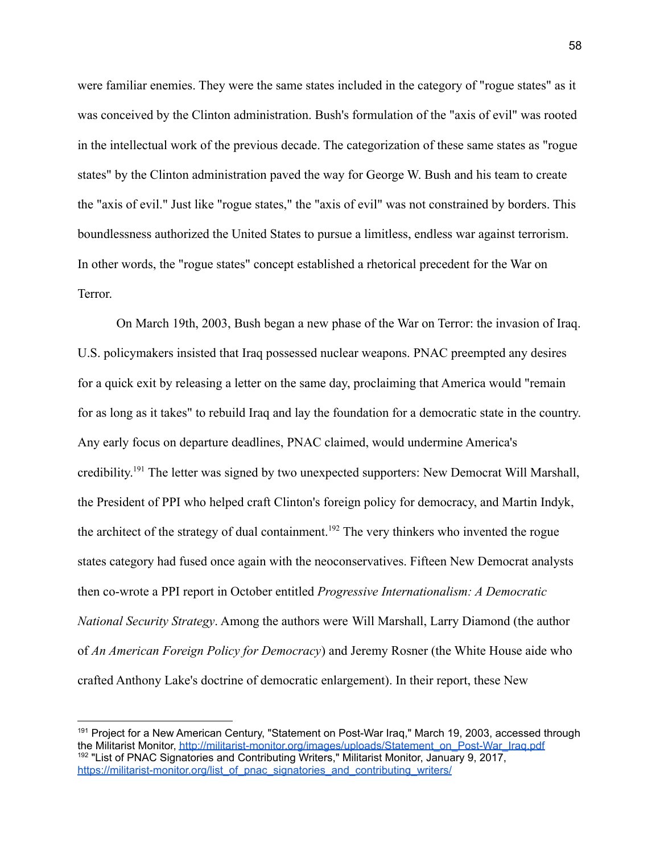were familiar enemies. They were the same states included in the category of "rogue states" as it was conceived by the Clinton administration. Bush's formulation of the "axis of evil" was rooted in the intellectual work of the previous decade. The categorization of these same states as "rogue states" by the Clinton administration paved the way for George W. Bush and his team to create the "axis of evil." Just like "rogue states," the "axis of evil" was not constrained by borders. This boundlessness authorized the United States to pursue a limitless, endless war against terrorism. In other words, the "rogue states" concept established a rhetorical precedent for the War on Terror.

On March 19th, 2003, Bush began a new phase of the War on Terror: the invasion of Iraq. U.S. policymakers insisted that Iraq possessed nuclear weapons. PNAC preempted any desires for a quick exit by releasing a letter on the same day, proclaiming that America would "remain for as long as it takes" to rebuild Iraq and lay the foundation for a democratic state in the country. Any early focus on departure deadlines, PNAC claimed, would undermine America's credibility.<sup>191</sup> The letter was signed by two unexpected supporters: New Democrat Will Marshall, the President of PPI who helped craft Clinton's foreign policy for democracy, and Martin Indyk, the architect of the strategy of dual containment.<sup>192</sup> The very thinkers who invented the rogue states category had fused once again with the neoconservatives. Fifteen New Democrat analysts then co-wrote a PPI report in October entitled *Progressive Internationalism: A Democratic National Security Strategy*. Among the authors were Will Marshall, Larry Diamond (the author of *An American Foreign Policy for Democracy*) and Jeremy Rosner (the White House aide who crafted Anthony Lake's doctrine of democratic enlargement). In their report, these New

<sup>&</sup>lt;sup>192</sup> "List of PNAC Signatories and Contributing Writers," Militarist Monitor, January 9, 2017, [https://militarist-monitor.org/list\\_of\\_pnac\\_signatories\\_and\\_contributing\\_writers/](https://militarist-monitor.org/list_of_pnac_signatories_and_contributing_writers/) <sup>191</sup> Project for a New American Century, "Statement on Post-War Iraq," March 19, 2003, accessed through the Militarist Monitor, http://militarist-monitor.org/images/uploads/Statement\_on\_Post-War\_Irag.pdf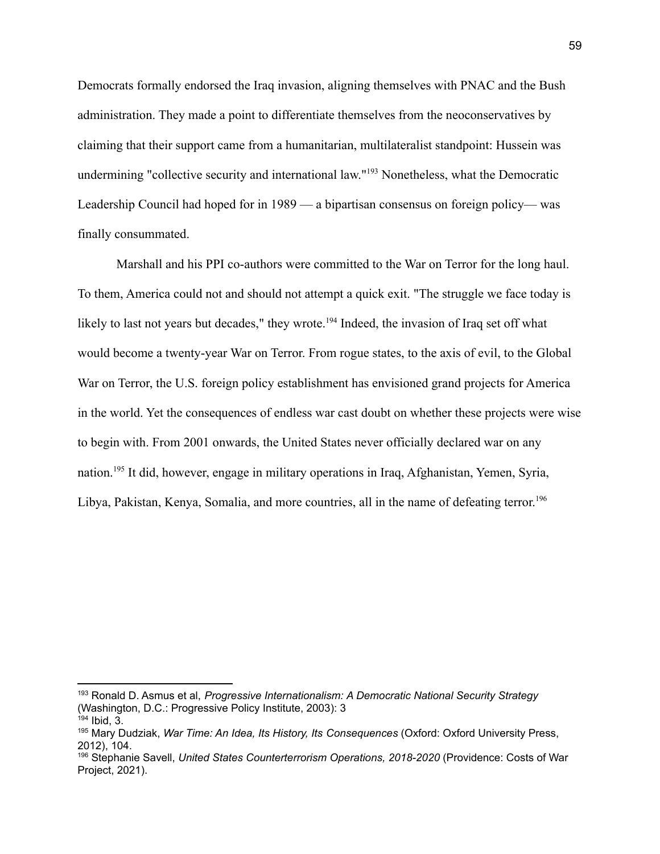Democrats formally endorsed the Iraq invasion, aligning themselves with PNAC and the Bush administration. They made a point to differentiate themselves from the neoconservatives by claiming that their support came from a humanitarian, multilateralist standpoint: Hussein was undermining "collective security and international law."<sup>193</sup> Nonetheless, what the Democratic Leadership Council had hoped for in 1989 — a bipartisan consensus on foreign policy— was finally consummated.

Marshall and his PPI co-authors were committed to the War on Terror for the long haul. To them, America could not and should not attempt a quick exit. "The struggle we face today is likely to last not years but decades," they wrote.<sup>194</sup> Indeed, the invasion of Iraq set off what would become a twenty-year War on Terror. From rogue states, to the axis of evil, to the Global War on Terror, the U.S. foreign policy establishment has envisioned grand projects for America in the world. Yet the consequences of endless war cast doubt on whether these projects were wise to begin with. From 2001 onwards, the United States never officially declared war on any nation.<sup>195</sup> It did, however, engage in military operations in Iraq, Afghanistan, Yemen, Syria, Libya, Pakistan, Kenya, Somalia, and more countries, all in the name of defeating terror.<sup>196</sup>

<sup>193</sup> Ronald D. Asmus et al, *Progressive Internationalism: A Democratic National Security Strategy* (Washington, D.C.: Progressive Policy Institute, 2003): 3

 $194$  Ibid, 3.

<sup>195</sup> Mary Dudziak, *War Time: An Idea, Its History, Its Consequences* (Oxford: Oxford University Press, 2012), 104.

<sup>196</sup> Stephanie Savell, *United States Counterterrorism Operations, 2018-2020* (Providence: Costs of War Project, 2021).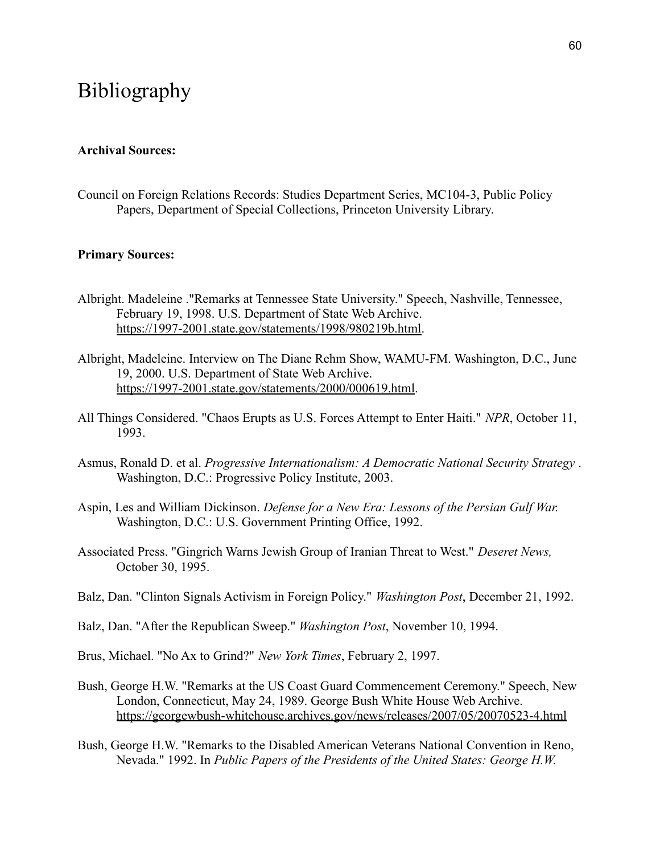### Bibliography

### **Archival Sources:**

Council on Foreign Relations Records: Studies Department Series, MC104-3, Public Policy Papers, Department of Special Collections, Princeton University Library.

#### **Primary Sources:**

- Albright. Madeleine ."Remarks at Tennessee State University." Speech, Nashville, Tennessee, February 19, 1998. U.S. Department of State Web Archive. [https://1997-2001.state.gov/statements/1998/980219b.html.](https://1997-2001.state.gov/statements/1998/980219b.html)
- Albright, Madeleine. Interview on The Diane Rehm Show, WAMU-FM. Washington, D.C., June 19, 2000. U.S. Department of State Web Archive. [https://1997-2001.state.gov/statements/2000/000619.html.](https://1997-2001.state.gov/statements/2000/000619.html)
- All Things Considered. "Chaos Erupts as U.S. Forces Attempt to Enter Haiti." *NPR*, October 11, 1993.
- Asmus, Ronald D. et al. *Progressive Internationalism: A Democratic National Security Strategy* . Washington, D.C.: Progressive Policy Institute, 2003.
- Aspin, Les and William Dickinson. *Defense for a New Era: Lessons of the Persian Gulf War.* Washington, D.C.: U.S. Government Printing Office, 1992.
- Associated Press. "Gingrich Warns Jewish Group of Iranian Threat to West." *Deseret News,* October 30, 1995.
- Balz, Dan. "Clinton Signals Activism in Foreign Policy." *Washington Post*, December 21, 1992.
- Balz, Dan. "After the Republican Sweep." *Washington Post*, November 10, 1994.
- Brus, Michael. "No Ax to Grind?" *New York Times*, February 2, 1997.
- Bush, George H.W. "Remarks at the US Coast Guard Commencement Ceremony." Speech, New London, Connecticut, May 24, 1989. George Bush White House Web Archive. <https://georgewbush-whitehouse.archives.gov/news/releases/2007/05/20070523-4.html>
- Bush, George H.W. "Remarks to the Disabled American Veterans National Convention in Reno, Nevada." 1992. In *Public Papers of the Presidents of the United States: George H.W.*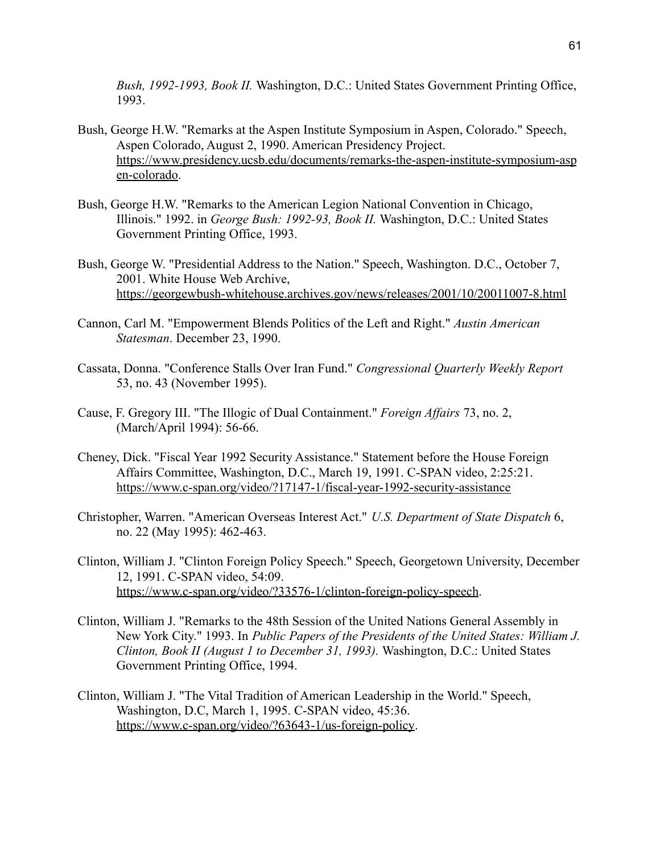*Bush, 1992-1993, Book II.* Washington, D.C.: United States Government Printing Office, 1993.

- Bush, George H.W. "Remarks at the Aspen Institute Symposium in Aspen, Colorado." Speech, Aspen Colorado, August 2, 1990. American Presidency Project. [https://www.presidency.ucsb.edu/documents/remarks-the-aspen-institute-symposium-asp](https://www.presidency.ucsb.edu/documents/remarks-the-aspen-institute-symposium-aspen-colorado) [en-colorado](https://www.presidency.ucsb.edu/documents/remarks-the-aspen-institute-symposium-aspen-colorado).
- Bush, George H.W. "Remarks to the American Legion National Convention in Chicago, Illinois." 1992. in *George Bush: 1992-93, Book II.* Washington, D.C.: United States Government Printing Office, 1993.
- Bush, George W. "Presidential Address to the Nation." Speech, Washington. D.C., October 7, 2001. White House Web Archive, <https://georgewbush-whitehouse.archives.gov/news/releases/2001/10/20011007-8.html>
- Cannon, Carl M. "Empowerment Blends Politics of the Left and Right." *Austin American Statesman*. December 23, 1990.
- Cassata, Donna. "Conference Stalls Over Iran Fund." *Congressional Quarterly Weekly Report* 53, no. 43 (November 1995).
- Cause, F. Gregory III. "The Illogic of Dual Containment." *Foreign Affairs* 73, no. 2, (March/April 1994): 56-66.
- Cheney, Dick. "Fiscal Year 1992 Security Assistance." Statement before the House Foreign Affairs Committee, Washington, D.C., March 19, 1991. C-SPAN video, 2:25:21. <https://www.c-span.org/video/?17147-1/fiscal-year-1992-security-assistance>
- Christopher, Warren. "American Overseas Interest Act." *U.S. Department of State Dispatch* 6, no. 22 (May 1995): 462-463.
- Clinton, William J. "Clinton Foreign Policy Speech." Speech, Georgetown University, December 12, 1991. C-SPAN video, 54:09. <https://www.c-span.org/video/?33576-1/clinton-foreign-policy-speech>.
- Clinton, William J. "Remarks to the 48th Session of the United Nations General Assembly in New York City." 1993. In *Public Papers of the Presidents of the United States: William J. Clinton, Book II (August 1 to December 31, 1993).* Washington, D.C.: United States Government Printing Office, 1994.
- Clinton, William J. "The Vital Tradition of American Leadership in the World." Speech, Washington, D.C, March 1, 1995. C-SPAN video, 45:36. [https://www.c-span.org/video/?63643-1/us-foreign-policy.](https://www.c-span.org/video/?63643-1/us-foreign-policy)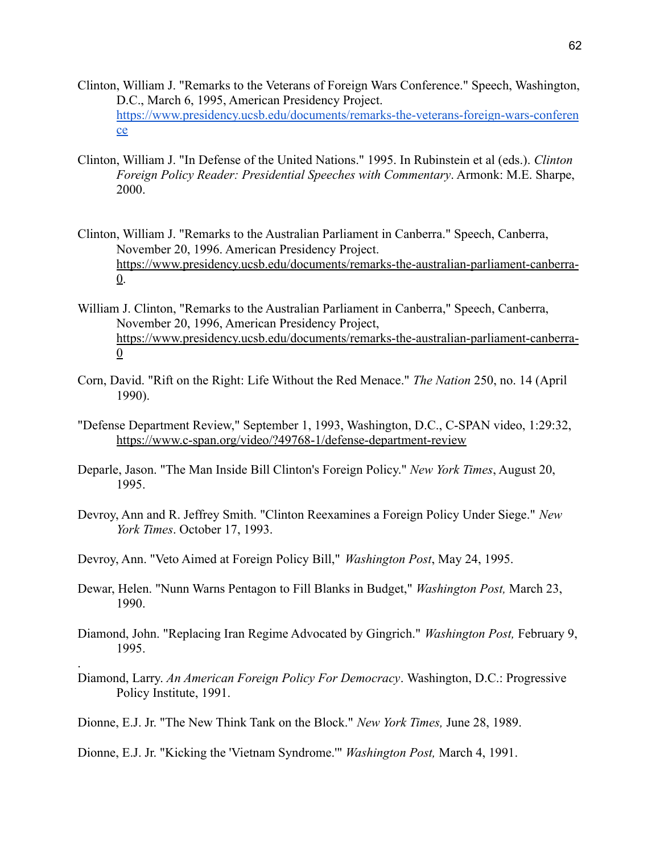- Clinton, William J. "Remarks to the Veterans of Foreign Wars Conference." Speech, Washington, D.C., March 6, 1995, American Presidency Project. [https://www.presidency.ucsb.edu/documents/remarks-the-veterans-foreign-wars-conferen](https://www.presidency.ucsb.edu/documents/remarks-the-veterans-foreign-wars-conference) [ce](https://www.presidency.ucsb.edu/documents/remarks-the-veterans-foreign-wars-conference)
- Clinton, William J. "In Defense of the United Nations." 1995. In Rubinstein et al (eds.). *Clinton Foreign Policy Reader: Presidential Speeches with Commentary*. Armonk: M.E. Sharpe, 2000.
- Clinton, William J. "Remarks to the Australian Parliament in Canberra." Speech, Canberra, November 20, 1996. American Presidency Project. [https://www.presidency.ucsb.edu/documents/remarks-the-australian-parliament-canberra-](https://www.presidency.ucsb.edu/documents/remarks-the-australian-parliament-canberra-0)[0](https://www.presidency.ucsb.edu/documents/remarks-the-australian-parliament-canberra-0).
- William J. Clinton, "Remarks to the Australian Parliament in Canberra," Speech, Canberra, November 20, 1996, American Presidency Project, [https://www.presidency.ucsb.edu/documents/remarks-the-australian-parliament-canberra-](https://www.presidency.ucsb.edu/documents/remarks-the-australian-parliament-canberra-0) $\overline{0}$  $\overline{0}$  $\overline{0}$
- Corn, David. "Rift on the Right: Life Without the Red Menace." *The Nation* 250, no. 14 (April 1990).
- "Defense Department Review," September 1, 1993, Washington, D.C., C-SPAN video, 1:29:32, <https://www.c-span.org/video/?49768-1/defense-department-review>
- Deparle, Jason. "The Man Inside Bill Clinton's Foreign Policy." *New York Times*, August 20, 1995.
- Devroy, Ann and R. Jeffrey Smith. "Clinton Reexamines a Foreign Policy Under Siege." *New York Times*. October 17, 1993.
- Devroy, Ann. "Veto Aimed at Foreign Policy Bill," *Washington Post*, May 24, 1995.
- Dewar, Helen. "Nunn Warns Pentagon to Fill Blanks in Budget," *Washington Post,* March 23, 1990.
- Diamond, John. "Replacing Iran Regime Advocated by Gingrich." *Washington Post,* February 9, 1995.
- Diamond, Larry. *An American Foreign Policy For Democracy*. Washington, D.C.: Progressive Policy Institute, 1991.
- Dionne, E.J. Jr. "The New Think Tank on the Block." *New York Times,* June 28, 1989.

.

Dionne, E.J. Jr. "Kicking the 'Vietnam Syndrome.'" *Washington Post,* March 4, 1991.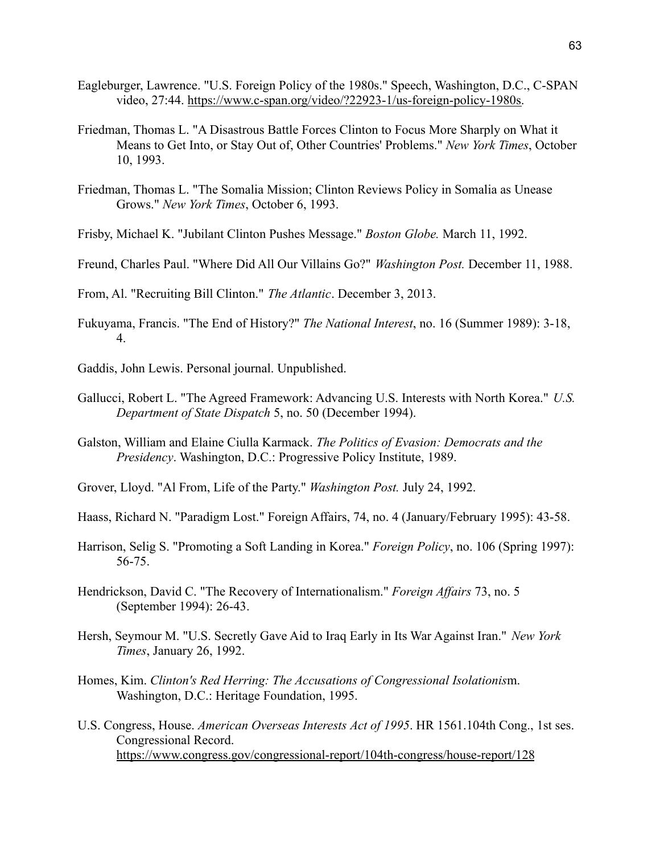- Eagleburger, Lawrence. "U.S. Foreign Policy of the 1980s." Speech, Washington, D.C., C-SPAN video, 27:44. [https://www.c-span.org/video/?22923-1/us-foreign-policy-1980s.](https://www.c-span.org/video/?22923-1/us-foreign-policy-1980s)
- Friedman, Thomas L. "A Disastrous Battle Forces Clinton to Focus More Sharply on What it Means to Get Into, or Stay Out of, Other Countries' Problems." *New York Times*, October 10, 1993.
- Friedman, Thomas L. "The Somalia Mission; Clinton Reviews Policy in Somalia as Unease Grows." *New York Times*, October 6, 1993.
- Frisby, Michael K. "Jubilant Clinton Pushes Message." *Boston Globe.* March 11, 1992.
- Freund, Charles Paul. "Where Did All Our Villains Go?" *Washington Post.* December 11, 1988.

From, Al. "Recruiting Bill Clinton." *The Atlantic*. December 3, 2013.

- Fukuyama, Francis. "The End of History?" *The National Interest*, no. 16 (Summer 1989): 3-18, 4.
- Gaddis, John Lewis. Personal journal. Unpublished.
- Gallucci, Robert L. "The Agreed Framework: Advancing U.S. Interests with North Korea." *U.S. Department of State Dispatch* 5, no. 50 (December 1994).
- Galston, William and Elaine Ciulla Karmack. *The Politics of Evasion: Democrats and the Presidency*. Washington, D.C.: Progressive Policy Institute, 1989.
- Grover, Lloyd. "Al From, Life of the Party." *Washington Post.* July 24, 1992.
- Haass, Richard N. "Paradigm Lost." Foreign Affairs, 74, no. 4 (January/February 1995): 43-58.
- Harrison, Selig S. "Promoting a Soft Landing in Korea." *Foreign Policy*, no. 106 (Spring 1997): 56-75.
- Hendrickson, David C. "The Recovery of Internationalism." *Foreign Affairs* 73, no. 5 (September 1994): 26-43.
- Hersh, Seymour M. "U.S. Secretly Gave Aid to Iraq Early in Its War Against Iran." *New York Times*, January 26, 1992.
- Homes, Kim. *Clinton's Red Herring: The Accusations of Congressional Isolationis*m. Washington, D.C.: Heritage Foundation, 1995.
- U.S. Congress, House. *American Overseas Interests Act of 1995*. HR 1561.104th Cong., 1st ses. Congressional Record. <https://www.congress.gov/congressional-report/104th-congress/house-report/128>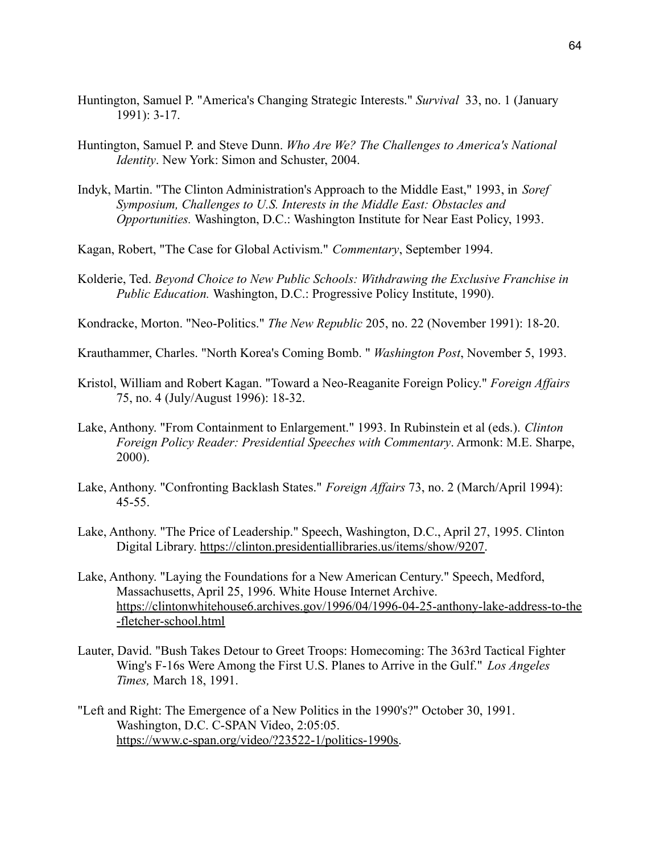- Huntington, Samuel P. "America's Changing Strategic Interests." *Survival* 33, no. 1 (January 1991): 3-17.
- Huntington, Samuel P. and Steve Dunn. *Who Are We? The Challenges to America's National Identity*. New York: Simon and Schuster, 2004.
- Indyk, Martin. "The Clinton Administration's Approach to the Middle East," 1993, in *Soref Symposium, Challenges to U.S. Interests in the Middle East: Obstacles and Opportunities.* Washington, D.C.: Washington Institute for Near East Policy, 1993.
- Kagan, Robert, "The Case for Global Activism." *Commentary*, September 1994.
- Kolderie, Ted. *Beyond Choice to New Public Schools: Withdrawing the Exclusive Franchise in Public Education.* Washington, D.C.: Progressive Policy Institute, 1990).
- Kondracke, Morton. "Neo-Politics." *The New Republic* 205, no. 22 (November 1991): 18-20.
- Krauthammer, Charles. "North Korea's Coming Bomb. " *Washington Post*, November 5, 1993.
- Kristol, William and Robert Kagan. "Toward a Neo-Reaganite Foreign Policy." *Foreign Affairs* 75, no. 4 (July/August 1996): 18-32.
- Lake, Anthony. "From Containment to Enlargement." 1993. In Rubinstein et al (eds.). *Clinton Foreign Policy Reader: Presidential Speeches with Commentary*. Armonk: M.E. Sharpe, 2000).
- Lake, Anthony. "Confronting Backlash States." *Foreign Affairs* 73, no. 2 (March/April 1994): 45-55.
- Lake, Anthony. "The Price of Leadership." Speech, Washington, D.C., April 27, 1995. Clinton Digital Library. [https://clinton.presidentiallibraries.us/items/show/9207.](https://clinton.presidentiallibraries.us/items/show/9207)
- Lake, Anthony. "Laying the Foundations for a New American Century." Speech, Medford, Massachusetts, April 25, 1996. White House Internet Archive. [https://clintonwhitehouse6.archives.gov/1996/04/1996-04-25-anthony-lake-address-to-the](https://clintonwhitehouse6.archives.gov/1996/04/1996-04-25-anthony-lake-address-to-the-fletcher-school.html) [-fletcher-school.html](https://clintonwhitehouse6.archives.gov/1996/04/1996-04-25-anthony-lake-address-to-the-fletcher-school.html)
- Lauter, David. "Bush Takes Detour to Greet Troops: Homecoming: The 363rd Tactical Fighter Wing's F-16s Were Among the First U.S. Planes to Arrive in the Gulf." *Los Angeles Times,* March 18, 1991.
- "Left and Right: The Emergence of a New Politics in the 1990's?" October 30, 1991. Washington, D.C. C-SPAN Video, 2:05:05. [https://www.c-span.org/video/?23522-1/politics-1990s.](https://www.c-span.org/video/?23522-1/politics-1990s)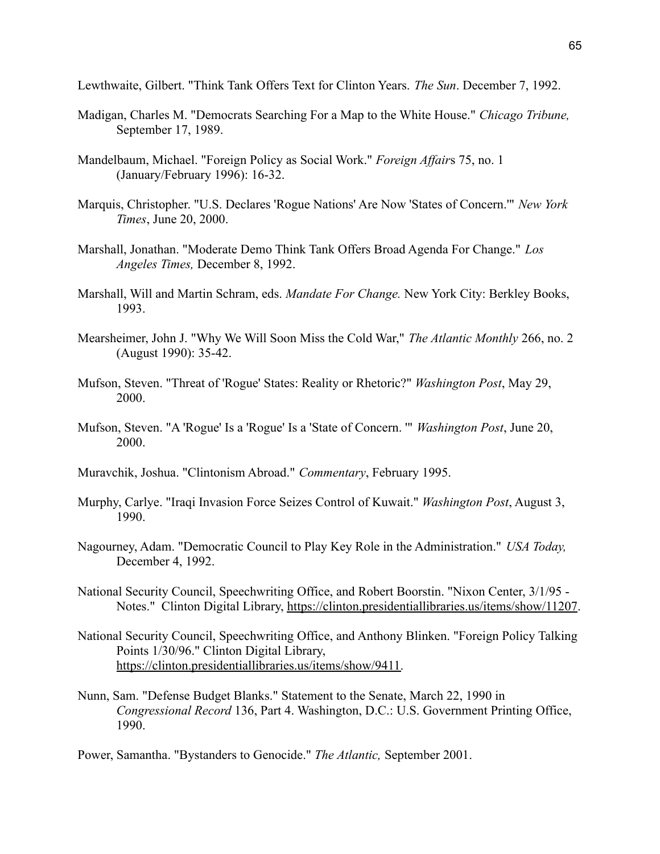Lewthwaite, Gilbert. "Think Tank Offers Text for Clinton Years. *The Sun*. December 7, 1992.

- Madigan, Charles M. "Democrats Searching For a Map to the White House." *Chicago Tribune,* September 17, 1989.
- Mandelbaum, Michael. "Foreign Policy as Social Work." *Foreign Affair*s 75, no. 1 (January/February 1996): 16-32.
- Marquis, Christopher. "U.S. Declares 'Rogue Nations' Are Now 'States of Concern.'" *New York Times*, June 20, 2000.
- Marshall, Jonathan. "Moderate Demo Think Tank Offers Broad Agenda For Change." *Los Angeles Times,* December 8, 1992.
- Marshall, Will and Martin Schram, eds. *Mandate For Change.* New York City: Berkley Books, 1993.
- Mearsheimer, John J. "Why We Will Soon Miss the Cold War," *The Atlantic Monthly* 266, no. 2 (August 1990): 35-42.
- Mufson, Steven. "Threat of 'Rogue' States: Reality or Rhetoric?" *Washington Post*, May 29, 2000.
- Mufson, Steven. "A 'Rogue' Is a 'Rogue' Is a 'State of Concern. '" *Washington Post*, June 20, 2000.
- Muravchik, Joshua. "Clintonism Abroad." *Commentary*, February 1995.
- Murphy, Carlye. "Iraqi Invasion Force Seizes Control of Kuwait." *Washington Post*, August 3, 1990.
- Nagourney, Adam. "Democratic Council to Play Key Role in the Administration." *USA Today,* December 4, 1992.
- National Security Council, Speechwriting Office, and Robert Boorstin. "Nixon Center, 3/1/95 Notes." Clinton Digital Library, [https://clinton.presidentiallibraries.us/items/show/11207.](https://clinton.presidentiallibraries.us/items/show/11207)
- National Security Council, Speechwriting Office, and Anthony Blinken. "Foreign Policy Talking Points 1/30/96." Clinton Digital Library, [https://clinton.presidentiallibraries.us/items/show/9411.](https://clinton.presidentiallibraries.us/items/show/9411)
- Nunn, Sam. "Defense Budget Blanks." Statement to the Senate, March 22, 1990 in *Congressional Record* 136, Part 4. Washington, D.C.: U.S. Government Printing Office, 1990.

Power, Samantha. "Bystanders to Genocide." *The Atlantic,* September 2001.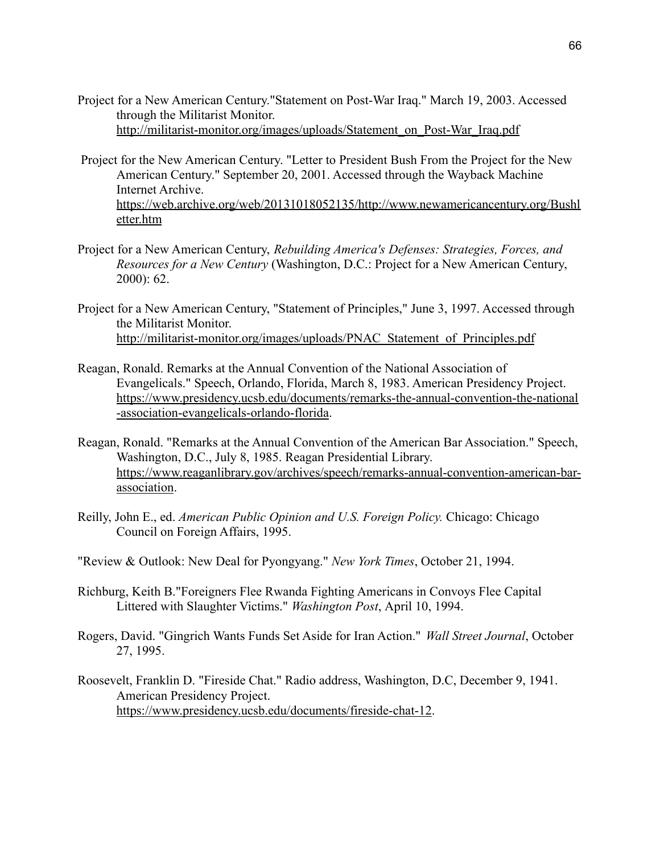- Project for a New American Century."Statement on Post-War Iraq." March 19, 2003. Accessed through the Militarist Monitor. [http://militarist-monitor.org/images/uploads/Statement\\_on\\_Post-War\\_Iraq.pdf](http://militarist-monitor.org/images/uploads/Statement_on_Post-War_Iraq.pdf)
- Project for the New American Century. "Letter to President Bush From the Project for the New American Century." September 20, 2001. Accessed through the Wayback Machine Internet Archive. [https://web.archive.org/web/20131018052135/http://www.newamericancentury.org/Bushl](https://web.archive.org/web/20131018052135/http://www.newamericancentury.org/Bushletter.htm) [etter.htm](https://web.archive.org/web/20131018052135/http://www.newamericancentury.org/Bushletter.htm)
- Project for a New American Century, *Rebuilding America's Defenses: Strategies, Forces, and Resources for a New Century* (Washington, D.C.: Project for a New American Century, 2000): 62.
- Project for a New American Century, "Statement of Principles," June 3, 1997. Accessed through the Militarist Monitor. [http://militarist-monitor.org/images/uploads/PNAC\\_Statement\\_of\\_Principles.pdf](http://militarist-monitor.org/images/uploads/PNAC_Statement_of_Principles.pdf)
- Reagan, Ronald. Remarks at the Annual Convention of the National Association of Evangelicals." Speech, Orlando, Florida, March 8, 1983. American Presidency Project. [https://www.presidency.ucsb.edu/documents/remarks-the-annual-convention-the-national](https://www.presidency.ucsb.edu/documents/remarks-the-annual-convention-the-national-association-evangelicals-orlando-florida) [-association-evangelicals-orlando-florida](https://www.presidency.ucsb.edu/documents/remarks-the-annual-convention-the-national-association-evangelicals-orlando-florida).
- Reagan, Ronald. "Remarks at the Annual Convention of the American Bar Association." Speech, Washington, D.C., July 8, 1985. Reagan Presidential Library. [https://www.reaganlibrary.gov/archives/speech/remarks-annual-convention-american-bar](https://www.reaganlibrary.gov/archives/speech/remarks-annual-convention-american-bar-association)[association](https://www.reaganlibrary.gov/archives/speech/remarks-annual-convention-american-bar-association).
- Reilly, John E., ed. *American Public Opinion and U.S. Foreign Policy.* Chicago: Chicago Council on Foreign Affairs, 1995.
- "Review & Outlook: New Deal for Pyongyang." *New York Times*, October 21, 1994.
- Richburg, Keith B."Foreigners Flee Rwanda Fighting Americans in Convoys Flee Capital Littered with Slaughter Victims." *Washington Post*, April 10, 1994.
- Rogers, David. "Gingrich Wants Funds Set Aside for Iran Action." *Wall Street Journal*, October 27, 1995.
- Roosevelt, Franklin D. "Fireside Chat." Radio address, Washington, D.C, December 9, 1941. American Presidency Project. [https://www.presidency.ucsb.edu/documents/fireside-chat-12.](https://www.presidency.ucsb.edu/documents/fireside-chat-12)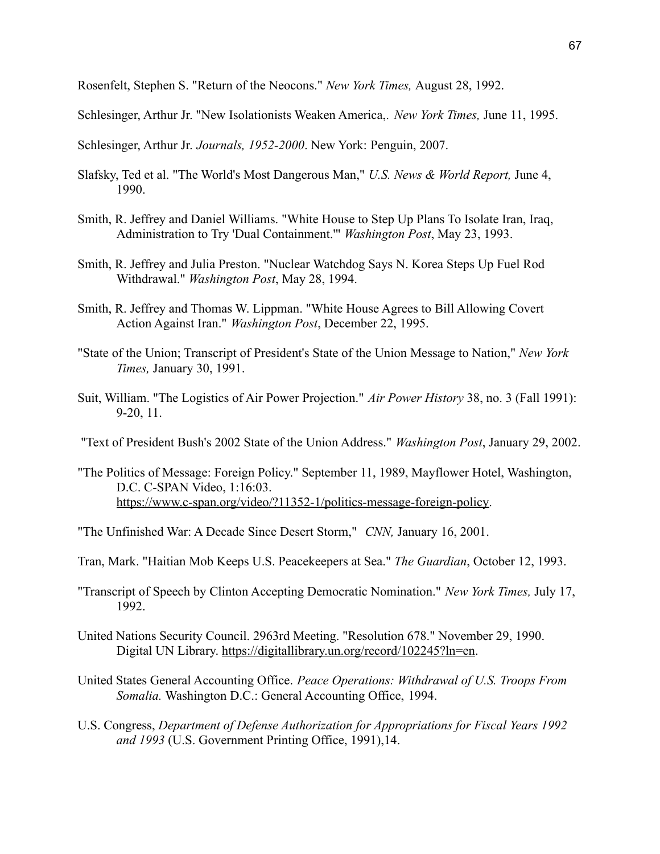Rosenfelt, Stephen S. "Return of the Neocons." *New York Times,* August 28, 1992.

Schlesinger, Arthur Jr. "New Isolationists Weaken America,. *New York Times,* June 11, 1995.

Schlesinger, Arthur Jr. *Journals, 1952-2000*. New York: Penguin, 2007.

- Slafsky, Ted et al. "The World's Most Dangerous Man," *U.S. News & World Report,* June 4, 1990.
- Smith, R. Jeffrey and Daniel Williams. "White House to Step Up Plans To Isolate Iran, Iraq, Administration to Try 'Dual Containment.'" *Washington Post*, May 23, 1993.
- Smith, R. Jeffrey and Julia Preston. "Nuclear Watchdog Says N. Korea Steps Up Fuel Rod Withdrawal." *Washington Post*, May 28, 1994.
- Smith, R. Jeffrey and Thomas W. Lippman. "White House Agrees to Bill Allowing Covert Action Against Iran." *Washington Post*, December 22, 1995.
- "State of the Union; Transcript of President's State of the Union Message to Nation," *New York Times,* January 30, 1991.
- Suit, William. "The Logistics of Air Power Projection." *Air Power History* 38, no. 3 (Fall 1991): 9-20, 11.
- "Text of President Bush's 2002 State of the Union Address." *Washington Post*, January 29, 2002.
- "The Politics of Message: Foreign Policy." September 11, 1989, Mayflower Hotel, Washington, D.C. C-SPAN Video, 1:16:03. [https://www.c-span.org/video/?11352-1/politics-message-foreign-policy.](https://www.c-span.org/video/?11352-1/politics-message-foreign-policy)
- "The Unfinished War: A Decade Since Desert Storm," *CNN,* January 16, 2001.
- Tran, Mark. "Haitian Mob Keeps U.S. Peacekeepers at Sea." *The Guardian*, October 12, 1993.
- "Transcript of Speech by Clinton Accepting Democratic Nomination." *New York Times,* July 17, 1992.
- United Nations Security Council. 2963rd Meeting. "Resolution 678." November 29, 1990. Digital UN Library. [https://digitallibrary.un.org/record/102245?ln=en.](https://digitallibrary.un.org/record/102245?ln=en)
- United States General Accounting Office. *Peace Operations: Withdrawal of U.S. Troops From Somalia.* Washington D.C.: General Accounting Office, 1994.
- U.S. Congress, *Department of Defense Authorization for Appropriations for Fiscal Years 1992 and 1993* (U.S. Government Printing Office, 1991),14.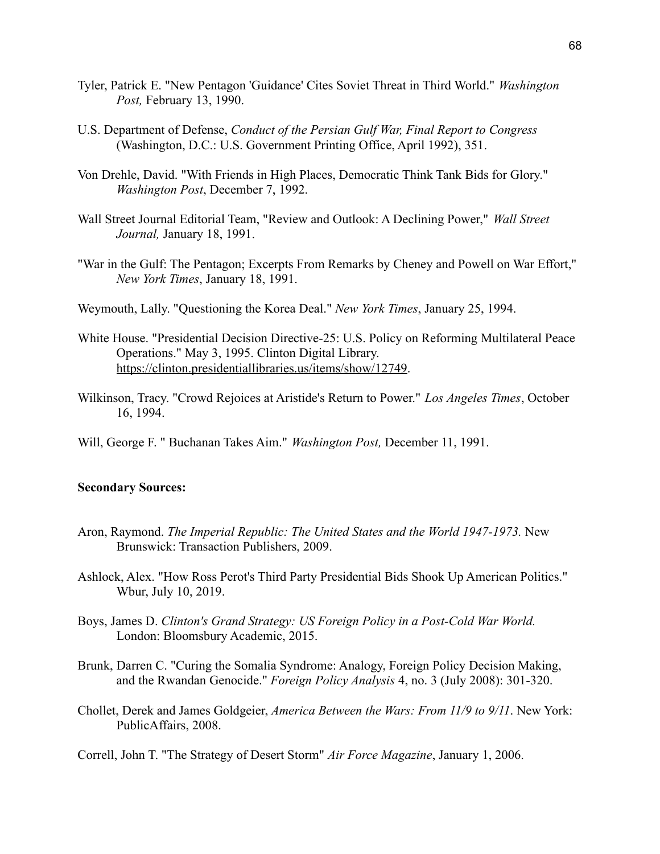- Tyler, Patrick E. "New Pentagon 'Guidance' Cites Soviet Threat in Third World." *Washington Post,* February 13, 1990.
- U.S. Department of Defense, *Conduct of the Persian Gulf War, Final Report to Congress* (Washington, D.C.: U.S. Government Printing Office, April 1992), 351.
- Von Drehle, David. "With Friends in High Places, Democratic Think Tank Bids for Glory." *Washington Post*, December 7, 1992.
- Wall Street Journal Editorial Team, "Review and Outlook: A Declining Power," *Wall Street Journal,* January 18, 1991.
- "War in the Gulf: The Pentagon; Excerpts From Remarks by Cheney and Powell on War Effort," *New York Times*, January 18, 1991.
- Weymouth, Lally. "Questioning the Korea Deal." *New York Times*, January 25, 1994.
- White House. "Presidential Decision Directive-25: U.S. Policy on Reforming Multilateral Peace Operations." May 3, 1995. Clinton Digital Library. [https://clinton.presidentiallibraries.us/items/show/12749.](https://clinton.presidentiallibraries.us/items/show/12749)
- Wilkinson, Tracy. "Crowd Rejoices at Aristide's Return to Power." *Los Angeles Times*, October 16, 1994.
- Will, George F. " Buchanan Takes Aim." *Washington Post,* December 11, 1991.

#### **Secondary Sources:**

- Aron, Raymond. *The Imperial Republic: The United States and the World 1947-1973.* New Brunswick: Transaction Publishers, 2009.
- Ashlock, Alex. "How Ross Perot's Third Party Presidential Bids Shook Up American Politics." Wbur, July 10, 2019.
- Boys, James D. *Clinton's Grand Strategy: US Foreign Policy in a Post-Cold War World.* London: Bloomsbury Academic, 2015.
- Brunk, Darren C. "Curing the Somalia Syndrome: Analogy, Foreign Policy Decision Making, and the Rwandan Genocide." *Foreign Policy Analysis* 4, no. 3 (July 2008): 301-320.
- Chollet, Derek and James Goldgeier, *America Between the Wars: From 11/9 to 9/11*. New York: PublicAffairs, 2008.

Correll, John T. "The Strategy of Desert Storm" *Air Force Magazine*, January 1, 2006.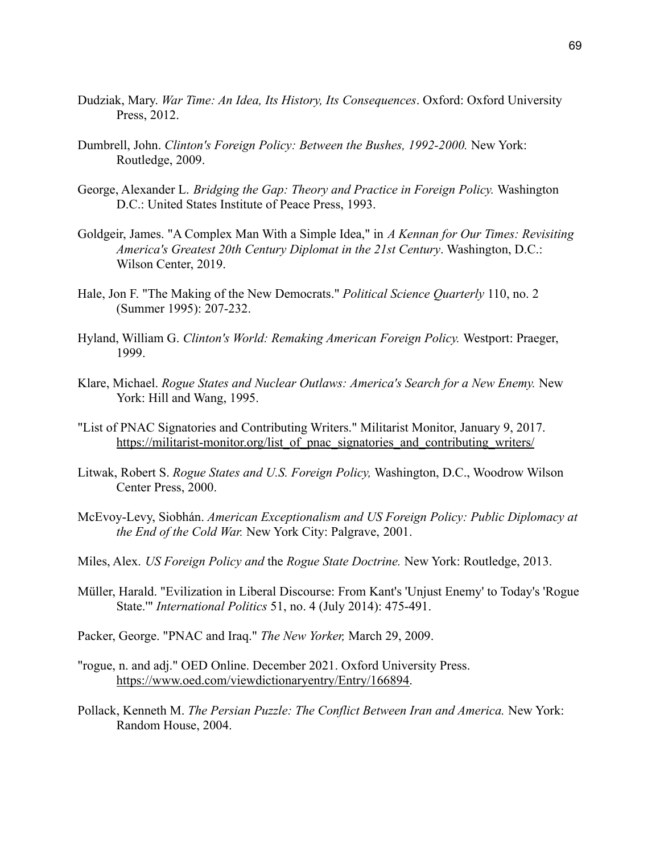- Dudziak, Mary. *War Time: An Idea, Its History, Its Consequences*. Oxford: Oxford University Press, 2012.
- Dumbrell, John. *Clinton's Foreign Policy: Between the Bushes, 1992-2000.* New York: Routledge, 2009.
- George, Alexander L. *Bridging the Gap: Theory and Practice in Foreign Policy.* Washington D.C.: United States Institute of Peace Press, 1993.
- Goldgeir, James. "A Complex Man With a Simple Idea," in *A Kennan for Our Times: Revisiting America's Greatest 20th Century Diplomat in the 21st Century*. Washington, D.C.: Wilson Center, 2019.
- Hale, Jon F. "The Making of the New Democrats." *Political Science Quarterly* 110, no. 2 (Summer 1995): 207-232.
- Hyland, William G. *Clinton's World: Remaking American Foreign Policy.* Westport: Praeger, 1999.
- Klare, Michael. *Rogue States and Nuclear Outlaws: America's Search for a New Enemy.* New York: Hill and Wang, 1995.
- "List of PNAC Signatories and Contributing Writers." Militarist Monitor, January 9, 2017. [https://militarist-monitor.org/list\\_of\\_pnac\\_signatories\\_and\\_contributing\\_writers/](https://militarist-monitor.org/list_of_pnac_signatories_and_contributing_writers/)
- Litwak, Robert S. *Rogue States and U.S. Foreign Policy,* Washington, D.C., Woodrow Wilson Center Press, 2000.
- McEvoy-Levy, Siobhán. *American Exceptionalism and US Foreign Policy: Public Diplomacy at the End of the Cold War.* New York City: Palgrave, 2001.
- Miles, Alex. *US Foreign Policy and* the *Rogue State Doctrine.* New York: Routledge, 2013.
- Müller, Harald. "Evilization in Liberal Discourse: From Kant's 'Unjust Enemy' to Today's 'Rogue State.'" *International Politics* 51, no. 4 (July 2014): 475-491.
- Packer, George. "PNAC and Iraq." *The New Yorker,* March 29, 2009.
- "rogue, n. and adj." OED Online. December 2021. Oxford University Press. [https://www.oed.com/viewdictionaryentry/Entry/166894.](https://www.oed.com/viewdictionaryentry/Entry/166894)
- Pollack, Kenneth M. *The Persian Puzzle: The Conflict Between Iran and America.* New York: Random House, 2004.